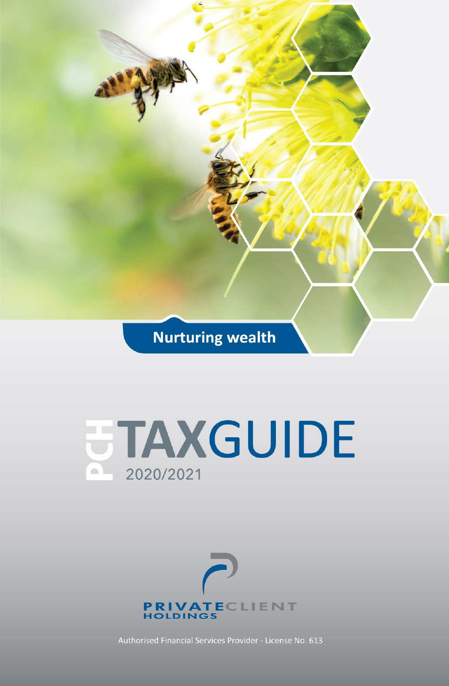**Nurturing wealth** 





Authorised Financial Services Provider - License No. 613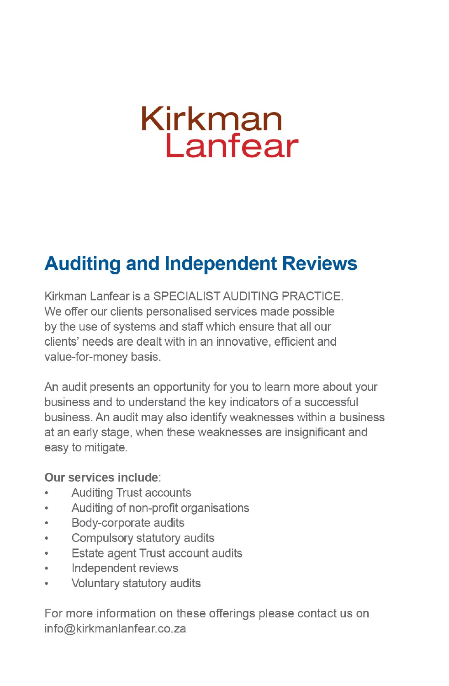# Kirkman Lanfear

### **Auditing and Independent Reviews**

Kirkman Lanfear is a SPECIALIST AUDITING PRACTICE. We offer our clients personalised services made possible by the use of systems and staff which ensure that all our clients' needs are dealt with in an innovative, efficient and value-for-money basis.

An audit presents an opportunity for you to learn more about your business and to understand the key indicators of a successful business. An audit may also identify weaknesses within a business at an early stage, when these weaknesses are insignificant and easy to mitigate.

### Our services include:

- Auditing Trust accounts
- Auditing of non-profit organisations  $\bullet$
- Body-corporate audits  $\bullet$
- Compulsory statutory audits  $\ddot{\phantom{0}}$
- Estate agent Trust account audits  $\bullet$
- $\overline{a}$ Independent reviews
- Voluntary statutory audits  $\ddot{\phantom{a}}$

For more information on these offerings please contact us on info@kirkmanlanfear.co.za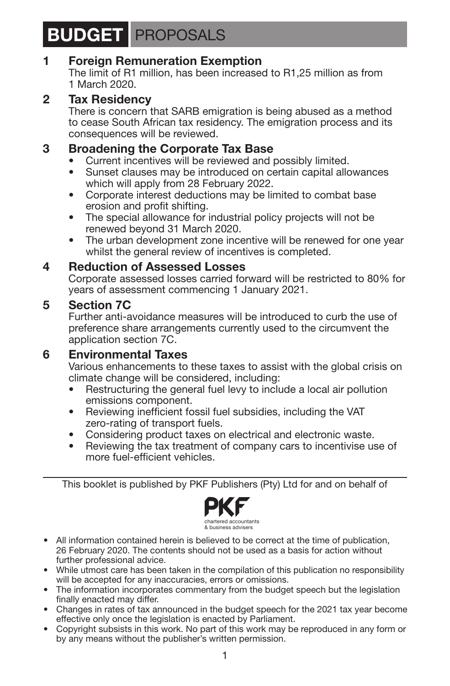### **BUDGET** PROPOSALS

### **1 Foreign Remuneration Exemption**

The limit of R1 million, has been increased to R1,25 million as from 1 March 2020.

### **2 Tax Residency**

There is concern that SARB emigration is being abused as a method to cease South African tax residency. The emigration process and its consequences will be reviewed.

### **3 Broadening the Corporate Tax Base**<br>• Current incentives will be reviewed and a

- Current incentives will be reviewed and possibly limited.
- Sunset clauses may be introduced on certain capital allowances which will apply from 28 February 2022.
- Corporate interest deductions may be limited to combat base erosion and profit shifting.
- The special allowance for industrial policy projects will not be renewed beyond 31 March 2020.
- The urban development zone incentive will be renewed for one year whilst the general review of incentives is completed.

### **4 Reduction of Assessed Losses**

Corporate assessed losses carried forward will be restricted to 80% for years of assessment commencing 1 January 2021.

### **5 Section 7C**

Further anti-avoidance measures will be introduced to curb the use of preference share arrangements currently used to the circumvent the application section 7C.

### **6 Environmental Taxes**

Various enhancements to these taxes to assist with the global crisis on climate change will be considered, including:

- Restructuring the general fuel levy to include a local air pollution emissions component.
- Reviewing inefficient fossil fuel subsidies, including the VAT zero-rating of transport fuels.
- Considering product taxes on electrical and electronic waste.
- Reviewing the tax treatment of company cars to incentivise use of more fuel-efficient vehicles.

This booklet is published by PKF Publishers (Pty) Ltd for and on behalf of



- All information contained herein is believed to be correct at the time of publication, 26 February 2020. The contents should not be used as a basis for action without further professional advice.
- While utmost care has been taken in the compilation of this publication no responsibility will be accepted for any inaccuracies, errors or omissions.
- The information incorporates commentary from the budget speech but the legislation finally enacted may differ.
- Changes in rates of tax announced in the budget speech for the 2021 tax year become effective only once the legislation is enacted by Parliament.
- Copyright subsists in this work. No part of this work may be reproduced in any form or by any means without the publisher's written permission.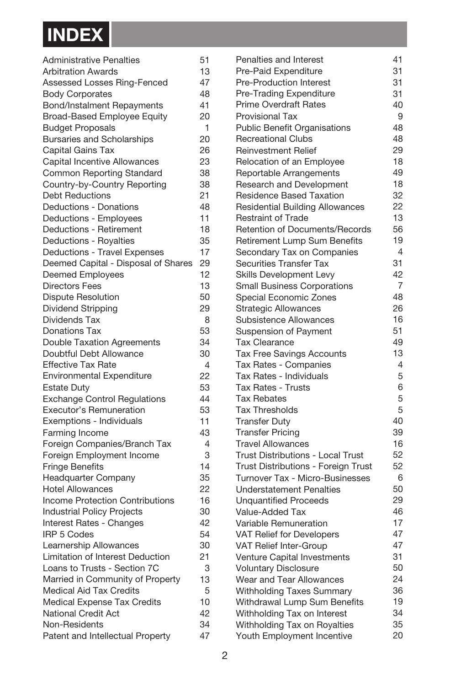

| <b>Administrative Penalties</b>         | 51             |
|-----------------------------------------|----------------|
| <b>Arbitration Awards</b>               | 13             |
| Assessed Losses Ring-Fenced             | 47             |
| <b>Body Corporates</b>                  | 48             |
| <b>Bond/Instalment Repayments</b>       | 41             |
| <b>Broad-Based Employee Equity</b>      | 20             |
| <b>Budget Proposals</b>                 | 1              |
| <b>Bursaries and Scholarships</b>       | 20             |
| Capital Gains Tax                       | 26             |
| Capital Incentive Allowances            | 23             |
| Common Reporting Standard               | 38             |
| Country-by-Country Reporting            | 38             |
| <b>Debt Reductions</b>                  | 21             |
| Deductions - Donations                  | 48             |
| Deductions - Employees                  | 11             |
| Deductions - Retirement                 | 18             |
| Deductions - Royalties                  | 35             |
| Deductions - Travel Expenses            | 17             |
| Deemed Capital - Disposal of Shares     | 29             |
| <b>Deemed Employees</b>                 | 12             |
| <b>Directors Fees</b>                   | 13             |
| <b>Dispute Resolution</b>               | 50             |
| Dividend Stripping                      | 29             |
| Dividends Tax                           | 8              |
| <b>Donations Tax</b>                    | 53             |
| <b>Double Taxation Agreements</b>       | 34             |
| Doubtful Debt Allowance                 | 30             |
| <b>Effective Tax Rate</b>               | $\overline{4}$ |
| <b>Environmental Expenditure</b>        | 22             |
| <b>Estate Duty</b>                      | 53             |
| <b>Exchange Control Regulations</b>     | 44             |
| <b>Executor's Remuneration</b>          | 53             |
| Exemptions - Individuals                | 11             |
| Farming Income                          | 43             |
| Foreign Companies/Branch Tax            | $\overline{4}$ |
| Foreign Employment Income               | 3              |
| <b>Fringe Benefits</b>                  | 14             |
| Headquarter Company                     | 35             |
| <b>Hotel Allowances</b>                 | 22             |
| <b>Income Protection Contributions</b>  | 16             |
| <b>Industrial Policy Projects</b>       | 30             |
| <b>Interest Rates - Changes</b>         | 42             |
| <b>IRP 5 Codes</b>                      | 54             |
| Learnership Allowances                  | 30             |
| <b>Limitation of Interest Deduction</b> | 21             |
| Loans to Trusts - Section 7C            | 3              |
| Married in Community of Property        | 13             |
| Medical Aid Tax Credits                 | 5              |
| Medical Expense Tax Credits             | 10             |
| National Credit Act                     | 42             |
| Non-Residents                           | 34             |
| Patent and Intellectual Property        | 47             |

| Penalties and Interest              | 41             |
|-------------------------------------|----------------|
| Pre-Paid Expenditure                | 31             |
| Pre-Production Interest             | 31             |
| Pre-Trading Expenditure             | 31             |
| <b>Prime Overdraft Rates</b>        | 40             |
| <b>Provisional Tax</b>              | 9              |
| <b>Public Benefit Organisations</b> | 48             |
| <b>Recreational Clubs</b>           | 48             |
| <b>Reinvestment Relief</b>          | 29             |
| Relocation of an Employee           | 18             |
|                                     | 49             |
| Reportable Arrangements             | 18             |
| Research and Development            | 32             |
| Residence Based Taxation            | 22             |
| Residential Building Allowances     |                |
| <b>Restraint of Trade</b>           | 13             |
| Retention of Documents/Records      | 56             |
| Retirement Lump Sum Benefits        | 19             |
| Secondary Tax on Companies          | 4              |
| Securities Transfer Tax             | 31             |
| <b>Skills Development Levy</b>      | 42             |
| <b>Small Business Corporations</b>  | $\overline{7}$ |
| Special Economic Zones              | 48             |
| <b>Strategic Allowances</b>         | 26             |
| Subsistence Allowances              | 16             |
| <b>Suspension of Payment</b>        | 51             |
| <b>Tax Clearance</b>                | 49             |
| Tax Free Savings Accounts           | 13             |
| Tax Rates - Companies               | 4              |
| Tax Rates - Individuals             | 5              |
| <b>Tax Rates - Trusts</b>           | 6              |
| <b>Tax Rebates</b>                  | 5              |
| <b>Tax Thresholds</b>               | 5              |
| <b>Transfer Duty</b>                | 40             |
| <b>Transfer Pricing</b>             | 39             |
| <b>Travel Allowances</b>            | 16             |
| Trust Distributions - Local Trust   | 52             |
| Trust Distributions - Foreign Trust | 52             |
| Turnover Tax - Micro-Businesses     | 6              |
| <b>Understatement Penalties</b>     | 50             |
| <b>Unquantified Proceeds</b>        | 29             |
| Value-Added Tax                     | 46             |
| Variable Remuneration               | 17             |
| VAT Relief for Developers           | 47             |
| VAT Relief Inter-Group              | 47             |
| Venture Capital Investments         | 31             |
| <b>Voluntary Disclosure</b>         | 50             |
| Wear and Tear Allowances            | 24             |
| Withholding Taxes Summary           | 36             |
| Withdrawal Lump Sum Benefits        | 19             |
| Withholding Tax on Interest         | 34             |
| Withholding Tax on Royalties        | 35             |
| Youth Employment Incentive          | 20             |
|                                     |                |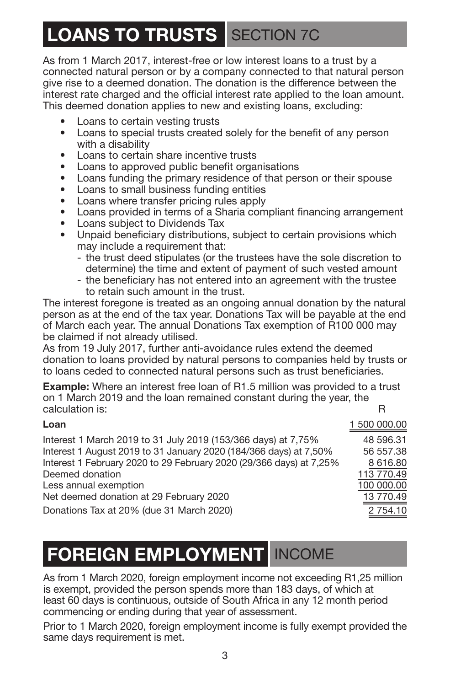# **LOANS TO TRUSTS** SECTION 7C

As from 1 March 2017, interest-free or low interest loans to a trust by a connected natural person or by a company connected to that natural person give rise to a deemed donation. The donation is the difference between the interest rate charged and the official interest rate applied to the loan amount. This deemed donation applies to new and existing loans, excluding:

- Loans to certain vesting trusts<br>• Loans to special trusts created
- **•** Loans to special trusts created solely for the benefit of any person with a disability
- **•** Loans to certain share incentive trusts
- **•** Loans to approved public benefit organisations
- Loans funding the primary residence of that person or their spouse<br>• Loans to small business funding entities
- **•** Loans to small business funding entities
- **•** Loans where transfer pricing rules apply
- **•** Loans provided in terms of a Sharia compliant financing arrangement
- **•** Loans subject to Dividends Tax
- **•** Unpaid beneficiary distributions, subject to certain provisions which may include a requirement that:
	- the trust deed stipulates (or the trustees have the sole discretion to determine) the time and extent of payment of such vested amount
	- the beneficiary has not entered into an agreement with the trustee to retain such amount in the trust.

The interest foregone is treated as an ongoing annual donation by the natural person as at the end of the tax year. Donations Tax will be payable at the end of March each year. The annual Donations Tax exemption of R100 000 may be claimed if not already utilised.

As from 19 July 2017, further anti-avoidance rules extend the deemed donation to loans provided by natural persons to companies held by trusts or to loans ceded to connected natural persons such as trust beneficiaries.

**Example:** Where an interest free loan of R1.5 million was provided to a trust on 1 March 2019 and the loan remained constant during the year, the calculation is: R

| Loan                                                                | 1 500 000.00 |
|---------------------------------------------------------------------|--------------|
| Interest 1 March 2019 to 31 July 2019 (153/366 days) at 7,75%       | 48 596.31    |
| Interest 1 August 2019 to 31 January 2020 (184/366 days) at 7,50%   | 56 557.38    |
| Interest 1 February 2020 to 29 February 2020 (29/366 days) at 7,25% | 8 616.80     |
| Deemed donation                                                     | 113 770.49   |
| Less annual exemption                                               | 100 000.00   |
| Net deemed donation at 29 February 2020                             | 13 770.49    |
| Donations Tax at 20% (due 31 March 2020)                            | 2 754.10     |
|                                                                     |              |

### **FOREIGN EMPLOYMENT** INCOME

As from 1 March 2020, foreign employment income not exceeding R1,25 million is exempt, provided the person spends more than 183 days, of which at least 60 days is continuous, outside of South Africa in any 12 month period commencing or ending during that year of assessment.

Prior to 1 March 2020, foreign employment income is fully exempt provided the same days requirement is met.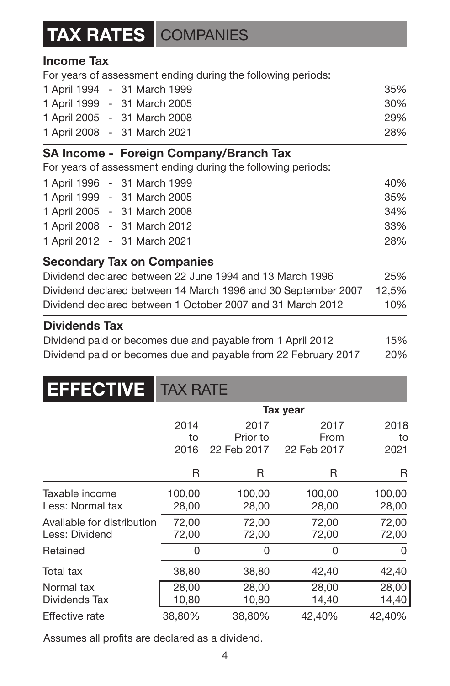### **TAX RATES** COMPANIES

### **Income Tax**

For years of assessment ending during the following periods:

|  | 1 April 1994 - 31 March 1999 | 35% |
|--|------------------------------|-----|
|  | 1 April 1999 - 31 March 2005 | 30% |
|  | 1 April 2005 - 31 March 2008 | 29% |
|  | 1 April 2008 - 31 March 2021 | 28% |

### **SA Income - Foreign Company/Branch Tax**

For years of assessment ending during the following periods:

|  | 1 April 1996 - 31 March 1999 | 40% |
|--|------------------------------|-----|
|  | 1 April 1999 - 31 March 2005 | 35% |
|  | 1 April 2005 - 31 March 2008 | 34% |
|  | 1 April 2008 - 31 March 2012 | 33% |
|  | 1 April 2012 - 31 March 2021 | 28% |

### **Secondary Tax on Companies**

| Dividend declared between 22 June 1994 and 13 March 1996      | 25%   |
|---------------------------------------------------------------|-------|
| Dividend declared between 14 March 1996 and 30 September 2007 | 12.5% |
| Dividend declared between 1 October 2007 and 31 March 2012    | 10%   |

### **Dividends Tax**

Dividend paid or becomes due and payable from 1 April 2012 15% Dividend paid or becomes due and payable from 22 February 2017 20%

| <b>EFFECTIVE</b>                             | <b>TAX RATE</b>    |                                 |                             |                    |
|----------------------------------------------|--------------------|---------------------------------|-----------------------------|--------------------|
|                                              |                    |                                 | Tax year                    |                    |
|                                              | 2014<br>to<br>2016 | 2017<br>Prior to<br>22 Feb 2017 | 2017<br>From<br>22 Feb 2017 | 2018<br>to<br>2021 |
|                                              | R                  | R                               | R                           | R                  |
| Taxable income<br>Less: Normal tax           | 100,00<br>28,00    | 100,00<br>28,00                 | 100,00<br>28,00             | 100,00<br>28,00    |
| Available for distribution<br>Less: Dividend | 72,00<br>72,00     | 72,00<br>72,00                  | 72,00<br>72,00              | 72,00<br>72,00     |
| Retained                                     | 0                  | 0                               | 0                           | 0                  |
| Total tax                                    | 38,80              | 38,80                           | 42,40                       | 42,40              |
| Normal tax<br>Dividends Tax                  | 28,00<br>10,80     | 28,00<br>10,80                  | 28,00<br>14,40              | 28,00<br>14,40     |
| Effective rate                               | 38,80%             | 38,80%                          | 42,40%                      | 42,40%             |

Assumes all profits are declared as a dividend.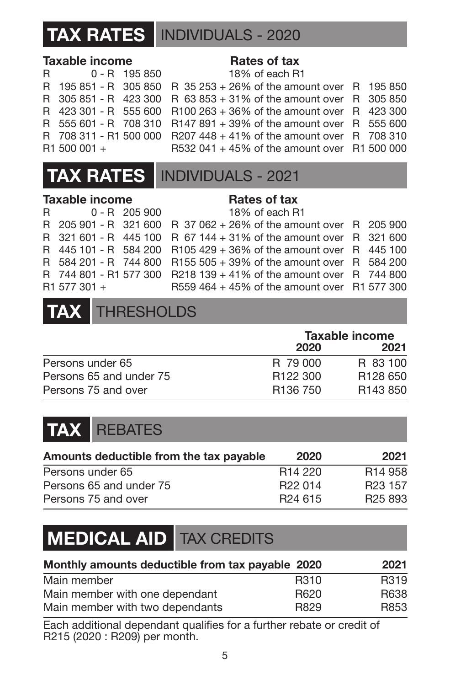### **TAX RATES** INDIVIDUALS - 2020

### **Taxable income <b>Rates of tax**

R 0 - R 195 850 R 195 851 - R 305 850  $R$  305 851 - R 423 300 R 423 301 - R 555 600  $R$  555 601 - R 708 310 R 708 311 - R1 500 000  $R1 500 001 +$ 

|  |  | 18% of each R1 |  |                                                 |  |  |
|--|--|----------------|--|-------------------------------------------------|--|--|
|  |  |                |  | R 35 253 + 26% of the amount over R 195 850     |  |  |
|  |  |                |  | R $63853 + 31\%$ of the amount over R 305850    |  |  |
|  |  |                |  | R100 263 + 36% of the amount over $R$ 423 300   |  |  |
|  |  |                |  | $R147891 + 39\%$ of the amount over $R$ 555 600 |  |  |
|  |  |                |  | $R207448 + 41\%$ of the amount over $R$ 708 310 |  |  |
|  |  |                |  | R532 041 + 45% of the amount over R1 500 000    |  |  |



#### **Taxable income Rates of tax**

|              | R 0-R 205 900 18% of each R1                                       |  |
|--------------|--------------------------------------------------------------------|--|
|              | R 205 901 - R 321 600 R 37 062 + 26% of the amount over R 205 900  |  |
|              | R 321 601 - R 445 100 R 67 144 + 31% of the amount over R 321 600  |  |
|              | R 445 101 - R 584 200 R105 429 + 36% of the amount over R 445 100  |  |
|              | R 584 201 - R 744 800 R155 505 + 39% of the amount over R 584 200  |  |
|              | R 744 801 - R1 577 300 R218 139 + 41% of the amount over R 744 800 |  |
| R1 577 301 + | R559 464 + 45% of the amount over R1 577 300                       |  |



|                         | Taxable income       |                      |  |
|-------------------------|----------------------|----------------------|--|
|                         | 2020                 | 2021                 |  |
| Persons under 65        | R 79,000             | R 83 100             |  |
| Persons 65 and under 75 | R <sub>122</sub> 300 | R <sub>128</sub> 650 |  |
| Persons 75 and over     | R <sub>136</sub> 750 | R <sub>143</sub> 850 |  |

### **TAX** REBATES

| Amounts deductible from the tax pavable | 2020                | 2021                |
|-----------------------------------------|---------------------|---------------------|
| Persons under 65                        | R <sub>14</sub> 220 | R <sub>14</sub> 958 |
| Persons 65 and under 75                 | R <sub>22</sub> 014 | R <sub>23</sub> 157 |
| Persons 75 and over                     | R <sub>24</sub> 615 | R <sub>25</sub> 893 |

### **MEDICAL AID** TAX CREDITS

| Monthly amounts deductible from tax payable 2020 |      | 2021 |
|--------------------------------------------------|------|------|
| Main member                                      | R310 | R319 |
| Main member with one dependant                   | R620 | R638 |
| Main member with two dependants                  | R829 | R853 |

Each additional dependant qualifies for a further rebate or credit of R215 (2020 : R209) per month.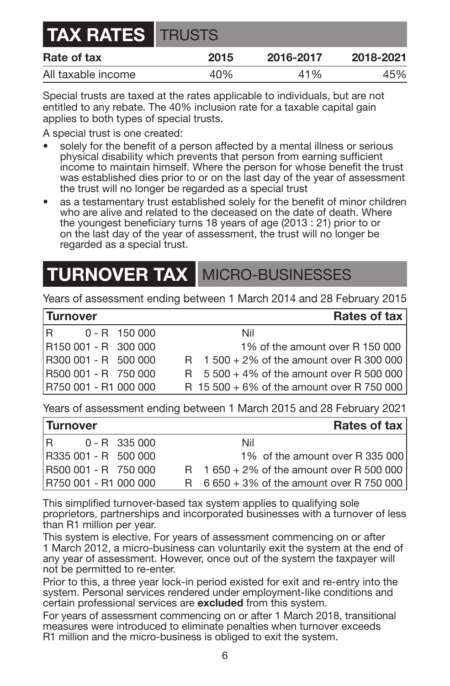| <b>TAX RATES TRUSTS</b> |      |           |           |
|-------------------------|------|-----------|-----------|
| Rate of tax             | 2015 | 2016-2017 | 2018-2021 |
| All taxable income      | 40%  | 41%       | 45%       |

Special trusts are taxed at the rates applicable to individuals, but are not entitled to any rebate. The 40% inclusion rate for a taxable capital gain applies to both types of special trusts.

A special trust is one created:

- solely for the benefit of a person affected by a mental illness or serious physical disability which prevents that person from earning sufficient income to maintain himself. Where the person for whose benefit the trust was established dies prior to or on the last day of the year of assessment the trust will no longer be regarded as a special trust
- as a testamentary trust established solely for the benefit of minor children who are alive and related to the deceased on the date of death. Where the youngest beneficiary turns 18 years of age (2013 : 21) prior to or on the last day of the year of assessment, the trust will no longer be regarded as a special trust.

### **TURNOVER TAX MICRO-BUSINESSES**

Years of assessment ending between 1 March 2014 and 28 February 2015

### **Turnover Rates of tax**

| R |                       | 0 - R 150 000 | Nil                                         |
|---|-----------------------|---------------|---------------------------------------------|
|   | R150 001 - R 300 000  |               | 1% of the amount over R 150 000             |
|   | R300 001 - R 500 000  |               | $R$ 1 500 + 2% of the amount over R 300 000 |
|   | R500 001 - R 750 000  |               | $R$ 5 500 + 4% of the amount over R 500 000 |
|   | R750 001 - R1 000 000 |               | R 15 500 + 6% of the amount over R 750 000  |

Years of assessment ending between 1 March 2015 and 28 February 2021

| <b>Turnover</b> |                       |                 | Rates of tax                                |
|-----------------|-----------------------|-----------------|---------------------------------------------|
| IR.             |                       | $0 - R$ 335 000 | Nil                                         |
|                 | R335 001 - R 500 000  |                 | 1% of the amount over R 335 000             |
|                 | R500 001 - R 750 000  |                 | $R$ 1 650 + 2% of the amount over R 500 000 |
|                 | R750 001 - R1 000 000 |                 | R $6650 + 3%$ of the amount over R 750 000  |

This simplified turnover-based tax system applies to qualifying sole proprietors, partnerships and incorporated businesses with a turnover of less than R1 million per year.

This system is elective. For years of assessment commencing on or after 1 March 2012, a micro-business can voluntarily exit the system at the end of any year of assessment. However, once out of the system the taxpayer will not be permitted to re-enter.

Prior to this, a three year lock-in period existed for exit and re-entry into the system. Personal services rendered under employment-like conditions and certain professional services are **excluded** from this system.

For years of assessment commencing on or after 1 March 2018, transitional measures were introduced to eliminate penalties when turnover exceeds R1 million and the micro-business is obliged to exit the system.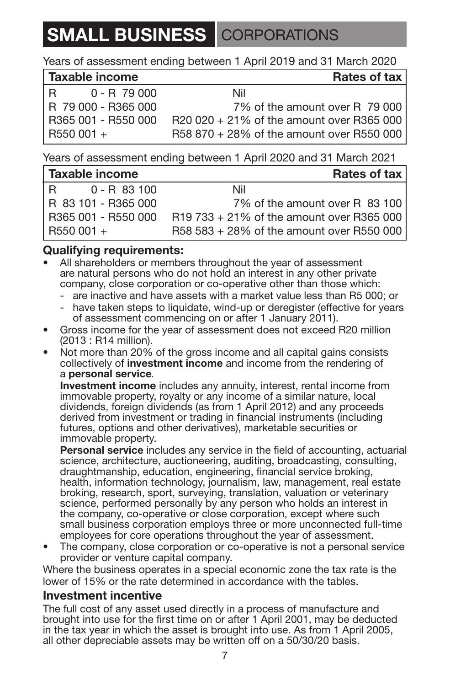### **SMALL BUSINESS** CORPORATIONS

Years of assessment ending between 1 April 2019 and 31 March 2020

| Taxable income      | Rates of tax                               |
|---------------------|--------------------------------------------|
| $0 - R$ 79 000<br>R | Nil                                        |
| R 79 000 - R365 000 | 7% of the amount over R 79 000             |
| R365 001 - R550 000 | $R20020 + 21\%$ of the amount over R365000 |
| $R550001 +$         | R58 870 + 28% of the amount over R550 000  |

Years of assessment ending between 1 April 2020 and 31 March 2021

| Taxable income      | Rates of tax                                |
|---------------------|---------------------------------------------|
| 0 - B 83 100<br>IR. | Nil                                         |
| R 83 101 - R365 000 | 7% of the amount over R 83 100              |
| R365 001 - R550 000 | $R19733 + 21\%$ of the amount over R365 000 |
| R550 001 +          | R58 583 + 28% of the amount over R550 000   |

### **Qualifying requirements:**

- All shareholders or members throughout the year of assessment are natural persons who do not hold an interest in any other private company, close corporation or co-operative other than those which:
	- are inactive and have assets with a market value less than R5 000; or
	- have taken steps to liquidate, wind-up or deregister (effective for years of assessment commencing on or after 1 January 2011).
- Gross income for the year of assessment does not exceed R20 million (2013 : R14 million).
- Not more than 20% of the gross income and all capital gains consists collectively of **investment income** and income from the rendering of a **personal service***.*

**Investment income** includes any annuity, interest, rental income from immovable property, royalty or any income of a similar nature, local dividends, foreign dividends (as from 1 April 2012) and any proceeds derived from investment or trading in financial instruments (including futures, options and other derivatives), marketable securities or immovable property.

**Personal service** includes any service in the field of accounting, actuarial science, architecture, auctioneering, auditing, broadcasting, consulting, draughtmanship, education, engineering, financial service broking, health, information technology, journalism, law, management, real estate broking, research, sport, surveying, translation, valuation or veterinary science, performed personally by any person who holds an interest in the company, co-operative or close corporation, except where such small business corporation employs three or more unconnected full-time employees for core operations throughout the year of assessment.

• The company, close corporation or co-operative is not a personal service provider or venture capital company.

Where the business operates in a special economic zone the tax rate is the lower of 15% or the rate determined in accordance with the tables.

### **Investment incentive**

The full cost of any asset used directly in a process of manufacture and brought into use for the first time on or after 1 April 2001, may be deducted in the tax year in which the asset is brought into use. As from 1 April 2005, all other depreciable assets may be written off on a 50/30/20 basis.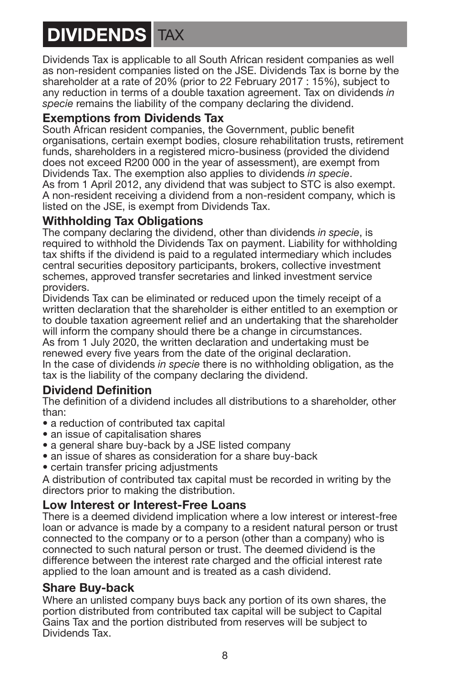# **DIVIDENDS**

Dividends Tax is applicable to all South African resident companies as well as non-resident companies listed on the JSE. Dividends Tax is borne by the shareholder at a rate of 20% (prior to 22 February 2017 : 15%), subject to any reduction in terms of a double taxation agreement. Tax on dividends *in*  specie remains the liability of the company declaring the dividend.

### **Exemptions from Dividends Tax**

South African resident companies, the Government, public benefit organisations, certain exempt bodies, closure rehabilitation trusts, retirement funds, shareholders in a registered micro-business (provided the dividend does not exceed R200 000 in the year of assessment), are exempt from Dividends Tax. The exemption also applies to dividends *in specie*.

As from 1 April 2012, any dividend that was subject to STC is also exempt. A non-resident receiving a dividend from a non-resident company, which is listed on the JSE, is exempt from Dividends Tax.

### **Withholding Tax Obligations**

The company declaring the dividend, other than dividends *in specie*, is required to withhold the Dividends Tax on payment. Liability for withholding tax shifts if the dividend is paid to a regulated intermediary which includes central securities depository participants, brokers, collective investment schemes, approved transfer secretaries and linked investment service providers.

Dividends Tax can be eliminated or reduced upon the timely receipt of a written declaration that the shareholder is either entitled to an exemption or to double taxation agreement relief and an undertaking that the shareholder will inform the company should there be a change in circumstances. As from 1 July 2020, the written declaration and undertaking must be renewed every five years from the date of the original declaration. In the case of dividends *in specie* there is no withholding obligation, as the tax is the liability of the company declaring the dividend.

### **Dividend Definition**

The definition of a dividend includes all distributions to a shareholder, other than:

- a reduction of contributed tax capital
- an issue of capitalisation shares
- a general share buy-back by a JSE listed company
- an issue of shares as consideration for a share buy-back
- certain transfer pricing adjustments

A distribution of contributed tax capital must be recorded in writing by the directors prior to making the distribution.

### **Low Interest or Interest-Free Loans**

There is a deemed dividend implication where a low interest or interest-free loan or advance is made by a company to a resident natural person or trust connected to the company or to a person (other than a company) who is connected to such natural person or trust. The deemed dividend is the difference between the interest rate charged and the official interest rate applied to the loan amount and is treated as a cash dividend.

### **Share Buy-back**

Where an unlisted company buys back any portion of its own shares, the portion distributed from contributed tax capital will be subject to Capital Gains Tax and the portion distributed from reserves will be subject to Dividends Tax.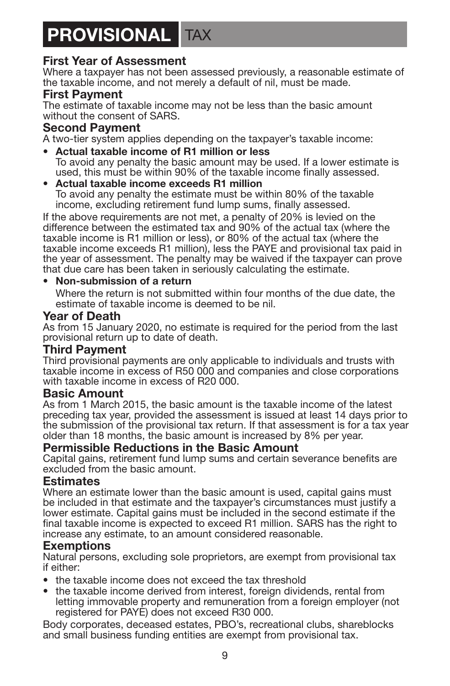### **PROVISIONAL** TAX

### **First Year of Assessment**

Where a taxpayer has not been assessed previously, a reasonable estimate of the taxable income, and not merely a default of nil, must be made.

#### **First Payment**

The estimate of taxable income may not be less than the basic amount without the consent of SARS.

#### **Second Payment**

A two-tier system applies depending on the taxpayer's taxable income:

- **Actual taxable income of R1 million or less** To avoid any penalty the basic amount may be used. If a lower estimate is used, this must be within 90% of the taxable income finally assessed.
- **Actual taxable income exceeds R1 million** To avoid any penalty the estimate must be within 80% of the taxable income, excluding retirement fund lump sums, finally assessed.

If the above requirements are not met, a penalty of 20% is levied on the difference between the estimated tax and 90% of the actual tax (where the taxable income is R1 million or less), or 80% of the actual tax (where the taxable income exceeds R1 million), less the PAYE and provisional tax paid in the year of assessment. The penalty may be waived if the taxpayer can prove that due care has been taken in seriously calculating the estimate.

#### • **Non-submission of a return**

Where the return is not submitted within four months of the due date, the estimate of taxable income is deemed to be nil.

#### **Year of Death**

As from 15 January 2020, no estimate is required for the period from the last provisional return up to date of death.

#### **Third Payment**

Third provisional payments are only applicable to individuals and trusts with taxable income in excess of R50 000 and companies and close corporations with taxable income in excess of R20 000.

#### **Basic Amount**

As from 1 March 2015, the basic amount is the taxable income of the latest preceding tax year, provided the assessment is issued at least 14 days prior to the submission of the provisional tax return. If that assessment is for a tax year older than 18 months, the basic amount is increased by 8% per year.

#### **Permissible Reductions in the Basic Amount**

Capital gains, retirement fund lump sums and certain severance benefits are excluded from the basic amount.

#### **Estimates**

Where an estimate lower than the basic amount is used, capital gains must be included in that estimate and the taxpayer's circumstances must justify a lower estimate. Capital gains must be included in the second estimate if the final taxable income is expected to exceed R1 million. SARS has the right to increase any estimate, to an amount considered reasonable.

#### **Exemptions**

Natural persons, excluding sole proprietors, are exempt from provisional tax if either:

- the taxable income does not exceed the tax threshold
- the taxable income derived from interest, foreign dividends, rental from letting immovable property and remuneration from a foreign employer (not registered for PAYE) does not exceed R30 000.

Body corporates, deceased estates, PBO's, recreational clubs, shareblocks and small business funding entities are exempt from provisional tax.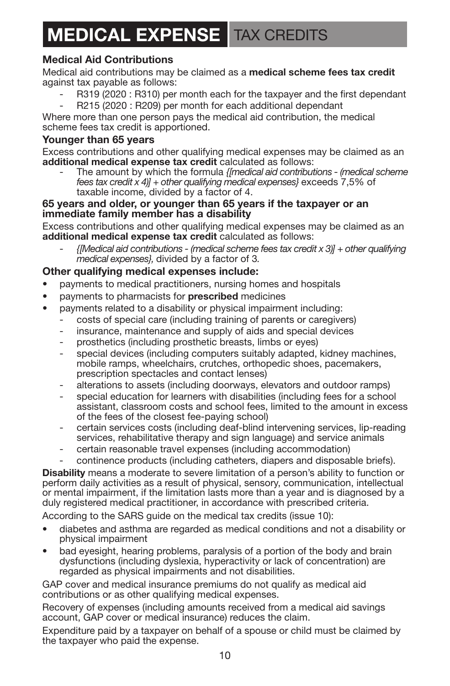## **MEDICAL EXPENSE** TAX CREDITS

#### **Medical Aid Contributions**

Medical aid contributions may be claimed as a **medical scheme fees tax credit** against tax payable as follows:

- R319 (2020 : R310) per month each for the taxpayer and the first dependant
- R215 (2020 : R209) per month for each additional dependant

Where more than one person pays the medical aid contribution, the medical scheme fees tax credit is apportioned.

#### **Younger than 65 years**

Excess contributions and other qualifying medical expenses may be claimed as an **additional medical expense tax credit** calculated as follows:

- The amount by which the formula *{[medical aid contributions - (medical scheme fees tax credit x 4)] + other qualifying medical expenses}* exceeds 7,5% of taxable income, divided by a factor of 4.

#### **65 years and older, or younger than 65 years if the taxpayer or an immediate family member has a disability**

Excess contributions and other qualifying medical expenses may be claimed as an **additional medical expense tax credit** calculated as follows:

- *{[Medical aid contributions - (medical scheme fees tax credit x 3)] + other qualifying medical expenses},* divided by a factor of 3*.*

#### **Other qualifying medical expenses include:**

- payments to medical practitioners, nursing homes and hospitals
- payments to pharmacists for **prescribed** medicines
- payments related to a disability or physical impairment including:
	- costs of special care (including training of parents or caregivers)
	- insurance, maintenance and supply of aids and special devices
	- prosthetics (including prosthetic breasts, limbs or eyes)
	- special devices (including computers suitably adapted, kidney machines, mobile ramps, wheelchairs, crutches, orthopedic shoes, pacemakers, prescription spectacles and contact lenses)
	- alterations to assets (including doorways, elevators and outdoor ramps)
	- special education for learners with disabilities (including fees for a school assistant, classroom costs and school fees, limited to the amount in excess of the fees of the closest fee-paying school)
	- certain services costs (including deaf-blind intervening services, lip-reading services, rehabilitative therapy and sign language) and service animals
	- certain reasonable travel expenses (including accommodation)
	- continence products (including catheters, diapers and disposable briefs).

**Disability** means a moderate to severe limitation of a person's ability to function or perform daily activities as a result of physical, sensory, communication, intellectual or mental impairment, if the limitation lasts more than a year and is diagnosed by a duly registered medical practitioner, in accordance with prescribed criteria.

According to the SARS guide on the medical tax credits (issue 10):

- diabetes and asthma are regarded as medical conditions and not a disability or physical impairment
- bad eyesight, hearing problems, paralysis of a portion of the body and brain dysfunctions (including dyslexia, hyperactivity or lack of concentration) are regarded as physical impairments and not disabilities.

GAP cover and medical insurance premiums do not qualify as medical aid contributions or as other qualifying medical expenses.

Recovery of expenses (including amounts received from a medical aid savings account, GAP cover or medical insurance) reduces the claim.

Expenditure paid by a taxpayer on behalf of a spouse or child must be claimed by the taxpayer who paid the expense.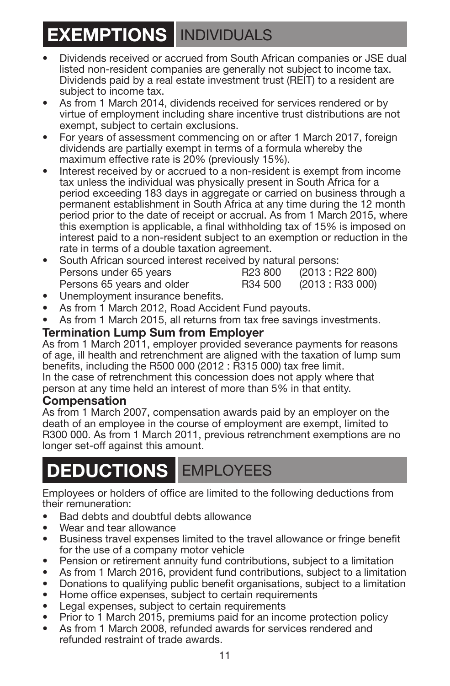### **EXEMPTIONS** INDIVIDUALS

- Dividends received or accrued from South African companies or JSE dual listed non-resident companies are generally not subject to income tax. Dividends paid by a real estate investment trust (REIT) to a resident are subject to income tax.
- As from 1 March 2014, dividends received for services rendered or by virtue of employment including share incentive trust distributions are not exempt, subject to certain exclusions.
- For years of assessment commencing on or after 1 March 2017, foreign dividends are partially exempt in terms of a formula whereby the maximum effective rate is 20% (previously 15%).
- Interest received by or accrued to a non-resident is exempt from income tax unless the individual was physically present in South Africa for a period exceeding 183 days in aggregate or carried on business through a permanent establishment in South Africa at any time during the 12 month period prior to the date of receipt or accrual. As from 1 March 2015, where this exemption is applicable, a final withholding tax of 15% is imposed on interest paid to a non-resident subject to an exemption or reduction in the rate in terms of a double taxation agreement.
- South African sourced interest received by natural persons:<br>Persons under 65 years<br>R23 800 (2013 : R22 800) Persons under 65 years R23 800 Persons 65 years and older R34 500 (2013 : R33 000)
- Unemployment insurance benefits.
- As from 1 March 2012, Road Accident Fund payouts.
- As from 1 March 2015, all returns from tax free savings investments.

### **Termination Lump Sum from Employer**

As from 1 March 2011, employer provided severance payments for reasons of age, ill health and retrenchment are aligned with the taxation of lump sum benefits, including the R500 000 (2012 : R315 000) tax free limit.

In the case of retrenchment this concession does not apply where that person at any time held an interest of more than 5% in that entity.

#### **Compensation**

As from 1 March 2007, compensation awards paid by an employer on the death of an employee in the course of employment are exempt, limited to R300 000. As from 1 March 2011, previous retrenchment exemptions are no longer set-off against this amount.

### **DEDUCTIONS** EMPLOYEES

Employees or holders of office are limited to the following deductions from their remuneration:

- Bad debts and doubtful debts allowance
- Wear and tear allowance
- Business travel expenses limited to the travel allowance or fringe benefit for the use of a company motor vehicle
- Pension or retirement annuity fund contributions, subject to a limitation
- As from 1 March 2016, provident fund contributions, subject to a limitation
- Donations to qualifying public benefit organisations, subject to a limitation
- Home office expenses, subject to certain requirements
- Legal expenses, subject to certain requirements
- Prior to 1 March 2015, premiums paid for an income protection policy
- As from 1 March 2008, refunded awards for services rendered and refunded restraint of trade awards.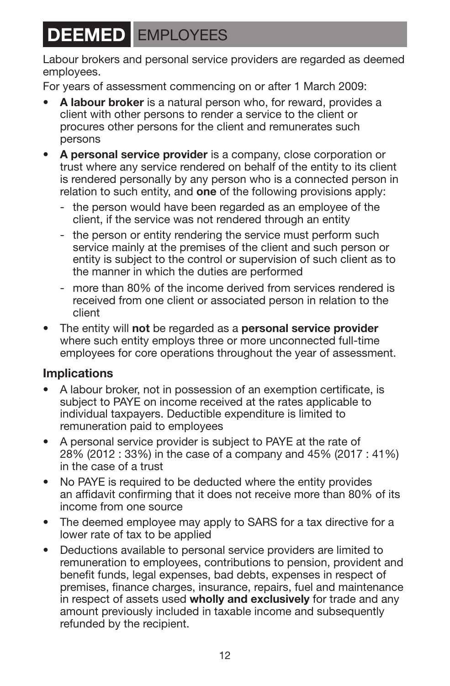# <span id="page-13-0"></span>**DEEMED** EMPLOYEES

Labour brokers and personal service providers are regarded as deemed employees.

For years of assessment commencing on or after 1 March 2009:

- **A labour broker** is a natural person who, for reward, provides a client with other persons to render a service to the client or procures other persons for the client and remunerates such persons
- **A personal service provider** is a company, close corporation or trust where any service rendered on behalf of the entity to its client is rendered personally by any person who is a connected person in relation to such entity, and **one** of the following provisions apply:
	- the person would have been regarded as an employee of the client, if the service was not rendered through an entity
	- the person or entity rendering the service must perform such service mainly at the premises of the client and such person or entity is subject to the control or supervision of such client as to the manner in which the duties are performed
	- more than 80% of the income derived from services rendered is received from one client or associated person in relation to the client
- The entity will **not** be regarded as a **personal service provider** where such entity employs three or more unconnected full-time employees for core operations throughout the year of assessment.

### **Implications**

- A labour broker, not in possession of an exemption certificate, is subject to PAYE on income received at the rates applicable to individual taxpayers. Deductible expenditure is limited to remuneration paid to employees
- A personal service provider is subject to PAYE at the rate of 28% (2012 : 33%) in the case of a company and 45% (2017 : 41%) in the case of a trust
- No PAYE is required to be deducted where the entity provides an affidavit confirming that it does not receive more than 80% of its income from one source
- The deemed employee may apply to SARS for a tax directive for a lower rate of tax to be applied
- Deductions available to personal service providers are limited to remuneration to employees, contributions to pension, provident and benefit funds, legal expenses, bad debts, expenses in respect of premises, finance charges, insurance, repairs, fuel and maintenance in respect of assets used **wholly and exclusively** for trade and any amount previously included in taxable income and subsequently refunded by the recipient.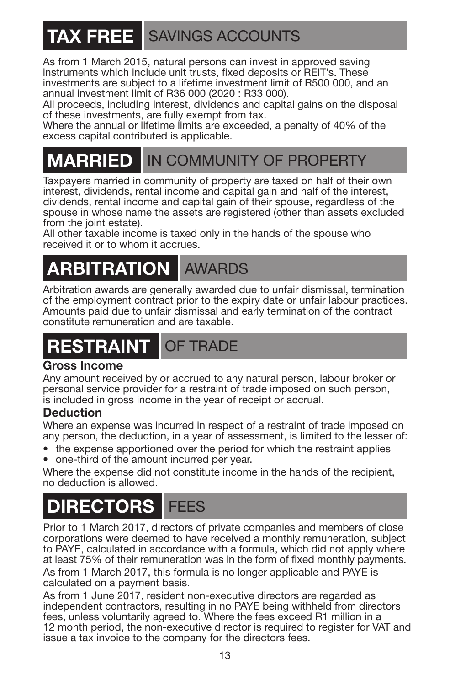# **TAX FREE** SAVINGS ACCOUNTS

As from 1 March 2015, natural persons can invest in approved saving instruments which include unit trusts, fixed deposits or REIT's. These investments are subject to a lifetime investment limit of R500 000, and an annual investment limit of R36 000 (2020 : R33 000).

All proceeds, including interest, dividends and capital gains on the disposal of these investments, are fully exempt from tax.

Where the annual or lifetime limits are exceeded, a penalty of 40% of the excess capital contributed is applicable.

### **MARRIED** IN COMMUNITY OF PROPERTY

Taxpayers married in community of property are taxed on half of their own interest, dividends, rental income and capital gain and half of the interest, dividends, rental income and capital gain of their spouse, regardless of the spouse in whose name the assets are registered (other than assets excluded from the joint estate).

All other taxable income is taxed only in the hands of the spouse who received it or to whom it accrues.

# **ARBITRATION** AWARDS

Arbitration awards are generally awarded due to unfair dismissal, termination of the employment contract prior to the expiry date or unfair labour practices. Amounts paid due to unfair dismissal and early termination of the contract constitute remuneration and are taxable.

### **RESTRAINT** OF TRADE

### **Gross Income**

Any amount received by or accrued to any natural person, labour broker or personal service provider for a restraint of trade imposed on such person, is included in gross income in the year of receipt or accrual.

### **Deduction**

Where an expense was incurred in respect of a restraint of trade imposed on any person, the deduction, in a year of assessment, is limited to the lesser of:

- the expense apportioned over the period for which the restraint applies
- one-third of the amount incurred per year.

Where the expense did not constitute income in the hands of the recipient, no deduction is allowed.

### **DIRECTORS** FEES

Prior to 1 March 2017, directors of private companies and members of close corporations were deemed to have received a monthly remuneration, subject to PAYE, calculated in accordance with a formula, which did not apply where at least 75% of their remuneration was in the form of fixed monthly payments. As from 1 March 2017, this formula is no longer applicable and PAYE is calculated on a payment basis.

As from 1 June 2017, resident non-executive directors are regarded as independent contractors, resulting in no PAYE being withheld from directors fees, unless voluntarily agreed to. Where the fees exceed R1 million in a 12 month period, the non-executive director is required to register for VAT and issue a tax invoice to the company for the directors fees.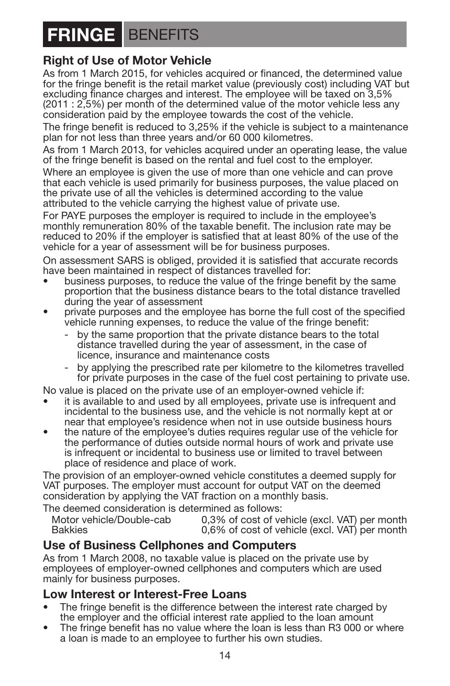# **FRINGE** BENEFITS

### **Right of Use of Motor Vehicle**

As from 1 March 2015, for vehicles acquired or financed, the determined value for the fringe benefit is the retail market value (previously cost) including VAT but excluding finance charges and interest. The employee will be taxed on 3,5% (2011 : 2,5%) per month of the determined value of the motor vehicle less any consideration paid by the employee towards the cost of the vehicle.

The fringe benefit is reduced to 3,25% if the vehicle is subject to a maintenance plan for not less than three years and/or 60 000 kilometres.

As from 1 March 2013, for vehicles acquired under an operating lease, the value of the fringe benefit is based on the rental and fuel cost to the employer.

Where an employee is given the use of more than one vehicle and can prove that each vehicle is used primarily for business purposes, the value placed on the private use of all the vehicles is determined according to the value attributed to the vehicle carrying the highest value of private use.

For PAYE purposes the employer is required to include in the employee's monthly remuneration 80% of the taxable benefit. The inclusion rate may be reduced to 20% if the employer is satisfied that at least 80% of the use of the vehicle for a year of assessment will be for business purposes.

On assessment SARS is obliged, provided it is satisfied that accurate records have been maintained in respect of distances travelled for:

- business purposes, to reduce the value of the fringe benefit by the same proportion that the business distance bears to the total distance travelled
- private purposes and the employee has borne the full cost of the specified vehicle running expenses, to reduce the value of the fringe benefit:
	- by the same proportion that the private distance bears to the total distance travelled during the year of assessment, in the case of licence, insurance and maintenance costs
	- by applying the prescribed rate per kilometre to the kilometres travelled for private purposes in the case of the fuel cost pertaining to private use.

No value is placed on the private use of an employer-owned vehicle if:

- it is available to and used by all employees, private use is infrequent and incidental to the business use, and the vehicle is not normally kept at or near that employee's residence when not in use outside business hours
- the nature of the employee's duties requires regular use of the vehicle for the performance of duties outside normal hours of work and private use is infrequent or incidental to business use or limited to travel between place of residence and place of work.

The provision of an employer-owned vehicle constitutes a deemed supply for VAT purposes. The employer must account for output VAT on the deemed consideration by applying the VAT fraction on a monthly basis.

The deemed consideration is determined as follows:<br>Motor vehicle/Double-cabused 0.3% of cost of ve

Motor vehicle/Double-cab 0,3% of cost of vehicle (excl. VAT) per month<br>Bakkies 0.6% of cost of vehicle (excl. VAT) per month  $0.6\%$  of cost of vehicle (excl. VAT) per month

### **Use of Business Cellphones and Computers**

As from 1 March 2008, no taxable value is placed on the private use by employees of employer-owned cellphones and computers which are used mainly for business purposes.

### **Low Interest or Interest-Free Loans**

- The fringe benefit is the difference between the interest rate charged by the employer and the official interest rate applied to the loan amount
- The fringe benefit has no value where the loan is less than R3 000 or where a loan is made to an employee to further his own studies.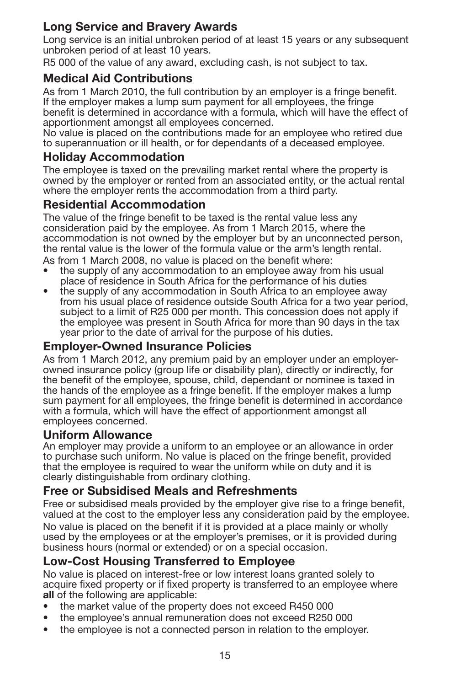### **Long Service and Bravery Awards**

Long service is an initial unbroken period of at least 15 years or any subsequent unbroken period of at least 10 years.

R5 000 of the value of any award, excluding cash, is not subject to tax.

### **Medical Aid Contributions**

As from 1 March 2010, the full contribution by an employer is a fringe benefit. If the employer makes a lump sum payment for all employees, the fringe benefit is determined in accordance with a formula, which will have the effect of apportionment amongst all employees concerned.

No value is placed on the contributions made for an employee who retired due to superannuation or ill health, or for dependants of a deceased employee.

### **Holiday Accommodation**

The employee is taxed on the prevailing market rental where the property is owned by the employer or rented from an associated entity, or the actual rental where the employer rents the accommodation from a third party.

### **Residential Accommodation**

The value of the fringe benefit to be taxed is the rental value less any consideration paid by the employee. As from 1 March 2015, where the accommodation is not owned by the employer but by an unconnected person, the rental value is the lower of the formula value or the arm's length rental.

As from 1 March 2008, no value is placed on the benefit where:

- the supply of any accommodation to an employee away from his usual place of residence in South Africa for the performance of his duties
- the supply of any accommodation in South Africa to an employee away from his usual place of residence outside South Africa for a two year period, subject to a limit of R25 000 per month. This concession does not apply if the employee was present in South Africa for more than 90 days in the tax year prior to the date of arrival for the purpose of his duties.

### **Employer-Owned Insurance Policies**

As from 1 March 2012, any premium paid by an employer under an employerowned insurance policy (group life or disability plan), directly or indirectly, for the benefit of the employee, spouse, child, dependant or nominee is taxed in the hands of the employee as a fringe benefit. If the employer makes a lump sum payment for all employees, the fringe benefit is determined in accordance with a formula, which will have the effect of apportionment amongst all employees concerned.

#### **Uniform Allowance**

An employer may provide a uniform to an employee or an allowance in order to purchase such uniform. No value is placed on the fringe benefit, provided that the employee is required to wear the uniform while on duty and it is clearly distinguishable from ordinary clothing.

#### **Free or Subsidised Meals and Refreshments**

Free or subsidised meals provided by the employer give rise to a fringe benefit, valued at the cost to the employer less any consideration paid by the employee. No value is placed on the benefit if it is provided at a place mainly or wholly used by the employees or at the employer's premises, or it is provided during business hours (normal or extended) or on a special occasion.

### **Low-Cost Housing Transferred to Employee**

No value is placed on interest-free or low interest loans granted solely to acquire fixed property or if fixed property is transferred to an employee where **all** of the following are applicable:

- the market value of the property does not exceed R450 000
- the employee's annual remuneration does not exceed R250 000
- the employee is not a connected person in relation to the employer.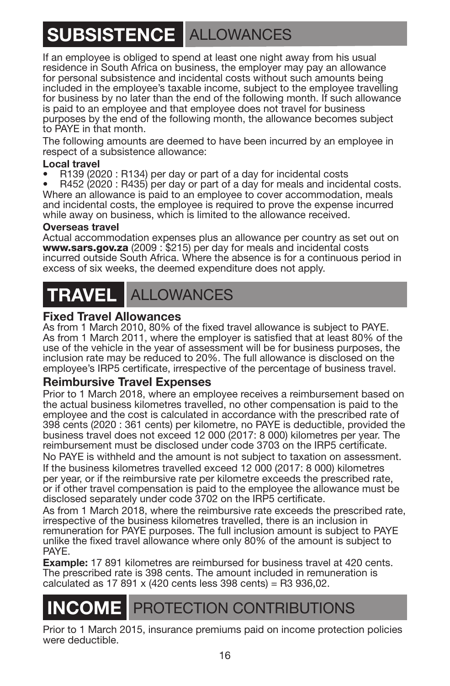# **SUBSISTENCE** ALLOWANCES

If an employee is obliged to spend at least one night away from his usual residence in South Africa on business, the employer may pay an allowance for personal subsistence and incidental costs without such amounts being included in the employee's taxable income, subject to the employee travelling for business by no later than the end of the following month. If such allowance is paid to an employee and that employee does not travel for business purposes by the end of the following month, the allowance becomes subject to PAYE in that month.

The following amounts are deemed to have been incurred by an employee in respect of a subsistence allowance:

**Local travel**<br>• R139 (2020 : R134) per day or part of a day for incidental costs

R452 (2020 : R435) per day or part of a day for meals and incidental costs. Where an allowance is paid to an employee to cover accommodation, meals and incidental costs, the employee is required to prove the expense incurred while away on business, which is limited to the allowance received.

#### **Overseas travel**

Actual accommodation expenses plus an allowance per country as set out on www.sars.gov.za (2009 : \$215) per day for meals and incidental costs incurred outside South Africa. Where the absence is for a continuous period in excess of six weeks, the deemed expenditure does not apply.

### **TRAVEL** ALLOWANCES

#### **Fixed Travel Allowances**

As from 1 March 2010, 80% of the fixed travel allowance is subject to PAYE. As from 1 March 2011, where the employer is satisfied that at least 80% of the use of the vehicle in the year of assessment will be for business purposes, the inclusion rate may be reduced to 20%. The full allowance is disclosed on the employee's IRP5 certificate, irrespective of the percentage of business travel.

#### **Reimbursive Travel Expenses**

Prior to 1 March 2018, where an employee receives a reimbursement based on the actual business kilometres travelled, no other compensation is paid to the employee and the cost is calculated in accordance with the prescribed rate of 398 cents (2020 : 361 cents) per kilometre, no PAYE is deductible, provided the business travel does not exceed 12 000 (2017: 8 000) kilometres per year. The reimbursement must be disclosed under code 3703 on the IRP5 certificate. No PAYE is withheld and the amount is not subject to taxation on assessment. If the business kilometres travelled exceed 12 000 (2017: 8 000) kilometres per year, or if the reimbursive rate per kilometre exceeds the prescribed rate, or if other travel compensation is paid to the employee the allowance must be disclosed separately under code 3702 on the IRP5 certificate.

As from 1 March 2018, where the reimbursive rate exceeds the prescribed rate, irrespective of the business kilometres travelled, there is an inclusion in remuneration for PAYE purposes. The full inclusion amount is subject to PAYE unlike the fixed travel allowance where only 80% of the amount is subject to PAYE.

**Example:** 17 891 kilometres are reimbursed for business travel at 420 cents. The prescribed rate is 398 cents. The amount included in remuneration is calculated as 17 891 x (420 cents less 398 cents) = R3 936,02.

### **PROTECTION CONTRIBUTIONS**

Prior to 1 March 2015, insurance premiums paid on income protection policies were deductible.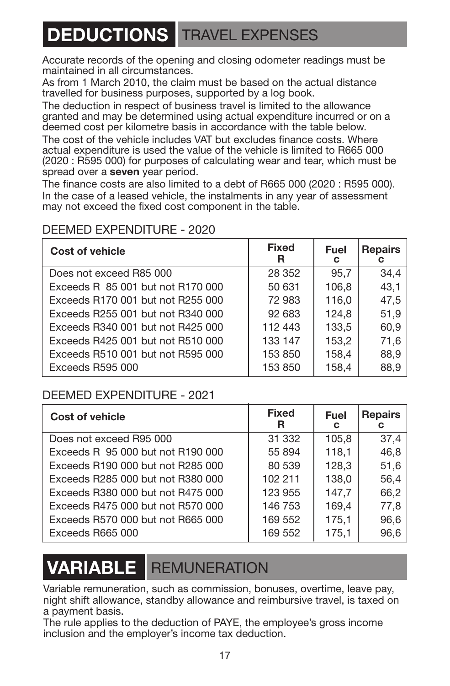### **DEDUCTIONS** TRAVEL EXPENSES

Accurate records of the opening and closing odometer readings must be maintained in all circumstances.

As from 1 March 2010, the claim must be based on the actual distance travelled for business purposes, supported by a log book.

The deduction in respect of business travel is limited to the allowance granted and may be determined using actual expenditure incurred or on a deemed cost per kilometre basis in accordance with the table below.

The cost of the vehicle includes VAT but excludes finance costs. Where actual expenditure is used the value of the vehicle is limited to R665 000 (2020 : R595 000) for purposes of calculating wear and tear, which must be spread over a **seven** year period.

The finance costs are also limited to a debt of R665 000 (2020 : R595 000). In the case of a leased vehicle, the instalments in any year of assessment may not exceed the fixed cost component in the table.

### DEEMED EXPENDITURE - 2020

| Cost of vehicle                   | <b>Fixed</b><br>R | Fuel<br>с | <b>Repairs</b><br>С |
|-----------------------------------|-------------------|-----------|---------------------|
| Does not exceed R85 000           | 28 352            | 95.7      | 34,4                |
| Exceeds R 85 001 but not R170 000 | 50 631            | 106.8     | 43.1                |
| Exceeds R170 001 but not R255 000 | 72983             | 116.0     | 47.5                |
| Exceeds R255 001 but not R340 000 | 92 683            | 124.8     | 51,9                |
| Exceeds R340 001 but not R425 000 | 112 443           | 133.5     | 60.9                |
| Exceeds R425 001 but not R510 000 | 133 147           | 153,2     | 71,6                |
| Exceeds R510 001 but not R595 000 | 153 850           | 158.4     | 88.9                |
| Exceeds R595 000                  | 153 850           | 158.4     | 88.9                |

### DEEMED EXPENDITURE - 2021

| <b>Cost of vehicle</b>            | Fixed<br>R | Fuel<br>С | <b>Repairs</b><br>с |
|-----------------------------------|------------|-----------|---------------------|
| Does not exceed R95 000           | 31 332     | 105.8     | 37.4                |
| Exceeds R 95 000 but not R190 000 | 55 894     | 118.1     | 46.8                |
| Exceeds R190 000 but not R285 000 | 80 539     | 128,3     | 51,6                |
| Exceeds R285 000 but not R380 000 | 102 211    | 138.0     | 56.4                |
| Exceeds R380 000 but not R475 000 | 123 955    | 147.7     | 66,2                |
| Exceeds R475 000 but not R570 000 | 146 753    | 169.4     | 77.8                |
| Exceeds R570 000 but not R665 000 | 169 552    | 175,1     | 96,6                |
| Exceeds R665 000                  | 169 552    | 175.1     | 96.6                |

### **VARIABLE** REMUNERATION

Variable remuneration, such as commission, bonuses, overtime, leave pay, night shift allowance, standby allowance and reimbursive travel, is taxed on a payment basis.

The rule applies to the deduction of PAYE, the employee's gross income inclusion and the employer's income tax deduction.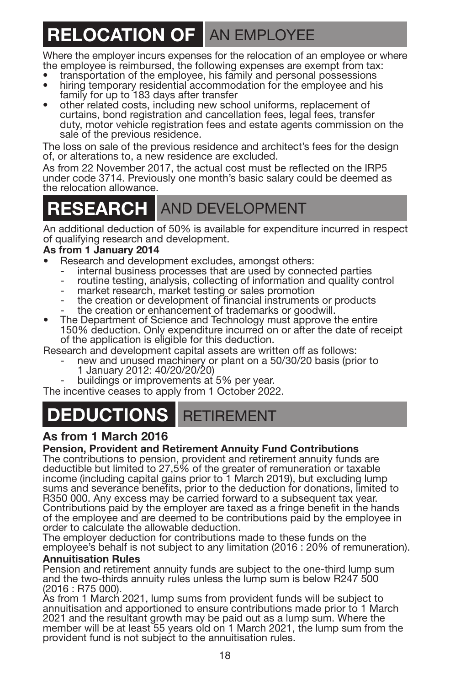# **RELOCATION OF AN EMPLOYEE**

Where the employer incurs expenses for the relocation of an employee or where

- the employee is reimbursed, the following expenses are exempt from tax:<br>• transportation of the employee, his family and personal possessions
- hiring temporary residential accommodation for the employee and his family for up to 183 days after transfer
- other related costs, including new school uniforms, replacement of curtains, bond registration and cancellation fees, legal fees, transfer duty, motor vehicle registration fees and estate agents commission on the sale of the previous residence.

The loss on sale of the previous residence and architect's fees for the design of, or alterations to, a new residence are excluded.

As from 22 November 2017, the actual cost must be reflected on the IRP5 under code 3714. Previously one month's basic salary could be deemed as the relocation allowance.

### **RESEARCH** AND DEVELOPMENT

An additional deduction of 50% is available for expenditure incurred in respect of qualifying research and development.

- **As from 1 January 2014**
	-
	- internal business processes that are used by connected parties<br>- routine testing, analysis, collecting of information and quality control<br>- market research, market testing or sales promotion<br>- the creation or development
	-
	-
	-
- 150% deduction. Only expenditure incurred on or after the date of receipt of the application is eligible for this deduction.

- Research and development capital assets are written off as follows:<br>- new and unused machinery or plant on a 50/30/20 basis (prior to<br>1 January 2012: 40/20/20/20)
	- buildings or improvements at 5% per year.

The incentive ceases to apply from 1 October 2022.

### **DEDUCTIONS** RETIREMENT

### **As from 1 March 2016**

#### **Pension, Provident and Retirement Annuity Fund Contributions**

The contributions to pension, provident and retirement annuity funds are deductible but limited to 27,5% of the greater of remuneration or taxable income (including capital gains prior to 1 March 2019), but excluding lump sums and severance benefits, prior to the deduction for donations, limited to R350 000. Any excess may be carried forward to a subsequent tax year. Contributions paid by the employer are taxed as a fringe benefit in the hands of the employee and are deemed to be contributions paid by the employee in order to calculate the allowable deduction.

The employer deduction for contributions made to these funds on the employee's behalf is not subject to any limitation (2016 : 20% of remuneration).

#### **Annuitisation Rules**

Pension and retirement annuity funds are subject to the one-third lump sum and the two-thirds annuity rules unless the lump sum is below R247 500 (2016 : R75 000).

As from 1 March 2021, lump sums from provident funds will be subject to annuitisation and apportioned to ensure contributions made prior to 1 March 2021 and the resultant growth may be paid out as a lump sum. Where the member will be at least 55 years old on 1 March 2021, the lump sum from the provident fund is not subject to the annuitisation rules.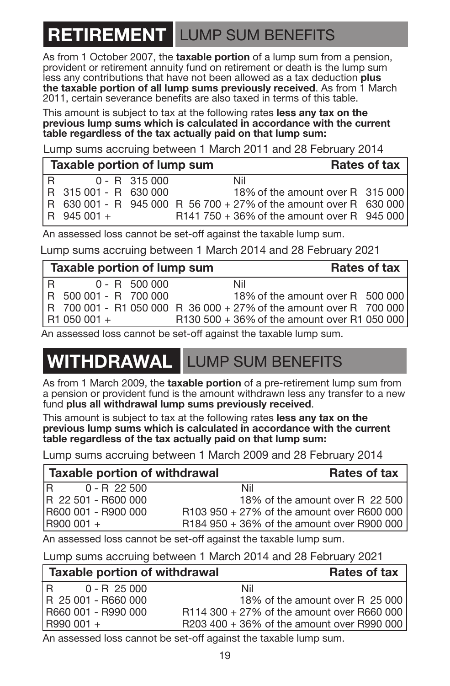### **RETIREMENT** LUMP SUM BENEFITS

As from 1 October 2007, the **taxable portion** of a lump sum from a pension, provident or retirement annuity fund on retirement or death is the lump sum less any contributions that have not been allowed as a tax deduction **plus the taxable portion of all lump sums previously received**. As from 1 March 2011, certain severance benefits are also taxed in terms of this table.

This amount is subject to tax at the following rates **less any tax on the previous lump sums which is calculated in accordance with the current table regardless of the tax actually paid on that lump sum:**

Lump sums accruing between 1 March 2011 and 28 February 2014

|   | Taxable portion of lump sum |                 |  |                                                                   | Rates of tax |
|---|-----------------------------|-----------------|--|-------------------------------------------------------------------|--------------|
| R |                             | $0 - R$ 315 000 |  | Nil                                                               |              |
|   | R 315 001 - R 630 000       |                 |  | 18% of the amount over R 315 000                                  |              |
|   |                             |                 |  | R 630 001 - R 945 000 R 56 700 + 27% of the amount over R 630 000 |              |
|   | R 945 001 +                 |                 |  | R141 750 + 36% of the amount over R 945 000                       |              |

An assessed loss cannot be set-off against the taxable lump sum.

Lump sums accruing between 1 March 2014 and 28 February 2021

| Taxable portion of lump sum |  |                       |                                                                    |     | Rates of tax                     |  |
|-----------------------------|--|-----------------------|--------------------------------------------------------------------|-----|----------------------------------|--|
| $\overline{R}$              |  | $0 - R$ 500 000       |                                                                    | Nil |                                  |  |
|                             |  | R 500 001 - R 700 000 |                                                                    |     | 18% of the amount over R 500 000 |  |
|                             |  |                       | R 700 001 - R1 050 000 R 36 000 + 27% of the amount over R 700 000 |     |                                  |  |
| R1 050 001 +                |  |                       | R130 500 + 36% of the amount over R1 050 000                       |     |                                  |  |

An assessed loss cannot be set-off against the taxable lump sum.

### **ITHDRAWAL** LUMP SUM BENEFITS

As from 1 March 2009, the **taxable portion** of a pre-retirement lump sum from a pension or provident fund is the amount withdrawn less any transfer to a new fund **plus all withdrawal lump sums previously received**.

This amount is subject to tax at the following rates **less any tax on the previous lump sums which is calculated in accordance with the current table regardless of the tax actually paid on that lump sum:**

Lump sums accruing between 1 March 2009 and 28 February 2014

| Taxable portion of withdrawal |                                            | Rates of tax                    |
|-------------------------------|--------------------------------------------|---------------------------------|
| IR.<br>$0 - R$ 22 500         | Nil                                        |                                 |
| IR 22 501 - R600 000          |                                            | 18% of the amount over R 22 500 |
| R600 001 - R900 000           | R103 950 + 27% of the amount over R600 000 |                                 |
| $R900001 +$                   | R184 950 + 36% of the amount over R900 000 |                                 |

An assessed loss cannot be set-off against the taxable lump sum.

Lump sums accruing between 1 March 2014 and 28 February 2021

| Taxable portion of withdrawal |                                            | Rates of tax                    |
|-------------------------------|--------------------------------------------|---------------------------------|
| IR.<br>$0 - R$ 25 000         | Nil                                        |                                 |
| R 25 001 - R660 000           |                                            | 18% of the amount over R 25 000 |
| R660 001 - R990 000           | R114 300 + 27% of the amount over R660 000 |                                 |
| R990 001 +                    | R203 400 + 36% of the amount over R990 000 |                                 |
|                               |                                            |                                 |

An assessed loss cannot be set-off against the taxable lump sum.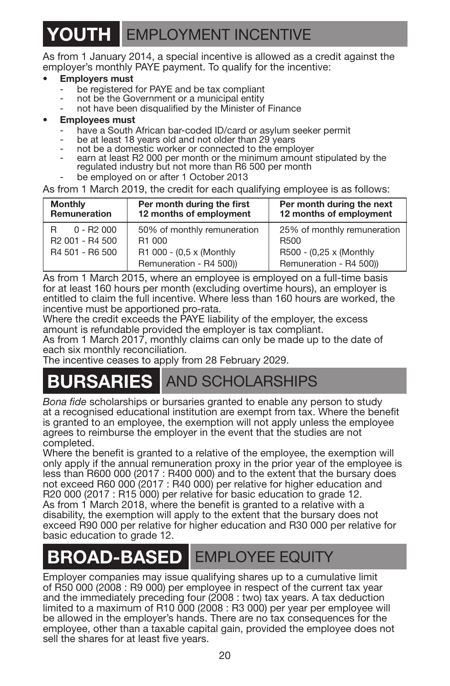### **YOUTH** EMPLOYMENT INCENTIVE

As from 1 January 2014, a special incentive is allowed as a credit against the employer's monthly PAYE payment. To qualify for the incentive:

- **Employers must**<br>- be registered for PAYE and be tax compliant
- not be the Government or a municipal entity
- not have been disqualified by the Minister of Finance
- - **Employees must**<br>- have a South African bar-coded ID/card or asylum seeker permit
	-
	-
	- be at least 18 years old and not older than 29 years<br>not be a domestic worker or connected to the employer<br>earn at least R2 000 per month or the minimum amount stipulated by the<br>regulated industry but not more than R6 500
	- be employed on or after 1 October 2013

As from 1 March 2019, the credit for each qualifying employee is as follows:

| <b>Monthly</b>                          | Per month during the first  | Per month during the next   |  |
|-----------------------------------------|-----------------------------|-----------------------------|--|
| Remuneration                            | 12 months of employment     | 12 months of employment     |  |
| $0 - R2000$                             | 50% of monthly remuneration | 25% of monthly remuneration |  |
| R                                       | R <sub>1</sub> 000          | R <sub>500</sub>            |  |
| R <sub>2</sub> 001 - R <sub>4</sub> 500 | R1 000 - (0,5 x (Monthly    | R500 - (0,25 x (Monthly     |  |
| R4 501 - R6 500                         | Remuneration - R4 500))     | Remuneration - R4 500))     |  |

As from 1 March 2015, where an employee is employed on a full-time basis for at least 160 hours per month (excluding overtime hours), an employer is entitled to claim the full incentive. Where less than 160 hours are worked, the incentive must be apportioned pro-rata.

Where the credit exceeds the PAYE liability of the employer, the excess amount is refundable provided the employer is tax compliant.

As from 1 March 2017, monthly claims can only be made up to the date of each six monthly reconciliation.

The incentive ceases to apply from 28 February 2029.

### **BURSARIES** AND SCHOLARSHIPS

*Bona fide* scholarships or bursaries granted to enable any person to study at a recognised educational institution are exempt from tax. Where the benefit is granted to an employee, the exemption will not apply unless the employee agrees to reimburse the employer in the event that the studies are not completed.

Where the benefit is granted to a relative of the employee, the exemption will only apply if the annual remuneration proxy in the prior year of the employee is less than R600 000 (2017 : R400 000) and to the extent that the bursary does not exceed R60 000 (2017 : R40 000) per relative for higher education and R20 000 (2017 : R15 000) per relative for basic education to grade 12. As from 1 March 2018, where the benefit is granted to a relative with a disability, the exemption will apply to the extent that the bursary does not exceed R90 000 per relative for higher education and R30 000 per relative for basic education to grade 12.

### **BROAD-BASED** EMPLOYEE EQUITY

Employer companies may issue qualifying shares up to a cumulative limit of R50 000 (2008 : R9 000) per employee in respect of the current tax year and the immediately preceding four (2008 : two) tax years. A tax deduction limited to a maximum of R10 000 (2008 : R3 000) per year per employee will be allowed in the employer's hands. There are no tax consequences for the employee, other than a taxable capital gain, provided the employee does not sell the shares for at least five years.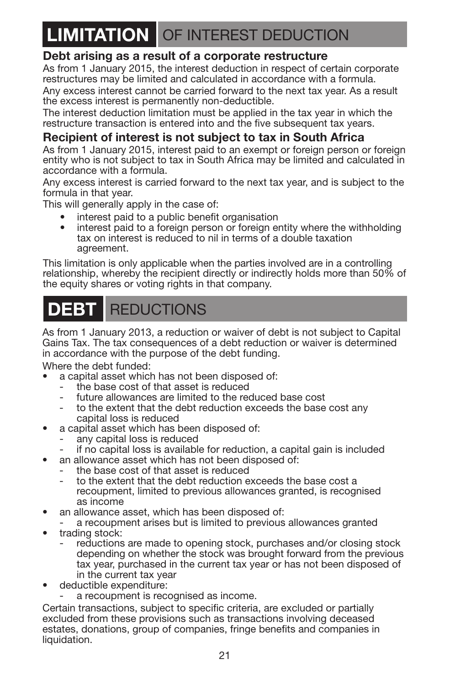### **LIMITATION** OF INTEREST DEDUCTION

### **Debt arising as a result of a corporate restructure**

As from 1 January 2015, the interest deduction in respect of certain corporate restructures may be limited and calculated in accordance with a formula. Any excess interest cannot be carried forward to the next tax year. As a result

the excess interest is permanently non-deductible. The interest deduction limitation must be applied in the tax year in which the

restructure transaction is entered into and the five subsequent tax years.

### **Recipient of interest is not subject to tax in South Africa**

As from 1 January 2015, interest paid to an exempt or foreign person or foreign entity who is not subject to tax in South Africa may be limited and calculated in accordance with a formula.

Any excess interest is carried forward to the next tax year, and is subject to the formula in that year.

This will generally apply in the case of:

- **•** interest paid to a public benefit organisation
- **•** interest paid to a foreign person or foreign entity where the withholding tax on interest is reduced to nil in terms of a double taxation agreement.

This limitation is only applicable when the parties involved are in a controlling relationship, whereby the recipient directly or indirectly holds more than 50% of the equity shares or voting rights in that company.

### **DEBT** REDUCTIONS

As from 1 January 2013, a reduction or waiver of debt is not subject to Capital Gains Tax. The tax consequences of a debt reduction or waiver is determined in accordance with the purpose of the debt funding.

Where the debt funded:

- **•** a capital asset which has not been disposed of:
	- the base cost of that asset is reduced
	- future allowances are limited to the reduced base cost
	- to the extent that the debt reduction exceeds the base cost any capital loss is reduced
- **•** a capital asset which has been disposed of:
	- any capital loss is reduced
	- if no capital loss is available for reduction, a capital gain is included
- **•** an allowance asset which has not been disposed of:
	- the base cost of that asset is reduced
	- to the extent that the debt reduction exceeds the base cost a recoupment, limited to previous allowances granted, is recognised as income
- **•** an allowance asset, which has been disposed of:
- a recoupment arises but is limited to previous allowances granted
- **•** trading stock:
	- reductions are made to opening stock, purchases and/or closing stock depending on whether the stock was brought forward from the previous tax year, purchased in the current tax year or has not been disposed of in the current tax year
- **•** deductible expenditure:
	- a recoupment is recognised as income.

Certain transactions, subject to specific criteria, are excluded or partially excluded from these provisions such as transactions involving deceased estates, donations, group of companies, fringe benefits and companies in liquidation.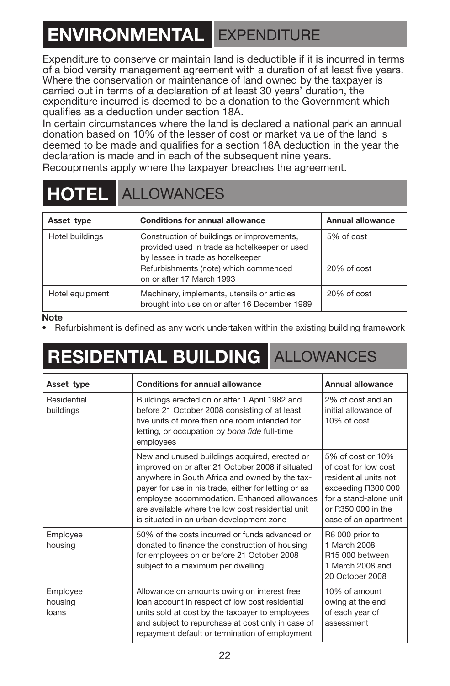# **ENVIRONMENTAL** EXPENDITURE

Expenditure to conserve or maintain land is deductible if it is incurred in terms of a biodiversity management agreement with a duration of at least five years. Where the conservation or maintenance of land owned by the taxpayer is carried out in terms of a declaration of at least 30 years' duration, the expenditure incurred is deemed to be a donation to the Government which qualifies as a deduction under section 18A.

In certain circumstances where the land is declared a national park an annual donation based on 10% of the lesser of cost or market value of the land is deemed to be made and qualifies for a section 18A deduction in the year the declaration is made and in each of the subsequent nine years.

Recoupments apply where the taxpayer breaches the agreement.

### **HOTEL** ALLOWANCES

| Asset type      | <b>Conditions for annual allowance</b>                                                                                                                                                                 | Annual allowance          |
|-----------------|--------------------------------------------------------------------------------------------------------------------------------------------------------------------------------------------------------|---------------------------|
| Hotel buildings | Construction of buildings or improvements,<br>provided used in trade as hotelkeeper or used<br>by lessee in trade as hotelkeeper<br>Refurbishments (note) which commenced<br>on or after 17 March 1993 | 5% of cost<br>20% of cost |
| Hotel equipment | Machinery, implements, utensils or articles<br>brought into use on or after 16 December 1989                                                                                                           | 20% of cost               |

#### **Note**

• Refurbishment is defined as any work undertaken within the existing building framework

# **RESIDENTIAL BUILDING** ALLOWANCES

| Asset type                   | <b>Conditions for annual allowance</b>                                                                                                                                                                                                                                                                                                                      | Annual allowance                                                                                                                                                 |
|------------------------------|-------------------------------------------------------------------------------------------------------------------------------------------------------------------------------------------------------------------------------------------------------------------------------------------------------------------------------------------------------------|------------------------------------------------------------------------------------------------------------------------------------------------------------------|
| Residential<br>buildings     | Buildings erected on or after 1 April 1982 and<br>before 21 October 2008 consisting of at least<br>five units of more than one room intended for<br>letting, or occupation by bona fide full-time<br>employees                                                                                                                                              | 2% of cost and an<br>initial allowance of<br>10% of cost                                                                                                         |
|                              | New and unused buildings acquired, erected or<br>improved on or after 21 October 2008 if situated<br>anywhere in South Africa and owned by the tax-<br>payer for use in his trade, either for letting or as<br>employee accommodation. Enhanced allowances<br>are available where the low cost residential unit<br>is situated in an urban development zone | 5% of cost or 10%<br>of cost for low cost<br>residential units not<br>exceeding R300 000<br>for a stand-alone unit<br>or R350 000 in the<br>case of an apartment |
| Employee<br>housing          | 50% of the costs incurred or funds advanced or<br>donated to finance the construction of housing<br>for employees on or before 21 October 2008<br>subject to a maximum per dwelling                                                                                                                                                                         | R6 000 prior to<br>1 March 2008<br>R15 000 hetween<br>1 March 2008 and<br>20 October 2008                                                                        |
| Employee<br>housing<br>loans | Allowance on amounts owing on interest free<br>loan account in respect of low cost residential<br>units sold at cost by the taxpayer to employees<br>and subject to repurchase at cost only in case of<br>repayment default or termination of employment                                                                                                    | 10% of amount<br>owing at the end<br>of each year of<br>assessment                                                                                               |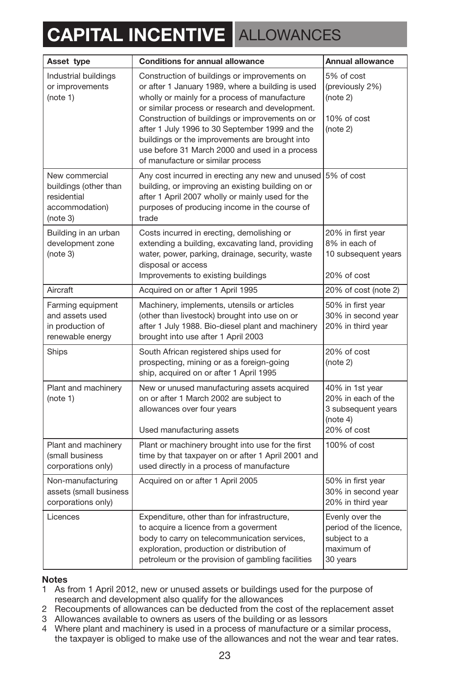# **CAPITAL INCENTIVE** ALLOWANCES

| Asset type                                                                           | Conditions for annual allowance                                                                                                                                                                                                                                                                                                                                                                                                                     | Annual allowance                                                                       |
|--------------------------------------------------------------------------------------|-----------------------------------------------------------------------------------------------------------------------------------------------------------------------------------------------------------------------------------------------------------------------------------------------------------------------------------------------------------------------------------------------------------------------------------------------------|----------------------------------------------------------------------------------------|
| Industrial buildings<br>or improvements<br>(note 1)                                  | Construction of buildings or improvements on<br>or after 1 January 1989, where a building is used<br>wholly or mainly for a process of manufacture<br>or similar process or research and development.<br>Construction of buildings or improvements on or<br>after 1 July 1996 to 30 September 1999 and the<br>buildings or the improvements are brought into<br>use before 31 March 2000 and used in a process<br>of manufacture or similar process | 5% of cost<br>(previously 2%)<br>(note 2)<br>10% of cost<br>(note 2)                   |
| New commercial<br>buildings (other than<br>residential<br>accommodation)<br>(note 3) | Any cost incurred in erecting any new and unused<br>building, or improving an existing building on or<br>after 1 April 2007 wholly or mainly used for the<br>purposes of producing income in the course of<br>trade                                                                                                                                                                                                                                 | 5% of cost                                                                             |
| Building in an urban<br>development zone<br>(note 3)                                 | Costs incurred in erecting, demolishing or<br>extending a building, excavating land, providing<br>water, power, parking, drainage, security, waste<br>disposal or access<br>Improvements to existing buildings                                                                                                                                                                                                                                      | 20% in first year<br>8% in each of<br>10 subsequent years<br>20% of cost               |
| Aircraft                                                                             | Acquired on or after 1 April 1995                                                                                                                                                                                                                                                                                                                                                                                                                   | 20% of cost (note 2)                                                                   |
| Farming equipment<br>and assets used<br>in production of<br>renewable energy         | Machinery, implements, utensils or articles<br>(other than livestock) brought into use on or<br>after 1 July 1988. Bio-diesel plant and machinery<br>brought into use after 1 April 2003                                                                                                                                                                                                                                                            | 50% in first year<br>30% in second vear<br>20% in third year                           |
| Ships                                                                                | South African registered ships used for<br>prospecting, mining or as a foreign-going<br>ship, acquired on or after 1 April 1995                                                                                                                                                                                                                                                                                                                     | 20% of cost<br>(note 2)                                                                |
| Plant and machinery<br>(note 1)                                                      | New or unused manufacturing assets acquired<br>on or after 1 March 2002 are subject to<br>allowances over four years<br>Used manufacturing assets                                                                                                                                                                                                                                                                                                   | 40% in 1st vear<br>20% in each of the<br>3 subsequent years<br>(note 4)<br>20% of cost |
| Plant and machinery<br>(small business<br>corporations only)                         | Plant or machinery brought into use for the first<br>time by that taxpayer on or after 1 April 2001 and<br>used directly in a process of manufacture                                                                                                                                                                                                                                                                                                | $100\%$ of cost                                                                        |
| Non-manufacturing<br>assets (small business<br>corporations only)                    | Acquired on or after 1 April 2005                                                                                                                                                                                                                                                                                                                                                                                                                   | 50% in first year<br>30% in second year<br>20% in third year                           |
| Licences                                                                             | Expenditure, other than for infrastructure,<br>to acquire a licence from a goverment<br>body to carry on telecommunication services,<br>exploration, production or distribution of<br>petroleum or the provision of gambling facilities                                                                                                                                                                                                             | Evenly over the<br>period of the licence,<br>subiect to a<br>maximum of<br>30 years    |

#### **Notes**

- 1 As from 1 April 2012, new or unused assets or buildings used for the purpose of research and development also qualify for the allowances
- 2 Recoupments of allowances can be deducted from the cost of the replacement asset
- 3 Allowances available to owners as users of the building or as lessors
- 4 Where plant and machinery is used in a process of manufacture or a similar process, the taxpayer is obliged to make use of the allowances and not the wear and tear rates.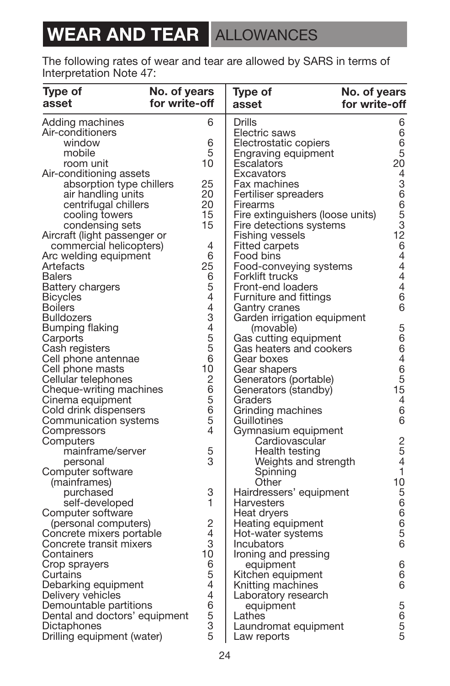# **WEAR AND TEAR ALLOWANCES**

The following rates of wear and tear are allowed by SARS in terms of Interpretation Note 47:

| Type of<br>asset                           | No. of years<br>for write-off |                | No. of years<br>Type of<br>for write-off<br>asset |                                       |
|--------------------------------------------|-------------------------------|----------------|---------------------------------------------------|---------------------------------------|
| Adding machines                            |                               | 6              | Drills                                            | 6                                     |
| Air-conditioners                           |                               |                | Electric saws                                     | 6                                     |
| window                                     |                               | 6              | Electrostatic copiers                             |                                       |
| mobile                                     |                               | 5              | Engraving equipment                               | $\frac{6}{20}$                        |
| room unit                                  |                               | 10             | Escalators                                        |                                       |
| Air-conditioning assets                    |                               |                | Excavators                                        |                                       |
| absorption type chillers                   |                               | 25             | Fax machines                                      |                                       |
| air handling units                         |                               | 20             | Fertiliser spreaders                              |                                       |
| centrifugal chillers                       |                               | 20             | Firearms                                          |                                       |
| cooling towers                             |                               | 15             | Fire extinguishers (loose units)                  | 4366532644444444444466                |
| condensing sets                            |                               | 15             | Fire detections systems                           |                                       |
| Aircraft (light passenger or               |                               |                | Fishing vessels                                   |                                       |
| commercial helicopters)                    |                               | 4              | <b>Fitted carpets</b>                             |                                       |
| Arc welding equipment                      |                               | 6<br>25        | Food bins                                         |                                       |
| Artefacts<br><b>Balers</b>                 |                               | 6              | Food-conveying systems                            |                                       |
|                                            |                               | 5              | Forklift trucks<br>Front-end loaders              |                                       |
| <b>Battery chargers</b><br><b>Bicycles</b> |                               | 4              | Furniture and fittings                            |                                       |
| <b>Boilers</b>                             |                               | 4              | Gantry cranes                                     |                                       |
| <b>Bulldozers</b>                          |                               | 3              | Garden irrigation equipment                       |                                       |
| Bumping flaking                            |                               | $\overline{4}$ | (movable)                                         |                                       |
| Carports                                   |                               | 5              | Gas cutting equipment                             |                                       |
| Cash registers                             |                               | 5              | Gas heaters and cookers                           |                                       |
| Cell phone antennae                        |                               | 6              | Gear boxes                                        |                                       |
| Cell phone masts                           |                               | 10             | Gear shapers                                      | 5664654666                            |
| Cellular telephones                        |                               | $\overline{c}$ | Generators (portable)                             |                                       |
| Cheque-writing machines                    |                               | 6              | Generators (standby)                              |                                       |
| Cinema equipment                           |                               | 5              | Graders                                           |                                       |
| Cold drink dispensers                      |                               | 6              | Grinding machines                                 |                                       |
| Communication systems                      |                               | 5              | Guillotines                                       |                                       |
| Compressors                                |                               | 4              | Gymnasium equipment                               |                                       |
| Computers                                  |                               |                | Cardiovascular                                    | $\frac{2}{5}$                         |
| mainframe/server                           |                               | 5              | Health testing                                    |                                       |
| personal                                   |                               | 3              | Weights and strength                              | $\overline{4}$                        |
| Computer software                          |                               |                | Spinning                                          | $\overline{1}$                        |
| (mainframes)                               |                               |                | Other                                             |                                       |
| purchased                                  |                               | 3              | Hairdressers' equipment                           | 10566656                              |
| self-developed                             |                               | 1              | Harvesters                                        |                                       |
| Computer software                          |                               |                | Heat dryers                                       |                                       |
| (personal computers)                       |                               | 2              | Heating equipment                                 |                                       |
| Concrete mixers portable                   |                               | 4              | Hot-water systems                                 |                                       |
| Concrete transit mixers                    |                               | 3              | Incubators                                        |                                       |
| Containers                                 |                               | 10             | Ironing and pressing                              |                                       |
| Crop sprayers                              |                               | 6<br>5         | equipment                                         | $\begin{array}{c} 6 \\ 6 \end{array}$ |
| Curtains                                   |                               | 4              | Kitchen equipment<br>Knitting machines            | 6                                     |
| Debarking equipment<br>Delivery vehicles   |                               | 4              |                                                   |                                       |
| Demountable partitions                     |                               | 6              | Laboratory research<br>equipment                  |                                       |
| Dental and doctors' equipment              |                               | 5              | Lathes                                            |                                       |
| Dictaphones                                |                               | 3              | Laundromat equipment                              |                                       |
| Drilling equipment (water)                 |                               | 5              | Law reports                                       | 5655                                  |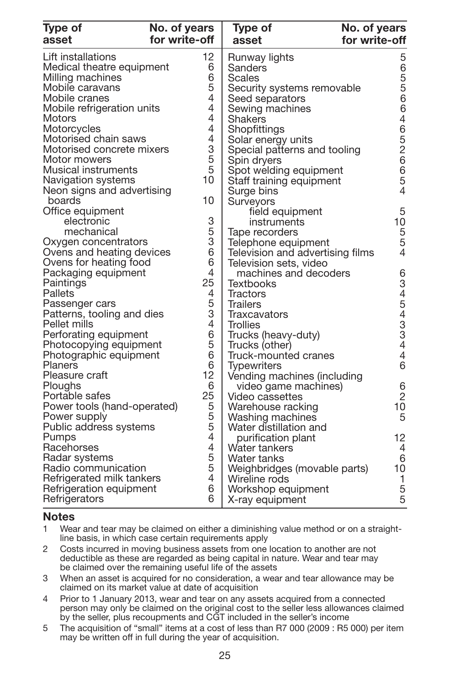| Type of<br>asset            | No. of years<br>for write-off | Type of<br>No. of years<br>for write-off<br>asset |                                       |
|-----------------------------|-------------------------------|---------------------------------------------------|---------------------------------------|
| Lift installations          | 12                            | Runway lights                                     | 5                                     |
| Medical theatre equipment   | 6                             | Sanders                                           |                                       |
| Milling machines            | 6                             | Scales                                            |                                       |
| Mobile caravans             | 5                             | Security systems removable                        |                                       |
| Mobile cranes               | 4                             | Seed separators                                   |                                       |
| Mobile refrigeration units  | 4                             | Sewing machines                                   | 6556646526654                         |
| Motors                      | 4                             | Shakers                                           |                                       |
| Motorcycles                 | 4                             | Shopfittings                                      |                                       |
| Motorised chain saws        | 4                             | Solar energy units                                |                                       |
| Motorised concrete mixers   | 3                             | Special patterns and tooling                      |                                       |
| Motor mowers                |                               | Spin dryers                                       |                                       |
| Musical instruments         | $\frac{5}{5}$                 | Spot welding equipment                            |                                       |
| Navigation systems          | 10                            | Staff training equipment                          |                                       |
| Neon signs and advertising  |                               | Surge bins                                        |                                       |
| boards                      | 10                            | Surveyors                                         |                                       |
| Office equipment            |                               | field equipment                                   | 5                                     |
| electronic                  | 3                             | instruments                                       | 10                                    |
| mechanical                  |                               | Tape recorders                                    |                                       |
| Oxygen concentrators        | $\frac{5}{3}$                 | Telephone equipment                               | 5<br>5<br>4                           |
| Ovens and heating devices   | 6                             | Television and advertising films                  |                                       |
| Ovens for heating food      | 6                             | Television sets, video                            |                                       |
| Packaging equipment         | 4                             | machines and decoders                             |                                       |
| Paintings                   | 25                            | <b>Textbooks</b>                                  | 6345433446                            |
| Pallets                     | 4                             | Tractors                                          |                                       |
| Passenger cars              |                               | Trailers                                          |                                       |
| Patterns, tooling and dies  | $\frac{5}{3}$                 | Traxcavators                                      |                                       |
| Pellet mills                | $\overline{4}$                | <b>Trollies</b>                                   |                                       |
| Perforating equipment       | 6                             | Trucks (heavy-duty)                               |                                       |
| Photocopying equipment      | 5                             | Trucks (other)                                    |                                       |
| Photographic equipment      | 6                             |                                                   |                                       |
| Planers                     | 6                             | Truck-mounted cranes                              |                                       |
| Pleasure craft              | 12                            | <b>Typewriters</b>                                |                                       |
| Ploughs                     | 6                             | Vending machines (including                       |                                       |
| Portable safes              | 25                            | video game machines)                              | $\begin{array}{c} 6 \\ 2 \end{array}$ |
| Power tools (hand-operated) |                               | Video cassettes                                   | 10                                    |
| Power supply                | 5<br>5                        | Warehouse racking                                 | 5                                     |
| Public address systems      | 5                             | Washing machines                                  |                                       |
|                             | 4                             | Water distillation and                            |                                       |
| Pumps                       | 4                             | purification plant                                | 12                                    |
| Racehorses                  |                               | Water tankers                                     | $\overline{4}$                        |
| Radar systems               | 5<br>5                        | Water tanks                                       | 6                                     |
| Radio communication         | 4                             | Weighbridges (movable parts)                      | 10                                    |
| Refrigerated milk tankers   | 6                             | Wireline rods                                     | $\mathbf{1}$                          |
| Refrigeration equipment     | 6                             | Workshop equipment                                | 5<br>5                                |
| Refrigerators               |                               | X-ray equipment                                   |                                       |

#### **Notes**

1 Wear and tear may be claimed on either a diminishing value method or on a straight line basis, in which case certain requirements apply

- 2 Costs incurred in moving business assets from one location to another are not deductible as these are regarded as being capital in nature. Wear and tear may be claimed over the remaining useful life of the assets
- 3 When an asset is acquired for no consideration, a wear and tear allowance may be claimed on its market value at date of acquisition
- 4 Prior to 1 January 2013, wear and tear on any assets acquired from a connected<br>person may only be claimed on the original cost to the seller less allowances claimed<br>by the seller, plus recoupments and CGT included in the
- 5 The acquisition of "small" items at a cost of less than R7 000 (2009 : R5 000) per item may be written off in full during the year of acquisition.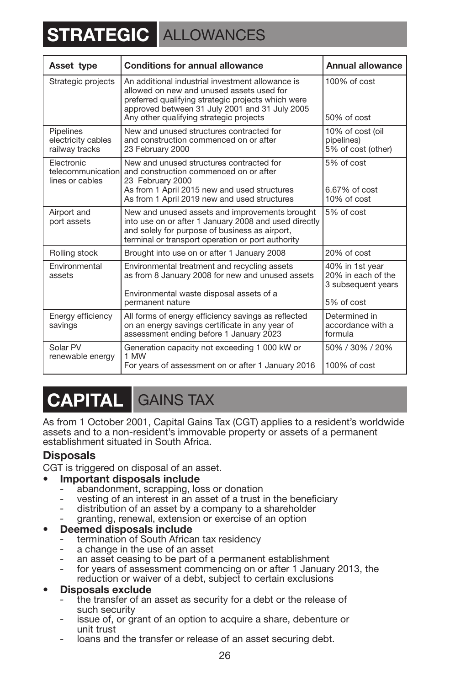# **STRATEGIC** ALLOWANCES

| Asset type                                         | <b>Conditions for annual allowance</b>                                                                                                                                                                                                           | Annual allowance                                                          |
|----------------------------------------------------|--------------------------------------------------------------------------------------------------------------------------------------------------------------------------------------------------------------------------------------------------|---------------------------------------------------------------------------|
| Strategic projects                                 | An additional industrial investment allowance is<br>allowed on new and unused assets used for<br>preferred qualifying strategic projects which were<br>approved between 31 July 2001 and 31 July 2005<br>Any other qualifying strategic projects | $100\%$ of cost<br>$50\%$ of cost                                         |
| Pipelines<br>electricity cables<br>railway tracks  | New and unused structures contracted for<br>and construction commenced on or after<br>23 February 2000                                                                                                                                           | 10% of cost (oil<br>pipelines)<br>5% of cost (other)                      |
| Electronic<br>telecommunication<br>lines or cables | New and unused structures contracted for<br>and construction commenced on or after<br>23 February 2000<br>As from 1 April 2015 new and used structures<br>As from 1 April 2019 new and used structures                                           | 5% of cost<br>6.67% of cost<br>10% of cost                                |
| Airport and<br>port assets                         | New and unused assets and improvements brought<br>into use on or after 1 January 2008 and used directly<br>and solely for purpose of business as airport,<br>terminal or transport operation or port authority                                   | 5% of cost                                                                |
| Rolling stock                                      | Brought into use on or after 1 January 2008                                                                                                                                                                                                      | 20% of cost                                                               |
| Environmental<br>assets                            | Environmental treatment and recycling assets<br>as from 8 January 2008 for new and unused assets<br>Environmental waste disposal assets of a<br>permanent nature                                                                                 | 40% in 1st year<br>20% in each of the<br>3 subsequent years<br>5% of cost |
| Energy efficiency<br>savings                       | All forms of energy efficiency savings as reflected<br>on an energy savings certificate in any year of<br>assessment ending before 1 January 2023                                                                                                | Determined in<br>accordance with a<br>formula                             |
| Solar PV<br>renewable energy                       | Generation capacity not exceeding 1 000 kW or<br>1 MW<br>For years of assessment on or after 1 January 2016                                                                                                                                      | 50% / 30% / 20%<br>$100\%$ of cost                                        |

### **CAPITAL** GAINS TAX

As from 1 October 2001, Capital Gains Tax (CGT) applies to a resident's worldwide assets and to a non-resident's immovable property or assets of a permanent establishment situated in South Africa.

#### **Disposals**

CGT is triggered on disposal of an asset.

#### *•* **Important disposals include**

- abandonment, scrapping, loss or donation
- vesting of an interest in an asset of a trust in the beneficiary
- distribution of an asset by a company to a shareholder
- granting, renewal, extension or exercise of an option

- **Deemed disposals include**<br>**•** termination of South African tax residency
- 
- a change in the use of an asset<br>an asset ceasing to be part of a permanent establishment<br>for years of assessment commencing on or after 1 January 2013, the
- reduction or waiver of a debt, subject to certain exclusions

#### *•* **Disposals exclude**

- the transfer of an asset as security for a debt or the release of such security<br>issue of, or grant of an option to acquire a share, debenture or
- unit trust
- loans and the transfer or release of an asset securing debt.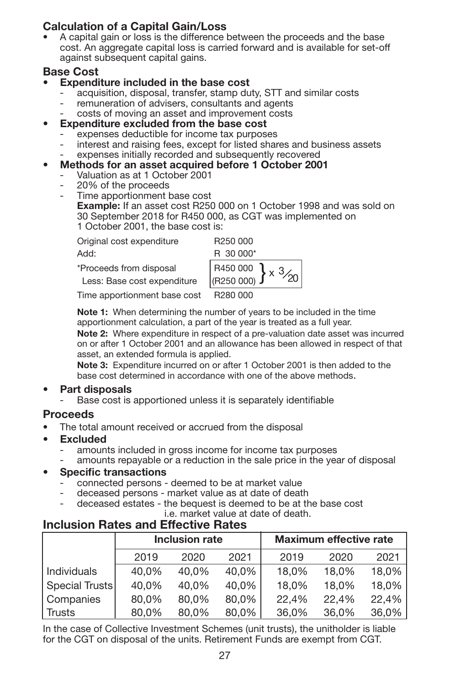### **Calculation of a Capital Gain/Loss**

A capital gain or loss is the difference between the proceeds and the base cost. An aggregate capital loss is carried forward and is available for set-off against subsequent capital gains.

#### **Base Cost**

#### **• Expenditure included in the base cost**

- acquisition, disposal, transfer, stamp duty, STT and similar costs
- remuneration of advisers, consultants and agents
- costs of moving an asset and improvement costs
- **• Expenditure excluded from the base cost**
	- expenses deductible for income tax purposes
	- interest and raising fees, except for listed shares and business assets
- expenses initially recorded and subsequently recovered
- **• Methods for an asset acquired before 1 October 2001**
	- Valuation as at 1 October 2001
	- 20% of the proceeds
	- Time apportionment base cost **Example:** If an asset cost R250 000 on 1 October 1998 and was sold on 30 September 2018 for R450 000, as CGT was implemented on 1 October 2001, the base cost is:

Original cost expenditure R250 000 Add: R 30 000\*

\*Proceeds from disposal R450 000



Time apportionment base cost R280 000

**Note 1:** When determining the number of years to be included in the time apportionment calculation, a part of the year is treated as a full year.

**Note 2:** Where expenditure in respect of a pre-valuation date asset was incurred on or after 1 October 2001 and an allowance has been allowed in respect of that asset, an extended formula is applied.

**Note 3:** Expenditure incurred on or after 1 October 2001 is then added to the base cost determined in accordance with one of the above methods.

#### **• Part disposals**

Base cost is apportioned unless it is separately identifiable

#### **Proceeds**

- The total amount received or accrued from the disposal
- **Excluded**
	- amounts included in gross income for income tax purposes
	- amounts repayable or a reduction in the sale price in the year of disposal

#### • **Specific transactions**

- connected persons deemed to be at market value
- deceased persons market value as at date of death
- deceased estates the bequest is deemed to be at the base cost
- i.e. market value at date of death.

### **Inclusion Rates and Effective Rates**

|                    | Inclusion rate |       |       | <b>Maximum effective rate</b> |       |       |
|--------------------|----------------|-------|-------|-------------------------------|-------|-------|
|                    | 2019           | 2020  | 2021  | 2019                          | 2020  | 2021  |
| <b>Individuals</b> | 40.0%          | 40.0% | 40.0% | 18.0%                         | 18.0% | 18.0% |
| Special Trusts     | 40.0%          | 40.0% | 40.0% | 18.0%                         | 18.0% | 18.0% |
| Companies          | 80.0%          | 80.0% | 80.0% | 22.4%                         | 22.4% | 22.4% |
| Trusts             | 80.0%          | 80.0% | 80.0% | 36.0%                         | 36.0% | 36,0% |

In the case of Collective Investment Schemes (unit trusts), the unitholder is liable for the CGT on disposal of the units. Retirement Funds are exempt from CGT.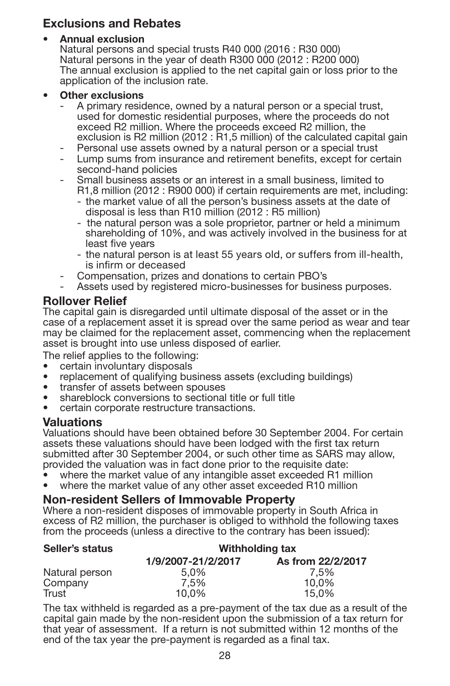### **Exclusions and Rebates**

#### • **Annual exclusion**

Natural persons and special trusts R40 000 (2016 : R30 000) Natural persons in the year of death R300 000 (2012 : R200 000) The annual exclusion is applied to the net capital gain or loss prior to the application of the inclusion rate.

#### • **Other exclusions**

- A primary residence, owned by a natural person or a special trust, used for domestic residential purposes, where the proceeds do not exceed R2 million. Where the proceeds exceed R2 million, the exclusion is R2 million (2012 : R1,5 million) of the calculated capital gain
- Personal use assets owned by a natural person or a special trust
- Lump sums from insurance and retirement benefits, except for certain second-hand policies
- Small business assets or an interest in a small business, limited to R1,8 million (2012 : R900 000) if certain requirements are met, including:
	- the market value of all the person's business assets at the date of disposal is less than R10 million (2012 : R5 million)
	- the natural person was a sole proprietor, partner or held a minimum shareholding of 10%, and was actively involved in the business for at least five vears
	- the natural person is at least 55 years old, or suffers from ill-health, is infirm or deceased
- Compensation, prizes and donations to certain PBO's
- Assets used by registered micro-businesses for business purposes.

#### **Rollover Relief**

The capital gain is disregarded until ultimate disposal of the asset or in the case of a replacement asset it is spread over the same period as wear and tear may be claimed for the replacement asset, commencing when the replacement asset is brought into use unless disposed of earlier.

The relief applies to the following:

- certain involuntary disposals
- replacement of qualifying business assets (excluding buildings) transfer of assets between spouses
- 
- shareblock conversions to sectional title or full title
- certain corporate restructure transactions.

#### **Valuations**

Valuations should have been obtained before 30 September 2004. For certain assets these valuations should have been lodged with the first tax return submitted after 30 September 2004, or such other time as SARS may allow, provided the valuation was in fact done prior to the requisite date:<br>• where the market value of any intangible asset exceeded R1 million

- 
- where the market value of any other asset exceeded R10 million

#### **Non-resident Sellers of Immovable Property**

Where a non-resident disposes of immovable property in South Africa in excess of R2 million, the purchaser is obliged to withhold the following taxes from the proceeds (unless a directive to the contrary has been issued):

| Seller's status | Withholding tax    |                   |  |  |
|-----------------|--------------------|-------------------|--|--|
|                 | 1/9/2007-21/2/2017 | As from 22/2/2017 |  |  |
| Natural person  | 5.0%               | 7.5%              |  |  |
| Company         | 7.5%               | 10.0%             |  |  |
| Trust           | 10.0%              | 15.0%             |  |  |

The tax withheld is regarded as a pre-payment of the tax due as a result of the capital gain made by the non-resident upon the submission of a tax return for that year of assessment. If a return is not submitted within 12 months of the end of the tax year the pre-payment is regarded as a final tax.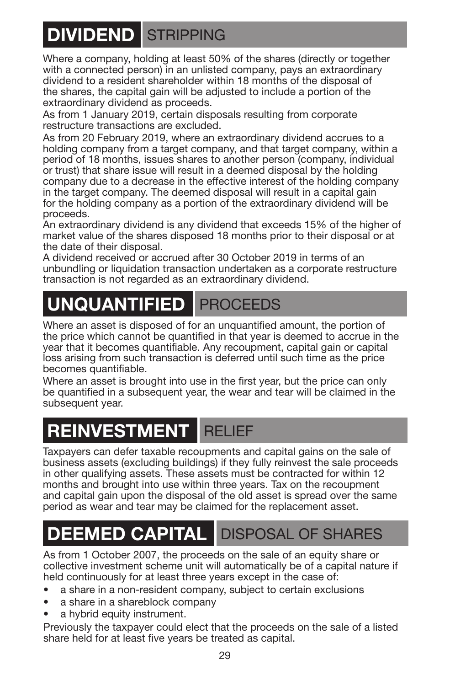# <span id="page-30-0"></span>**DIVIDEND** STRIPPING

Where a company, holding at least 50% of the shares (directly or together with a connected person) in an unlisted company, pays an extraordinary dividend to a resident shareholder within 18 months of the disposal of the shares, the capital gain will be adjusted to include a portion of the extraordinary dividend as proceeds.

As from 1 January 2019, certain disposals resulting from corporate restructure transactions are excluded.

As from 20 February 2019, where an extraordinary dividend accrues to a holding company from a target company, and that target company, within a period of 18 months, issues shares to another person (company, individual or trust) that share issue will result in a deemed disposal by the holding company due to a decrease in the effective interest of the holding company in the target company. The deemed disposal will result in a capital gain for the holding company as a portion of the extraordinary dividend will be proceeds.

An extraordinary dividend is any dividend that exceeds 15% of the higher of market value of the shares disposed 18 months prior to their disposal or at the date of their disposal.

A dividend received or accrued after 30 October 2019 in terms of an unbundling or liquidation transaction undertaken as a corporate restructure transaction is not regarded as an extraordinary dividend.

# **UNQUANTIFIED PROCEEDS**

Where an asset is disposed of for an unquantified amount, the portion of the price which cannot be quantified in that year is deemed to accrue in the year that it becomes quantifiable. Any recoupment, capital gain or capital loss arising from such transaction is deferred until such time as the price becomes quantifiable.

Where an asset is brought into use in the first year, but the price can only be quantified in a subsequent year, the wear and tear will be claimed in the subsequent year.

### **REINVESTMENT** RELIEF

Taxpayers can defer taxable recoupments and capital gains on the sale of business assets (excluding buildings) if they fully reinvest the sale proceeds in other qualifying assets. These assets must be contracted for within 12 months and brought into use within three years. Tax on the recoupment and capital gain upon the disposal of the old asset is spread over the same period as wear and tear may be claimed for the replacement asset.

# **DEEMED CAPITAL DISPOSAL OF SHARES**

As from 1 October 2007, the proceeds on the sale of an equity share or collective investment scheme unit will automatically be of a capital nature if held continuously for at least three years except in the case of:

- a share in a non-resident company, subject to certain exclusions
- a share in a shareblock company
- a hybrid equity instrument.

Previously the taxpayer could elect that the proceeds on the sale of a listed share held for at least five years be treated as capital.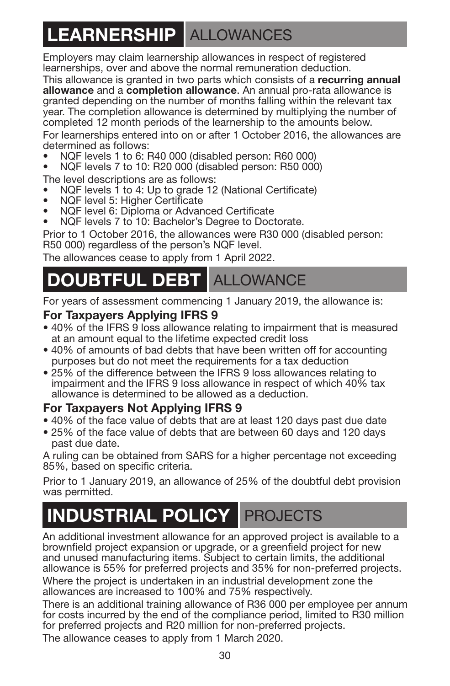# **LEARNERSHIP** ALLOWANCES

Employers may claim learnership allowances in respect of registered learnerships, over and above the normal remuneration deduction.

This allowance is granted in two parts which consists of a **recurring annual allowance** and a **completion allowance**. An annual pro-rata allowance is granted depending on the number of months falling within the relevant tax year. The completion allowance is determined by multiplying the number of completed 12 month periods of the learnership to the amounts below.

For learnerships entered into on or after 1 October 2016, the allowances are determined as follows:

- **•** NQF levels 1 to 6: R40 000 (disabled person: R60 000)
- **•** NQF levels 7 to 10: R20 000 (disabled person: R50 000)

The level descriptions are as follows:

- **•** NQF levels 1 to 4: Up to grade 12 (National Certificate)
- **•** NQF level 5: Higher Certificate
- **•** NQF level 6: Diploma or Advanced Certificate
- **•** NQF levels 7 to 10: Bachelor's Degree to Doctorate.

Prior to 1 October 2016, the allowances were R30 000 (disabled person: R50 000) regardless of the person's NQF level.

The allowances cease to apply from 1 April 2022.

### **OUBTFUL DEBT ALLOWANCE**

For years of assessment commencing 1 January 2019, the allowance is:

### **For Taxpayers Applying IFRS 9**

- 40% of the IFRS 9 loss allowance relating to impairment that is measured at an amount equal to the lifetime expected credit loss
- 40% of amounts of bad debts that have been written off for accounting purposes but do not meet the requirements for a tax deduction
- 25% of the difference between the IFRS 9 loss allowances relating to impairment and the IFRS 9 loss allowance in respect of which 40% tax allowance is determined to be allowed as a deduction.

### **For Taxpayers Not Applying IFRS 9**

- 40% of the face value of debts that are at least 120 days past due date
- 25% of the face value of debts that are between 60 days and 120 days past due date.

A ruling can be obtained from SARS for a higher percentage not exceeding 85%, based on specific criteria.

Prior to 1 January 2019, an allowance of 25% of the doubtful debt provision was permitted.

# **INDUSTRIAL POLICY** PROJECTS

An additional investment allowance for an approved project is available to a brownfield project expansion or upgrade, or a greenfield project for new and unused manufacturing items. Subject to certain limits, the additional allowance is 55% for preferred projects and 35% for non-preferred projects.

Where the project is undertaken in an industrial development zone the allowances are increased to 100% and 75% respectively.

There is an additional training allowance of R36 000 per employee per annum for costs incurred by the end of the compliance period, limited to R30 million for preferred projects and R20 million for non-preferred projects. The allowance ceases to apply from 1 March 2020.

30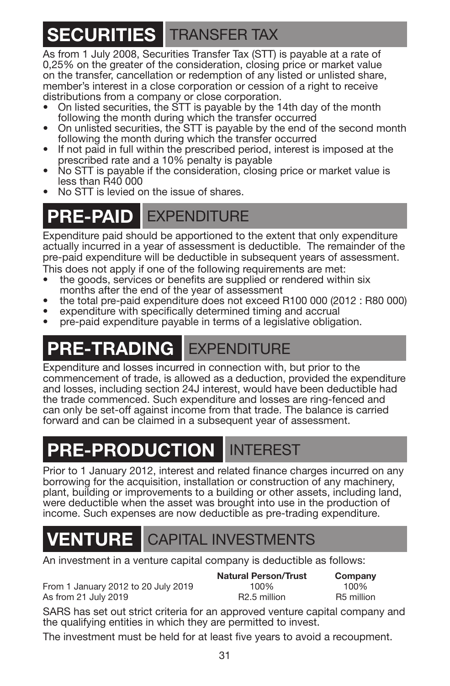# **SECURITIES** TRANSFER TAX

As from 1 July 2008, Securities Transfer Tax (STT) is payable at a rate of 0,25% on the greater of the consideration, closing price or market value on the transfer, cancellation or redemption of any listed or unlisted share, member's interest in a close corporation or cession of a right to receive distributions from a company or close corporation.

- On listed securities, the STT is payable by the 14th day of the month following the month during which the transfer occurred
- On unlisted securities, the STT is payable by the end of the second month following the month during which the transfer occurred
- If not paid in full within the prescribed period, interest is imposed at the prescribed rate and a 10% penalty is payable
- No STT is payable if the consideration, closing price or market value is less than R40 000
- No STT is levied on the issue of shares.

### **PRE-PAID EXPENDITURE**

Expenditure paid should be apportioned to the extent that only expenditure actually incurred in a year of assessment is deductible. The remainder of the pre-paid expenditure will be deductible in subsequent years of assessment. This does not apply if one of the following requirements are met:

- the goods, services or benefits are supplied or rendered within six<br>months after the end of the vear of assessment
- the total pre-paid expenditure does not exceed R100 000 (2012 : R80 000) expenditure with specifically determined timing and accrual
- 
- pre-paid expenditure payable in terms of a legislative obligation.

# **PRE-TRADING** EXPENDITURE

Expenditure and losses incurred in connection with, but prior to the commencement of trade, is allowed as a deduction, provided the expenditure and losses, including section 24J interest, would have been deductible had the trade commenced. Such expenditure and losses are ring-fenced and can only be set-off against income from that trade. The balance is carried forward and can be claimed in a subsequent year of assessment.

### **PRE-PRODUCTION** INTEREST

Prior to 1 January 2012, interest and related finance charges incurred on any borrowing for the acquisition, installation or construction of any machinery. plant, building or improvements to a building or other assets, including land, were deductible when the asset was brought into use in the production of income. Such expenses are now deductible as pre-trading expenditure.

### **VENTURE** CAPITAL INVESTMENTS

An investment in a venture capital company is deductible as follows:

From 1 January 2012 to 20 July 2019 100% 100% 100% 100%<br>As from 21 July 2019 100 R2.5 million R5 million As from  $21$  July  $2019$ 

**Natural Person/Trust Company**

SARS has set out strict criteria for an approved venture capital company and the qualifying entities in which they are permitted to invest.

The investment must be held for at least five years to avoid a recoupment.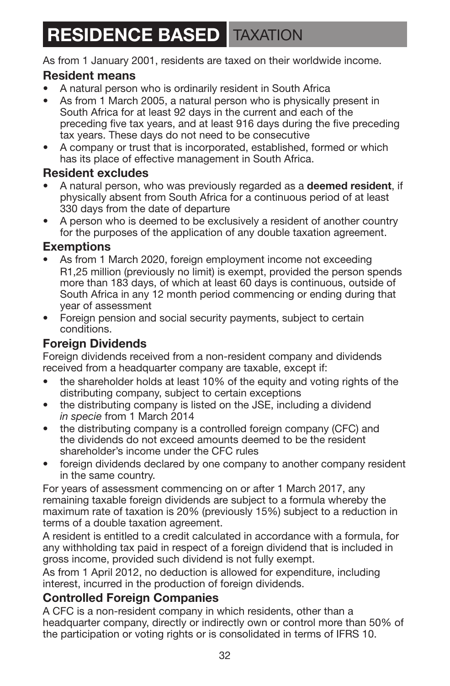### **RESIDENCE BASED TAXATION**

As from 1 January 2001, residents are taxed on their worldwide income.

### **Resident means**

- A natural person who is ordinarily resident in South Africa
- As from 1 March 2005, a natural person who is physically present in South Africa for at least 92 days in the current and each of the preceding five tax years, and at least 916 days during the five preceding tax years. These days do not need to be consecutive
- A company or trust that is incorporated, established, formed or which has its place of effective management in South Africa.

### **Resident excludes**

- A natural person, who was previously regarded as a **deemed resident**, if physically absent from South Africa for a continuous period of at least 330 days from the date of departure
- A person who is deemed to be exclusively a resident of another country for the purposes of the application of any double taxation agreement.

### **Exemptions**

- As from 1 March 2020, foreign employment income not exceeding R1,25 million (previously no limit) is exempt, provided the person spends more than 183 days, of which at least 60 days is continuous, outside of South Africa in any 12 month period commencing or ending during that year of assessment
- Foreign pension and social security payments, subject to certain conditions.

### **Foreign Dividends**

Foreign dividends received from a non-resident company and dividends received from a headquarter company are taxable, except if:

- the shareholder holds at least 10% of the equity and voting rights of the distributing company, subject to certain exceptions
- the distributing company is listed on the JSE, including a dividend *in specie* from 1 March 2014
- the distributing company is a controlled foreign company (CFC) and the dividends do not exceed amounts deemed to be the resident shareholder's income under the CFC rules
- foreign dividends declared by one company to another company resident in the same country.

For years of assessment commencing on or after 1 March 2017, any remaining taxable foreign dividends are subject to a formula whereby the maximum rate of taxation is 20% (previously 15%) subject to a reduction in terms of a double taxation agreement.

A resident is entitled to a credit calculated in accordance with a formula, for any withholding tax paid in respect of a foreign dividend that is included in gross income, provided such dividend is not fully exempt.

As from 1 April 2012, no deduction is allowed for expenditure, including interest, incurred in the production of foreign dividends.

### **Controlled Foreign Companies**

A CFC is a non-resident company in which residents, other than a headquarter company, directly or indirectly own or control more than 50% of the participation or voting rights or is consolidated in terms of IFRS 10.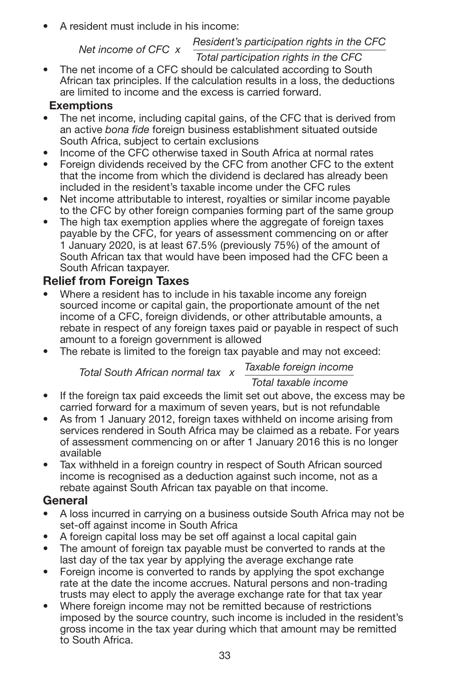• A resident must include in his income:

#### *Resident's participation rights in the CFC Net income of CFC x*

#### *Total participation rights in the CFC*

The net income of a CFC should be calculated according to South African tax principles. If the calculation results in a loss, the deductions are limited to income and the excess is carried forward.

### **Exemptions**

- The net income, including capital gains, of the CFC that is derived from an active *bona fide* foreign business establishment situated outside South Africa, subject to certain exclusions
- Income of the CFC otherwise taxed in South Africa at normal rates<br>• Foreign dividends received by the CFC from another CFC to the ex-
- Foreign dividends received by the CFC from another CFC to the extent that the income from which the dividend is declared has already been included in the resident's taxable income under the CFC rules
- Net income attributable to interest, royalties or similar income payable to the CFC by other foreign companies forming part of the same group
- The high tax exemption applies where the aggregate of foreign taxes payable by the CFC, for years of assessment commencing on or after 1 January 2020, is at least 67.5% (previously 75%) of the amount of South African tax that would have been imposed had the CFC been a South African taxpayer.

### **Relief from Foreign Taxes**

- Where a resident has to include in his taxable income any foreign sourced income or capital gain, the proportionate amount of the net income of a CFC, foreign dividends, or other attributable amounts, a rebate in respect of any foreign taxes paid or payable in respect of such amount to a foreign government is allowed
- The rebate is limited to the foreign tax payable and may not exceed:

*Taxable foreign income Total South African normal tax x*

### *Total taxable income*

- If the foreign tax paid exceeds the limit set out above, the excess may be carried forward for a maximum of seven years, but is not refundable
- As from 1 January 2012, foreign taxes withheld on income arising from services rendered in South Africa may be claimed as a rebate. For years of assessment commencing on or after 1 January 2016 this is no longer available
- Tax withheld in a foreign country in respect of South African sourced income is recognised as a deduction against such income, not as a rebate against South African tax payable on that income.

### **General**

- A loss incurred in carrying on a business outside South Africa may not be set-off against income in South Africa
- A foreign capital loss may be set off against a local capital gain
- The amount of foreign tax payable must be converted to rands at the last day of the tax year by applying the average exchange rate
- Foreign income is converted to rands by applying the spot exchange rate at the date the income accrues. Natural persons and non-trading trusts may elect to apply the average exchange rate for that tax year
- Where foreign income may not be remitted because of restrictions imposed by the source country, such income is included in the resident's gross income in the tax year during which that amount may be remitted to South Africa.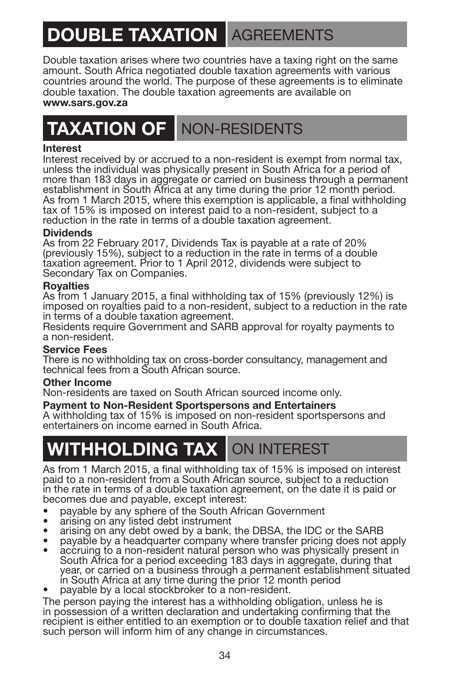# **DOUBLE TAXATION AGREEMENTS**

Double taxation arises where two countries have a taxing right on the same amount. South Africa negotiated double taxation agreements with various countries around the world. The purpose of these agreements is to eliminate double taxation. The double taxation agreements are available on **www.sars.gov.za**

### **TAXATION OF** NON-RESIDENTS

#### **Interest**

Interest received by or accrued to a non-resident is exempt from normal tax, unless the individual was physically present in South Africa for a period of more than 183 days in aggregate or carried on business through a permanent establishment in South Africa at any time during the prior 12 month period. As from 1 March 2015, where this exemption is applicable, a final withholding tax of 15% is imposed on interest paid to a non-resident, subject to a reduction in the rate in terms of a double taxation agreement.

#### **Dividends**

As from 22 February 2017, Dividends Tax is payable at a rate of 20% (previously 15%), subject to a reduction in the rate in terms of a double taxation agreement. Prior to 1 April 2012, dividends were subject to Secondary Tax on Companies.

#### **Royalties**

As from 1 January 2015, a final withholding tax of 15% (previously 12%) is imposed on royalties paid to a non-resident, subject to a reduction in the rate in terms of a double taxation agreement.

Residents require Government and SARB approval for royalty payments to a non-resident.

#### **Service Fees**

There is no withholding tax on cross-border consultancy, management and technical fees from a South African source.

#### **Other Income**

Non-residents are taxed on South African sourced income only.

#### **Payment to Non-Resident Sportspersons and Entertainers**

A withholding tax of 15% is imposed on non-resident sportspersons and entertainers on income earned in South Africa.

### **WITHHOLDING TAX** ON INTEREST

As from 1 March 2015, a final withholding tax of 15% is imposed on interest paid to a non-resident from a South African source, subject to a reduction in the rate in terms of a double taxation agreement, on the date it is paid or becomes due and payable, except interest:

- 
- 
- 
- 
- payable by any sphere of the South African Government<br>
arising on any listed debt instrument<br>
arising on any debt owed by a bank, the DBSA, the IDC or the SARB<br>
payable by a headquarter company where transfer prici in South Africa at any time during the prior 12 month period payable by a local stockbroker to a non-resident.
- 

The person paying the interest has a withholding obligation, unless he is in possession of a written declaration and undertaking confirming that the recipient is either entitled to an exemption or to double taxation relief and that such person will inform him of any change in circumstances.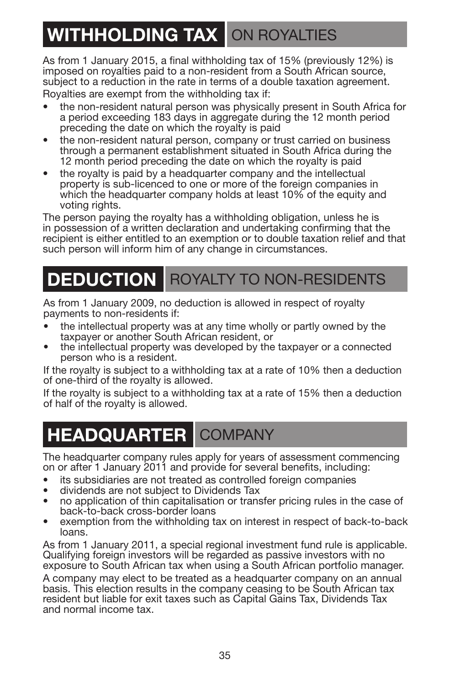## **WITHHOLDING TAX ON ROYALTIES**

As from 1 January 2015, a final withholding tax of 15% (previously 12%) is imposed on royalties paid to a non-resident from a South African source, subject to a reduction in the rate in terms of a double taxation agreement. Royalties are exempt from the withholding tax if:

- the non-resident natural person was physically present in South Africa for a period exceeding 183 days in aggregate during the 12 month period preceding the date on which the royalty is paid
- the non-resident natural person, company or trust carried on business through a permanent establishment situated in South Africa during the 12 month period preceding the date on which the royalty is paid
- the royalty is paid by a headquarter company and the intellectual property is sub-licenced to one or more of the foreign companies in which the headquarter company holds at least 10% of the equity and voting rights.

The person paying the royalty has a withholding obligation, unless he is in possession of a written declaration and undertaking confirming that the recipient is either entitled to an exemption or to double taxation relief and that such person will inform him of any change in circumstances.

### **DEDUCTION** ROYALTY TO NON-RESIDENTS

As from 1 January 2009, no deduction is allowed in respect of royalty payments to non-residents if:

- the intellectual property was at any time wholly or partly owned by the taxpayer or another South African resident, or
- the intellectual property was developed by the taxpayer or a connected person who is a resident.

If the royalty is subject to a withholding tax at a rate of 10% then a deduction of one-third of the royalty is allowed.

If the royalty is subject to a withholding tax at a rate of 15% then a deduction of half of the royalty is allowed.

### **HEADQUARTER** COMPANY

The headquarter company rules apply for years of assessment commencing on or after 1 January 2011 and provide for several benefits, including:

- 
- 
- its subsidiaries are not treated as controlled foreign companies dividends are not subject to Dividends Tax no application of thin capitalisation or transfer pricing rules in the case of
- exemption from the withholding tax on interest in respect of back-to-back loans.

As from 1 January 2011, a special regional investment fund rule is applicable. Qualifying foreign investors will be regarded as passive investors with no exposure to South African tax when using a South African portfolio manager.

A company may elect to be treated as a headquarter company on an annual basis. This election results in the company ceasing to be South African tax resident but liable for exit taxes such as Capital Gains Tax, Dividends Tax and normal income tax.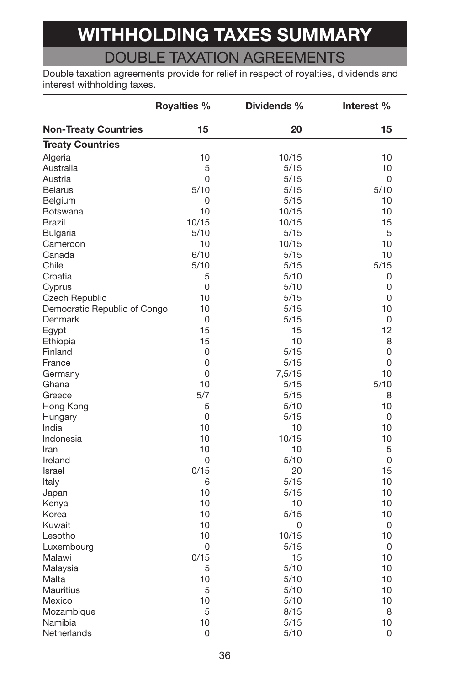# **WITHHOLDING TAXES SUMMARY**

### DOUBLE TAXATION AGREEMENTS

Double taxation agreements provide for relief in respect of royalties, dividends and interest withholding taxes.

|                              | Royalties % | Dividends % | Interest % |
|------------------------------|-------------|-------------|------------|
| <b>Non-Treaty Countries</b>  | 15          | 20          | 15         |
| <b>Treaty Countries</b>      |             |             |            |
| Algeria                      | 10          | 10/15       | 10         |
| Australia                    | 5           | 5/15        | 10         |
| Austria                      | 0           | 5/15        | 0          |
| <b>Belarus</b>               | 5/10        | 5/15        | 5/10       |
| Belgium                      | 0           | 5/15        | 10         |
| <b>Botswana</b>              | 10          | 10/15       | 10         |
| Brazil                       | 10/15       | 10/15       | 15         |
| Bulgaria                     | 5/10        | 5/15        | 5          |
| Cameroon                     | 10          | 10/15       | 10         |
| Canada                       | 6/10        | 5/15        | 10         |
| Chile                        | 5/10        | 5/15        | 5/15       |
| Croatia                      | 5           | 5/10        | 0          |
| Cyprus                       | 0           | 5/10        | 0          |
| <b>Czech Republic</b>        | 10          | 5/15        | 0          |
| Democratic Republic of Congo | 10          | 5/15        | 10         |
| Denmark                      | 0           | 5/15        | 0          |
| Eqypt                        | 15          | 15          | 12         |
| Ethiopia                     | 15          | 10          | 8          |
| Finland                      | 0           | 5/15        | 0          |
| France                       | 0           | 5/15        | 0          |
| Germany                      | 0           | 7,5/15      | 10         |
| Ghana                        | 10          | 5/15        | 5/10       |
| Greece                       | 5/7         | 5/15        | 8          |
| Hong Kong                    | 5           | 5/10        | 10         |
| Hungary                      | 0           | 5/15        | 0          |
| India                        | 10          | 10          | 10         |
| Indonesia                    | 10          | 10/15       | 10         |
| Iran                         | 10          | 10          | 5          |
| Ireland                      | 0           | 5/10        | 0          |
| Israel                       | 0/15        | 20          | 15         |
| Italy                        | 6           | 5/15        | 10         |
| Japan                        | 10          | 5/15        | 10         |
| Kenya                        | 10          | 10          | 10         |
| Korea                        | 10          | 5/15        | 10         |
| Kuwait                       | 10          | $\Omega$    | 0          |
| Lesotho                      | 10          | 10/15       | 10         |
| Luxembourg                   | 0           | 5/15        | 0          |
| Malawi                       | 0/15        | 15          | 10         |
| Malaysia                     | 5           | 5/10        | 10         |
| Malta                        | 10          | 5/10        | 10         |
| <b>Mauritius</b>             | 5           | 5/10        | 10         |
| Mexico                       | 10          | 5/10        | 10         |
| Mozambique                   | 5           | 8/15        | 8          |
| Namibia                      | 10          | 5/15        | 10         |
| Netherlands                  | 0           |             | 0          |
|                              |             | 5/10        |            |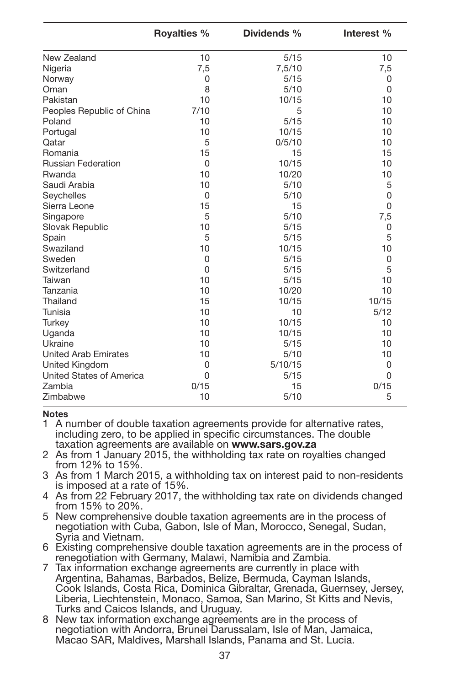|                                 | <b>Royalties %</b> | Dividends % | Interest % |
|---------------------------------|--------------------|-------------|------------|
| New Zealand                     | 10                 | 5/15        | 10         |
| Nigeria                         | 7,5                | 7.5/10      | 7,5        |
| Norway                          | $\Omega$           | 5/15        | $\Omega$   |
| Oman                            | 8                  | 5/10        | $\Omega$   |
| Pakistan                        | 10                 | 10/15       | 10         |
| Peoples Republic of China       | 7/10               | 5           | 10         |
| Poland                          | 10                 | 5/15        | 10         |
| Portugal                        | 10                 | 10/15       | 10         |
| Qatar                           | 5                  | 0/5/10      | 10         |
| Romania                         | 15                 | 15          | 15         |
| <b>Russian Federation</b>       | $\Omega$           | 10/15       | 10         |
| Rwanda                          | 10                 | 10/20       | 10         |
| Saudi Arabia                    | 10                 | 5/10        | 5          |
| Seychelles                      | $\Omega$           | 5/10        | 0          |
| Sierra Leone                    | 15                 | 15          | $\Omega$   |
| Singapore                       | 5                  | 5/10        | 7,5        |
| Slovak Republic                 | 10                 | 5/15        | $\Omega$   |
| Spain                           | 5                  | 5/15        | 5          |
| Swaziland                       | 10                 | 10/15       | 10         |
| Sweden                          | $\Omega$           | 5/15        | $\Omega$   |
| Switzerland                     | $\Omega$           | 5/15        | 5          |
| Taiwan                          | 10                 | 5/15        | 10         |
| Tanzania                        | 10                 | 10/20       | 10         |
| Thailand                        | 15                 | 10/15       | 10/15      |
| Tunisia                         | 10                 | 10          | 5/12       |
| Turkey                          | 10                 | 10/15       | 10         |
| Uganda                          | 10                 | 10/15       | 10         |
| Ukraine                         | 10                 | 5/15        | 10         |
| <b>United Arab Emirates</b>     | 10                 | 5/10        | 10         |
| United Kingdom                  | $\Omega$           | 5/10/15     | $\Omega$   |
| <b>United States of America</b> | $\Omega$           | 5/15        | $\Omega$   |
| Zambia                          | 0/15               | 15          | 0/15       |
| Zimbabwe                        | 10                 | 5/10        | 5          |

#### **Notes**

1 A number of double taxation agreements provide for alternative rates, including zero, to be applied in specific circumstances. The double taxation agreements are available on **www.sars.gov.za**

2 As from 1 January 2015, the withholding tax rate on royalties changed from 12% to 15%.

3 As from 1 March 2015, a withholding tax on interest paid to non-residents is imposed at a rate of 15%.

- 4 As from 22 February 2017, the withholding tax rate on dividends changed from 15% to 20%.
- 5 New comprehensive double taxation agreements are in the process of negotiation with Cuba, Gabon, Isle of Man, Morocco, Senegal, Sudan, Syria and Vietnam.

<sup>6</sup> Existing comprehensive double taxation agreements are in the process of renegotiation with Germany, Malawi, Namibia and Zambia.

- 7 Tax information exchange agreements are currently in place with Argentina, Bahamas, Barbados, Belize, Bermuda, Cayman Islands, Cook Islands, Costa Rica, Dominica Gibraltar, Grenada, Guernsey, Jersey, Liberia, Liechtenstein, Monaco, Samoa, San Marino, St Kitts and Nevis, Turks and Caicos Islands, and Uruguay.
- 8 New tax information exchange agreements are in the process of negotiation with Andorra, Brunei Darussalam, Isle of Man, Jamaica, Macao SAR, Maldives, Marshall Islands, Panama and St. Lucia.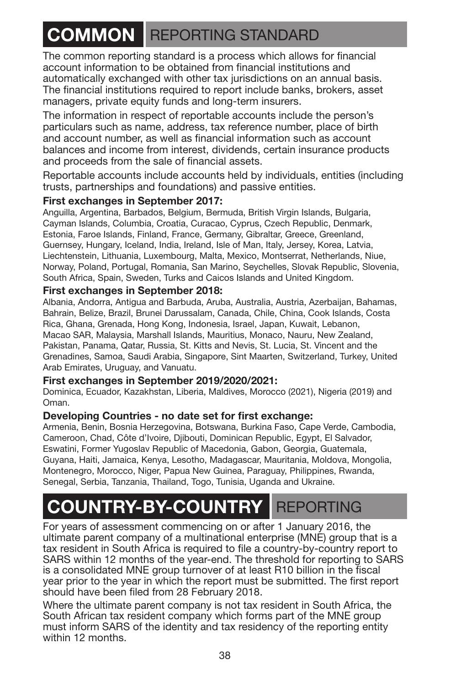### **COMMON** REPORTING STANDARD

The common reporting standard is a process which allows for financial account information to be obtained from financial institutions and automatically exchanged with other tax jurisdictions on an annual basis. The financial institutions required to report include banks, brokers, asset managers, private equity funds and long-term insurers.

The information in respect of reportable accounts include the person's particulars such as name, address, tax reference number, place of birth and account number, as well as financial information such as account balances and income from interest, dividends, certain insurance products and proceeds from the sale of financial assets.

Reportable accounts include accounts held by individuals, entities (including trusts, partnerships and foundations) and passive entities.

#### **First exchanges in September 2017:**

Anguilla, Argentina, Barbados, Belgium, Bermuda, British Virgin Islands, Bulgaria, Cayman Islands, Columbia, Croatia, Curacao, Cyprus, Czech Republic, Denmark, Estonia, Faroe Islands, Finland, France, Germany, Gibraltar, Greece, Greenland, Guernsey, Hungary, Iceland, India, Ireland, Isle of Man, Italy, Jersey, Korea, Latvia, Liechtenstein, Lithuania, Luxembourg, Malta, Mexico, Montserrat, Netherlands, Niue, Norway, Poland, Portugal, Romania, San Marino, Seychelles, Slovak Republic, Slovenia, South Africa, Spain, Sweden, Turks and Caicos Islands and United Kingdom.

#### **First exchanges in September 2018:**

Albania, Andorra, Antigua and Barbuda, Aruba, Australia, Austria, Azerbaijan, Bahamas, Bahrain, Belize, Brazil, Brunei Darussalam, Canada, Chile, China, Cook Islands, Costa Rica, Ghana, Grenada, Hong Kong, Indonesia, Israel, Japan, Kuwait, Lebanon, Macao SAR, Malaysia, Marshall Islands, Mauritius, Monaco, Nauru, New Zealand, Pakistan, Panama, Qatar, Russia, St. Kitts and Nevis, St. Lucia, St. Vincent and the Grenadines, Samoa, Saudi Arabia, Singapore, Sint Maarten, Switzerland, Turkey, United Arab Emirates, Uruguay, and Vanuatu.

#### **First exchanges in September 2019/2020/2021:**

Dominica, Ecuador, Kazakhstan, Liberia, Maldives, Morocco (2021), Nigeria (2019) and Oman.

#### **Developing Countries - no date set for first exchange:**

Armenia, Benin, Bosnia Herzegovina, Botswana, Burkina Faso, Cape Verde, Cambodia, Cameroon, Chad, Côte d'Ivoire, Djibouti, Dominican Republic, Egypt, El Salvador, Eswatini, Former Yugoslav Republic of Macedonia, Gabon, Georgia, Guatemala, Guyana, Haiti, Jamaica, Kenya, Lesotho, Madagascar, Mauritania, Moldova, Mongolia, Montenegro, Morocco, Niger, Papua New Guinea, Paraguay, Philippines, Rwanda, Senegal, Serbia, Tanzania, Thailand, Togo, Tunisia, Uganda and Ukraine.

### **COUNTRY-BY-COUNTRY** REPORTING

For years of assessment commencing on or after 1 January 2016, the ultimate parent company of a multinational enterprise (MNE) group that is a tax resident in South Africa is required to file a country-by-country report to SARS within 12 months of the year-end. The threshold for reporting to SARS is a consolidated MNE group turnover of at least R10 billion in the fiscal year prior to the year in which the report must be submitted. The first report should have been filed from 28 February 2018.

Where the ultimate parent company is not tax resident in South Africa, the South African tax resident company which forms part of the MNE group must inform SARS of the identity and tax residency of the reporting entity within 12 months.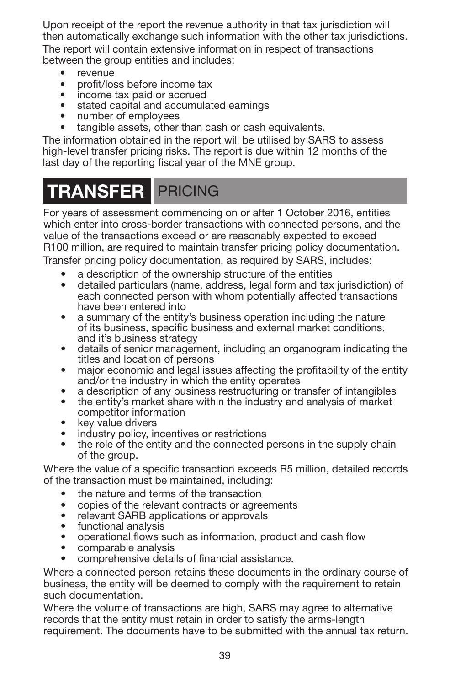Upon receipt of the report the revenue authority in that tax jurisdiction will then automatically exchange such information with the other tax jurisdictions. The report will contain extensive information in respect of transactions between the group entities and includes:

- revenue
- profit/loss before income tax
- income tax paid or accrued
- stated capital and accumulated earnings
- number of employees
- tangible assets, other than cash or cash equivalents.

The information obtained in the report will be utilised by SARS to assess high-level transfer pricing risks. The report is due within 12 months of the last day of the reporting fiscal year of the MNE group.

### **TRANSFER** PRICING

For years of assessment commencing on or after 1 October 2016, entities which enter into cross-border transactions with connected persons, and the value of the transactions exceed or are reasonably expected to exceed R100 million, are required to maintain transfer pricing policy documentation.

Transfer pricing policy documentation, as required by SARS, includes:

- a description of the ownership structure of the entities
- detailed particulars (name, address, legal form and tax jurisdiction) of each connected person with whom potentially affected transactions
- a summary of the entity's business operation including the nature of its business, specific business and external market conditions,
- details of senior management, including an organogram indicating the titles and location of persons
- major economic and legal issues affecting the profitability of the entity and/or the industry in which the entity operates
- 
- a description of any business restructuring or transfer of intangibles<br>• the entity's market share within the industry and analysis of market<br>competitor information
- 
- 
- key value drivers<br>• industry policy, incentives or restrictions<br>• the role of the entity and the connected persons in the supply chain of the group.

Where the value of a specific transaction exceeds R5 million, detailed records of the transaction must be maintained, including:

- 
- the nature and terms of the transaction<br>• copies of the relevant contracts or agreements
- 
- 
- relevant SARB applications or approvals<br>• functional analysis<br>• operational flows such as information, product and cash flow<br>• comparable analysis
- 
- comprehensive details of financial assistance.

Where a connected person retains these documents in the ordinary course of business, the entity will be deemed to comply with the requirement to retain such documentation.

Where the volume of transactions are high, SARS may agree to alternative records that the entity must retain in order to satisfy the arms-length requirement. The documents have to be submitted with the annual tax return.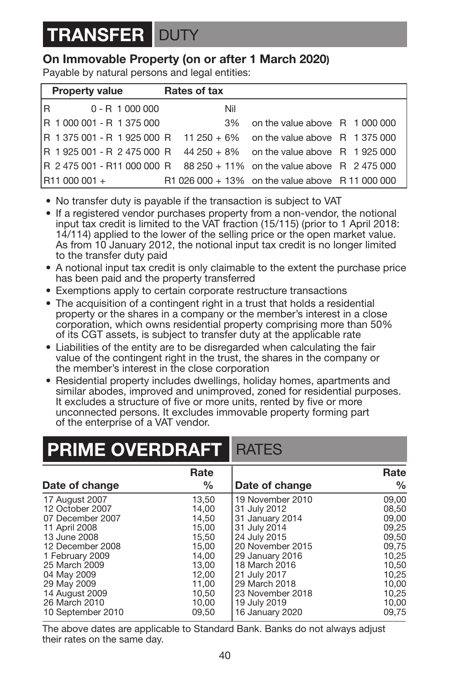## **TRANSFER** DUTY

### **On Immovable Property (on or after 1 March 2020)**

Payable by natural persons and legal entities:

| <b>Property value</b>                                                   | Rates of tax |                                                  |  |
|-------------------------------------------------------------------------|--------------|--------------------------------------------------|--|
| R 0-R1000000                                                            | Nil          |                                                  |  |
| R 1 000 001 - R 1 375 000                                               | 3%           | on the value above R 1000000                     |  |
| R 1375 001 - R 1925 000 R 11 250 + 6% on the value above R 1375 000     |              |                                                  |  |
| R 1925 001 - R 2 475 000 R 44 250 + 8% on the value above R 1925 000    |              |                                                  |  |
| R 2 475 001 - R11 000 000 R 88 250 + 11% on the value above R 2 475 000 |              |                                                  |  |
| R11 000 001 +                                                           |              | R1 026 000 + 13% on the value above R 11 000 000 |  |

- No transfer duty is payable if the transaction is subject to VAT
- If a registered vendor purchases property from a non-vendor, the notional input tax credit is limited to the VAT fraction (15/115) (prior to 1 April 2018: 14/114) applied to the lower of the selling price or the open market value. As from 10 January 2012, the notional input tax credit is no longer limited to the transfer duty paid
- A notional input tax credit is only claimable to the extent the purchase price has been paid and the property transferred
- Exemptions apply to certain corporate restructure transactions
- The acquisition of a contingent right in a trust that holds a residential property or the shares in a company or the member's interest in a close corporation, which owns residential property comprising more than 50% of its CGT assets, is subject to transfer duty at the applicable rate
- Liabilities of the entity are to be disregarded when calculating the fair value of the contingent right in the trust, the shares in the company or the member's interest in the close corporation
- Residential property includes dwellings, holiday homes, apartments and similar abodes, improved and unimproved, zoned for residential purposes. It excludes a structure of five or more units, rented by five or more unconnected persons. It excludes immovable property forming part of the enterprise of a VAT vendor.

### **PRIME OVERDRAFT** RATES

|                                                                                                                                                                                                                 | Rate                                                                                                     |                                                                                                                                                                                                                  | Rate                                                                                                     |
|-----------------------------------------------------------------------------------------------------------------------------------------------------------------------------------------------------------------|----------------------------------------------------------------------------------------------------------|------------------------------------------------------------------------------------------------------------------------------------------------------------------------------------------------------------------|----------------------------------------------------------------------------------------------------------|
| Date of change                                                                                                                                                                                                  | $\%$                                                                                                     | Date of change                                                                                                                                                                                                   | %                                                                                                        |
| 17 August 2007<br>12 October 2007<br>07 December 2007<br>11 April 2008<br>13 June 2008<br>12 December 2008<br>1 February 2009<br>25 March 2009<br>04 May 2009<br>29 May 2009<br>14 August 2009<br>26 March 2010 | 13.50<br>14.00<br>14.50<br>15.00<br>15,50<br>15.00<br>14.00<br>13.00<br>12.00<br>11,00<br>10.50<br>10.00 | 19 November 2010<br>31 July 2012<br>31 January 2014<br>31 July 2014<br>24 July 2015<br>20 November 2015<br>29 January 2016<br>18 March 2016<br>21 July 2017<br>29 March 2018<br>23 November 2018<br>19 July 2019 | 09.00<br>08.50<br>09.00<br>09.25<br>09.50<br>09.75<br>10.25<br>10.50<br>10.25<br>10.00<br>10,25<br>10.00 |
| 10 September 2010                                                                                                                                                                                               | 09.50                                                                                                    | 16 January 2020                                                                                                                                                                                                  | 09.75                                                                                                    |

The above dates are applicable to Standard Bank. Banks do not always adjust their rates on the same day.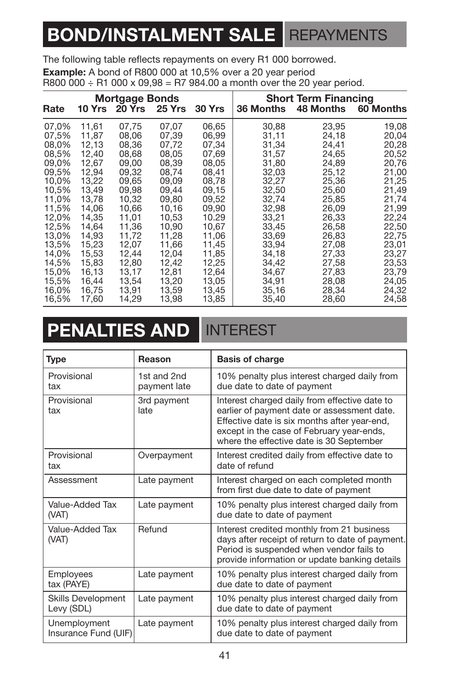### <span id="page-42-0"></span>**BOND/INSTALMENT SALE** REPAYMENTS

The following table reflects repayments on every R1 000 borrowed.

**Example:** A bond of R800 000 at 10,5% over a 20 year period

R800 000 ÷ R1 000 x 09,98 = R7 984.00 a month over the 20 year period.

## **PENALTIES AND INTEREST**

| Type                                    | Reason                      | <b>Basis of charge</b>                                                                                                                                                                                                                |
|-----------------------------------------|-----------------------------|---------------------------------------------------------------------------------------------------------------------------------------------------------------------------------------------------------------------------------------|
| Provisional<br>tax                      | 1st and 2nd<br>payment late | 10% penalty plus interest charged daily from<br>due date to date of payment                                                                                                                                                           |
| Provisional<br>tax                      | 3rd payment<br>late         | Interest charged daily from effective date to<br>earlier of payment date or assessment date.<br>Effective date is six months after year-end,<br>except in the case of February year-ends,<br>where the effective date is 30 September |
| Provisional<br>tax                      | Overpayment                 | Interest credited daily from effective date to<br>date of refund                                                                                                                                                                      |
| Assessment                              | Late payment                | Interest charged on each completed month<br>from first due date to date of payment                                                                                                                                                    |
| Value-Added Tax<br>(VAT)                | Late payment                | 10% penalty plus interest charged daily from<br>due date to date of payment                                                                                                                                                           |
| Value-Added Tax<br>(VAT)                | Refund                      | Interest credited monthly from 21 business<br>days after receipt of return to date of payment.<br>Period is suspended when vendor fails to<br>provide information or update banking details                                           |
| Employees<br>tax (PAYE)                 | Late payment                | 10% penalty plus interest charged daily from<br>due date to date of payment                                                                                                                                                           |
| <b>Skills Development</b><br>Levy (SDL) | Late payment                | 10% penalty plus interest charged daily from<br>due date to date of payment                                                                                                                                                           |
| Unemployment<br>Insurance Fund (UIF)    | Late payment                | 10% penalty plus interest charged daily from<br>due date to date of payment                                                                                                                                                           |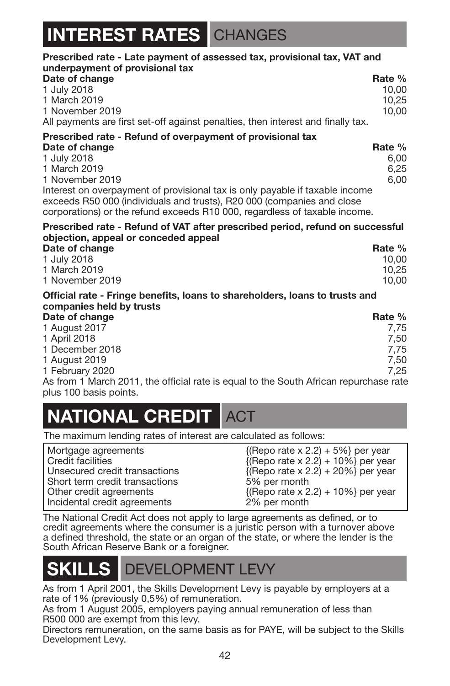### **IEREST RATES** CHANGES

| Prescribed rate - Late payment of assessed tax, provisional tax, VAT and                                                                                                                                                             |        |
|--------------------------------------------------------------------------------------------------------------------------------------------------------------------------------------------------------------------------------------|--------|
| underpayment of provisional tax<br>Date of change                                                                                                                                                                                    | Rate % |
| 1 July 2018                                                                                                                                                                                                                          | 10.00  |
| 1 March 2019                                                                                                                                                                                                                         | 10.25  |
| 1 November 2019                                                                                                                                                                                                                      | 10.00  |
| All payments are first set-off against penalties, then interest and finally tax.                                                                                                                                                     |        |
| Prescribed rate - Refund of overpayment of provisional tax                                                                                                                                                                           |        |
| Date of change                                                                                                                                                                                                                       | Rate % |
| 1 July 2018                                                                                                                                                                                                                          | 6,00   |
| 1 March 2019                                                                                                                                                                                                                         | 6,25   |
| 1 November 2019                                                                                                                                                                                                                      | 6.00   |
| Interest on overpayment of provisional tax is only payable if taxable income<br>exceeds R50 000 (individuals and trusts), R20 000 (companies and close<br>corporations) or the refund exceeds R10 000, regardless of taxable income. |        |
| Prescribed rate - Refund of VAT after prescribed period, refund on successful<br>objection, appeal or conceded appeal                                                                                                                |        |
| Date of change                                                                                                                                                                                                                       | Rate % |
| 1 July 2018                                                                                                                                                                                                                          | 10,00  |
| 1 March 2019                                                                                                                                                                                                                         | 10,25  |
| 1 November 2019                                                                                                                                                                                                                      | 10.00  |
| Official rate - Fringe benefits, loans to shareholders, loans to trusts and<br>companies held by trusts                                                                                                                              |        |
| Date of change                                                                                                                                                                                                                       | Rate % |
| 1 August 2017                                                                                                                                                                                                                        | 7,75   |
| 1 April 2018                                                                                                                                                                                                                         | 7,50   |
| 1 December 2018                                                                                                                                                                                                                      | 7,75   |
| 1 August 2019                                                                                                                                                                                                                        | 7,50   |
| 1 February 2020<br>An from 1 March 2011, the official rate is equal to the South African repurphese rate                                                                                                                             | 7.25   |
|                                                                                                                                                                                                                                      |        |

s from 1 March 2011, the official rate is equal to the South African re plus 100 basis points.

### **NATIONAL CREDIT ACT**

The maximum lending rates of interest are calculated as follows:

| Mortgage agreements            | $({\rm Repo\ rate}\times2.2)+5\%$ per year  |
|--------------------------------|---------------------------------------------|
| l Credit facilities            | $({\rm Repo\ rate}\times2.2)+10\%$ per year |
| Unsecured credit transactions  | $\{($ Repo rate x 2.2 $)$ + 20%} per year   |
| Short term credit transactions | 5% per month                                |
| Other credit agreements        | $({\rm Repo\ rate}\times2.2)+10\%$ per year |
| Incidental credit agreements   | 2% per month                                |

The National Credit Act does not apply to large agreements as defined, or to credit agreements where the consumer is a juristic person with a turnover above a defined threshold, the state or an organ of the state, or where the lender is the South African Reserve Bank or a foreigner.

### **DEVELOPMENT LEVY**

As from 1 April 2001, the Skills Development Levy is payable by employers at a rate of 1% (previously 0,5%) of remuneration.

As from 1 August 2005, employers paying annual remuneration of less than R500 000 are exempt from this levy.

Directors remuneration, on the same basis as for PAYE, will be subject to the Skills Development Levy.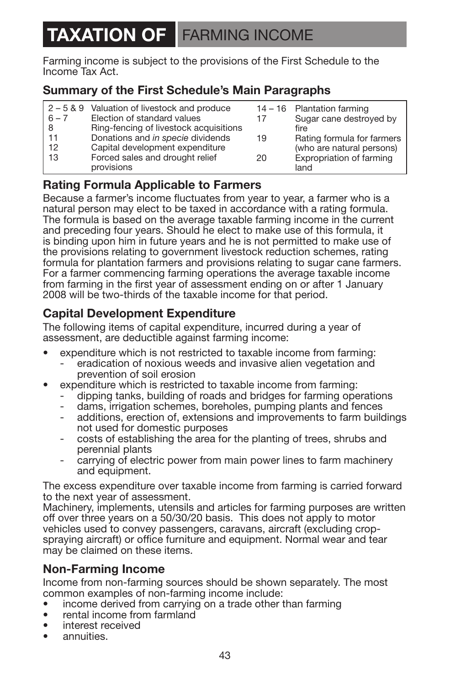### **TAXATION OF** FARMING INCOME

Farming income is subject to the provisions of the First Schedule to the Income Tax Act.

### **Summary of the First Schedule's Main Paragraphs**

|         | 2-5&9 Valuation of livestock and produce |    | 14 - 16 Plantation farming |
|---------|------------------------------------------|----|----------------------------|
| $6 - 7$ | Election of standard values              | 17 | Sugar cane destroyed by    |
| -8      | Ring-fencing of livestock acquisitions   |    | fire                       |
| 11      | Donations and in specie dividends        | 19 | Rating formula for farmers |
| 12      | Capital development expenditure          |    | (who are natural persons)  |
| 13      | Forced sales and drought relief          | 20 | Expropriation of farming   |
|         | provisions                               |    | land                       |

### **Rating Formula Applicable to Farmers**

Because a farmer's income fluctuates from year to year, a farmer who is a natural person may elect to be taxed in accordance with a rating formula. The formula is based on the average taxable farming income in the current and preceding four years. Should he elect to make use of this formula, it is binding upon him in future years and he is not permitted to make use of the provisions relating to government livestock reduction schemes, rating formula for plantation farmers and provisions relating to sugar cane farmers. For a farmer commencing farming operations the average taxable income from farming in the first year of assessment ending on or after 1 January 2008 will be two-thirds of the taxable income for that period.

### **Capital Development Expenditure**

The following items of capital expenditure, incurred during a year of assessment, are deductible against farming income:

- expenditure which is not restricted to taxable income from farming:
	- eradication of noxious weeds and invasive alien vegetation and prevention of soil erosion
- expenditure which is restricted to taxable income from farming:
	- dipping tanks, building of roads and bridges for farming operations
	- dams, irrigation schemes, boreholes, pumping plants and fences
	- additions, erection of, extensions and improvements to farm buildings not used for domestic purposes
	- costs of establishing the area for the planting of trees, shrubs and perennial plants
	- carrying of electric power from main power lines to farm machinery and equipment.

The excess expenditure over taxable income from farming is carried forward to the next year of assessment.

Machinery, implements, utensils and articles for farming purposes are written off over three years on a 50/30/20 basis. This does not apply to motor vehicles used to convey passengers, caravans, aircraft (excluding cropspraying aircraft) or office furniture and equipment. Normal wear and tear may be claimed on these items.

### **Non-Farming Income**

Income from non-farming sources should be shown separately. The most common examples of non-farming income include:

- income derived from carrying on a trade other than farming
- rental income from farmland
- interest received
- annuities.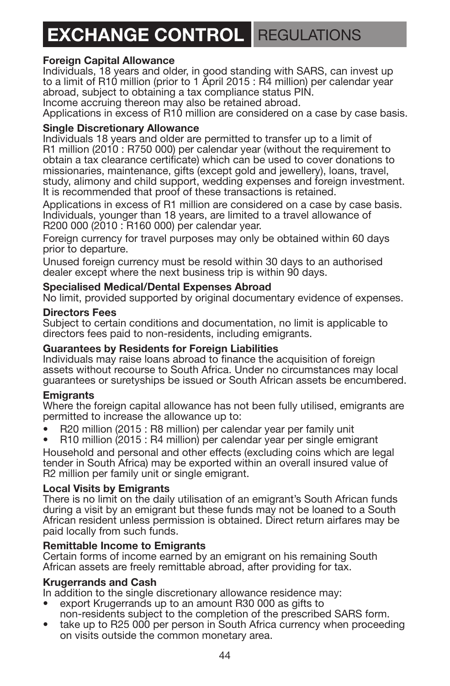### **EXCHANGE CONTROL** REGULATIONS

#### **Foreign Capital Allowance**

Individuals, 18 years and older, in good standing with SARS, can invest up to a limit of R10 million (prior to 1 April 2015 : R4 million) per calendar year abroad, subject to obtaining a tax compliance status PIN.

Income accruing thereon may also be retained abroad.

Applications in excess of R10 million are considered on a case by case basis.

#### **Single Discretionary Allowance**

Individuals 18 years and older are permitted to transfer up to a limit of R1 million (2010 : R750 000) per calendar year (without the requirement to obtain a tax clearance certificate) which can be used to cover donations to missionaries, maintenance, gifts (except gold and jewellery), loans, travel, study, alimony and child support, wedding expenses and foreign investment. It is recommended that proof of these transactions is retained.

Applications in excess of R1 million are considered on a case by case basis. Individuals, younger than 18 years, are limited to a travel allowance of R200 000 (2010 : R160 000) per calendar year.

Foreign currency for travel purposes may only be obtained within 60 days prior to departure.

Unused foreign currency must be resold within 30 days to an authorised dealer except where the next business trip is within 90 days.

#### **Specialised Medical/Dental Expenses Abroad**

No limit, provided supported by original documentary evidence of expenses.

#### **Directors Fees**

Subject to certain conditions and documentation, no limit is applicable to directors fees paid to non-residents, including emigrants.

#### **Guarantees by Residents for Foreign Liabilities**

Individuals may raise loans abroad to finance the acquisition of foreign assets without recourse to South Africa. Under no circumstances may local guarantees or suretyships be issued or South African assets be encumbered.

#### **Emigrants**

Where the foreign capital allowance has not been fully utilised, emigrants are permitted to increase the allowance up to:

- R20 million (2015 : R8 million) per calendar year per family unit
- R10 million (2015 : R4 million) per calendar year per single emigrant

Household and personal and other effects (excluding coins which are legal tender in South Africa) may be exported within an overall insured value of R2 million per family unit or single emigrant.

#### **Local Visits by Emigrants**

There is no limit on the daily utilisation of an emigrant's South African funds during a visit by an emigrant but these funds may not be loaned to a South African resident unless permission is obtained. Direct return airfares may be paid locally from such funds.

#### **Remittable Income to Emigrants**

Certain forms of income earned by an emigrant on his remaining South African assets are freely remittable abroad, after providing for tax.

#### **Krugerrands and Cash**

In addition to the single discretionary allowance residence may:

- export Krugerrands up to an amount R30 000 as gifts to non-residents subject to the completion of the prescribed SARS form.
- take up to R25 000 per person in South Africa currency when proceeding on visits outside the common monetary area.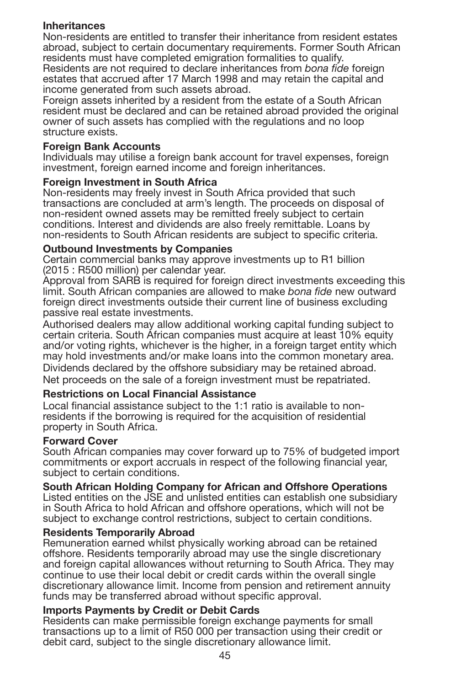#### **Inheritances**

Non-residents are entitled to transfer their inheritance from resident estates abroad, subject to certain documentary requirements. Former South African residents must have completed emigration formalities to qualify.

Residents are not required to declare inheritances from *bona fide* foreign estates that accrued after 17 March 1998 and may retain the capital and income generated from such assets abroad.

Foreign assets inherited by a resident from the estate of a South African resident must be declared and can be retained abroad provided the original owner of such assets has complied with the regulations and no loop structure exists.

#### **Foreign Bank Accounts**

Individuals may utilise a foreign bank account for travel expenses, foreign investment, foreign earned income and foreign inheritances.

#### **Foreign Investment in South Africa**

Non-residents may freely invest in South Africa provided that such transactions are concluded at arm's length. The proceeds on disposal of non-resident owned assets may be remitted freely subject to certain conditions. Interest and dividends are also freely remittable. Loans by non-residents to South African residents are subject to specific criteria.

#### **Outbound Investments by Companies**

Certain commercial banks may approve investments up to R1 billion (2015 : R500 million) per calendar year.

Approval from SARB is required for foreign direct investments exceeding this limit. South African companies are allowed to make *bona fide* new outward foreign direct investments outside their current line of business excluding passive real estate investments.

Authorised dealers may allow additional working capital funding subject to certain criteria. South African companies must acquire at least 10% equity and/or voting rights, whichever is the higher, in a foreign target entity which may hold investments and/or make loans into the common monetary area. Dividends declared by the offshore subsidiary may be retained abroad. Net proceeds on the sale of a foreign investment must be repatriated.

#### **Restrictions on Local Financial Assistance**

Local financial assistance subject to the 1:1 ratio is available to nonresidents if the borrowing is required for the acquisition of residential property in South Africa.

#### **Forward Cover**

South African companies may cover forward up to 75% of budgeted import commitments or export accruals in respect of the following financial year, subject to certain conditions.

#### **South African Holding Company for African and Offshore Operations**

Listed entities on the JSE and unlisted entities can establish one subsidiary in South Africa to hold African and offshore operations, which will not be subject to exchange control restrictions, subject to certain conditions.

#### **Residents Temporarily Abroad**

Remuneration earned whilst physically working abroad can be retained offshore. Residents temporarily abroad may use the single discretionary and foreign capital allowances without returning to South Africa. They may continue to use their local debit or credit cards within the overall single discretionary allowance limit. Income from pension and retirement annuity funds may be transferred abroad without specific approval.

#### **Imports Payments by Credit or Debit Cards**

Residents can make permissible foreign exchange payments for small transactions up to a limit of R50 000 per transaction using their credit or debit card, subject to the single discretionary allowance limit.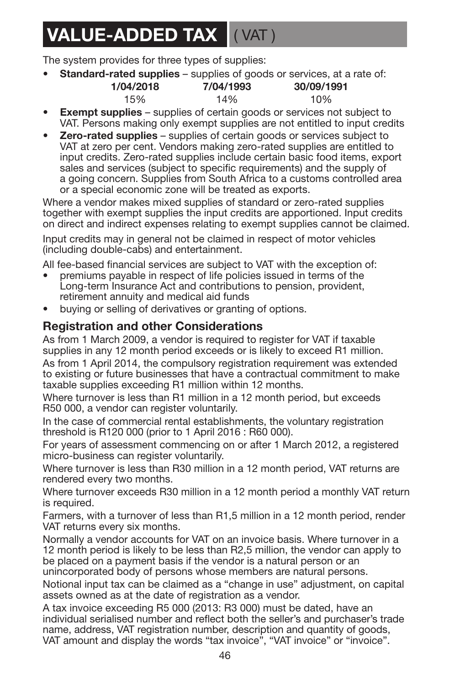### **VALUE-ADDED TAX** ( VAT )

The system provides for three types of supplies:

• **Standard-rated supplies** – supplies of goods or services, at a rate of:

| 1/04/2018 | 7/04/1993 | 30/09/1991 |
|-----------|-----------|------------|
| 15%       | 14%       | 10%        |

- **Exempt supplies** supplies of certain goods or services not subject to VAT. Persons making only exempt supplies are not entitled to input credits
- **Zero-rated supplies** supplies of certain goods or services subject to VAT at zero per cent. Vendors making zero-rated supplies are entitled to input credits. Zero-rated supplies include certain basic food items, export sales and services (subject to specific requirements) and the supply of a going concern. Supplies from South Africa to a customs controlled area or a special economic zone will be treated as exports.

Where a vendor makes mixed supplies of standard or zero-rated supplies together with exempt supplies the input credits are apportioned. Input credits on direct and indirect expenses relating to exempt supplies cannot be claimed.

Input credits may in general not be claimed in respect of motor vehicles (including double-cabs) and entertainment.

All fee-based financial services are subject to VAT with the exception of:

- premiums payable in respect of life policies issued in terms of the Long-term Insurance Act and contributions to pension, provident, retirement annuity and medical aid funds
- buying or selling of derivatives or granting of options.

### **Registration and other Considerations**

As from 1 March 2009, a vendor is required to register for VAT if taxable supplies in any 12 month period exceeds or is likely to exceed R1 million.

As from 1 April 2014, the compulsory registration requirement was extended to existing or future businesses that have a contractual commitment to make taxable supplies exceeding R1 million within 12 months.

Where turnover is less than R1 million in a 12 month period, but exceeds R50 000, a vendor can register voluntarily.

In the case of commercial rental establishments, the voluntary registration threshold is R120 000 (prior to 1 April 2016 : R60 000).

For years of assessment commencing on or after 1 March 2012, a registered micro-business can register voluntarily.

Where turnover is less than R30 million in a 12 month period, VAT returns are rendered every two months.

Where turnover exceeds R30 million in a 12 month period a monthly VAT return is required.

Farmers, with a turnover of less than R1,5 million in a 12 month period, render VAT returns every six months.

Normally a vendor accounts for VAT on an invoice basis. Where turnover in a 12 month period is likely to be less than R2,5 million, the vendor can apply to be placed on a payment basis if the vendor is a natural person or an unincorporated body of persons whose members are natural persons.

Notional input tax can be claimed as a "change in use" adjustment, on capital assets owned as at the date of registration as a vendor.

A tax invoice exceeding R5 000 (2013: R3 000) must be dated, have an individual serialised number and reflect both the seller's and purchaser's trade name, address, VAT registration number, description and quantity of goods, VAT amount and display the words "tax invoice", "VAT invoice" or "invoice".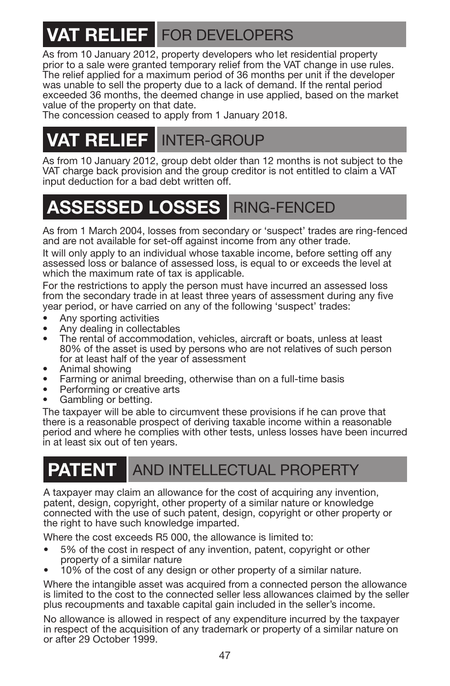# **VAT RELIEF** FOR DEVELOPERS

As from 10 January 2012, property developers who let residential property prior to a sale were granted temporary relief from the VAT change in use rules. The relief applied for a maximum period of 36 months per unit if the developer was unable to sell the property due to a lack of demand. If the rental period exceeded 36 months, the deemed change in use applied, based on the market value of the property on that date.

The concession ceased to apply from 1 January 2018.

### **VAT RELIEF** INTER-GROUP

As from 10 January 2012, group debt older than 12 months is not subject to the VAT charge back provision and the group creditor is not entitled to claim a VAT input deduction for a bad debt written off.

### **ASSESSED LOSSES** RING-FENCED

As from 1 March 2004, losses from secondary or 'suspect' trades are ring-fenced and are not available for set-off against income from any other trade.

It will only apply to an individual whose taxable income, before setting off any assessed loss or balance of assessed loss, is equal to or exceeds the level at which the maximum rate of tax is applicable.

For the restrictions to apply the person must have incurred an assessed loss from the secondary trade in at least three years of assessment during any five year period, or have carried on any of the following 'suspect' trades:

- Any sporting activities
- Any dealing in collectables
- The rental of accommodation, vehicles, aircraft or boats, unless at least 80% of the asset is used by persons who are not relatives of such person
- 
- Animal showing<br>Farming or animal breeding, otherwise than on a full-time basis
- Performing or creative arts
- Gambling or betting.

The taxpayer will be able to circumvent these provisions if he can prove that there is a reasonable prospect of deriving taxable income within a reasonable period and where he complies with other tests, unless losses have been incurred in at least six out of ten vears.

### **PATENT** AND INTELLECTUAL PROPERTY

A taxpayer may claim an allowance for the cost of acquiring any invention, patent, design, copyright, other property of a similar nature or knowledge connected with the use of such patent, design, copyright or other property or the right to have such knowledge imparted.

Where the cost exceeds R5 000, the allowance is limited to:

- 5% of the cost in respect of any invention, patent, copyright or other property of a similar nature
- 10% of the cost of any design or other property of a similar nature.

Where the intangible asset was acquired from a connected person the allowance is limited to the cost to the connected seller less allowances claimed by the seller plus recoupments and taxable capital gain included in the seller's income.

No allowance is allowed in respect of any expenditure incurred by the taxpayer in respect of the acquisition of any trademark or property of a similar nature on or after 29 October 1999.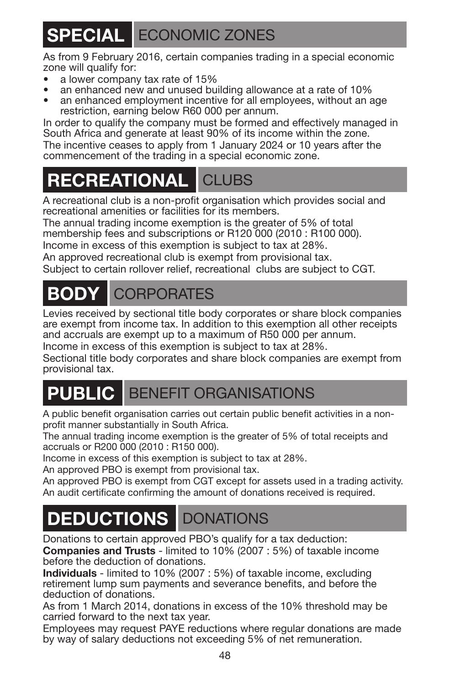# **SPECIAL** ECONOMIC ZONES

As from 9 February 2016, certain companies trading in a special economic zone will qualify for:

- a lower company tax rate of 15%
- an enhanced new and unused building allowance at a rate of 10%
- an enhanced employment incentive for all employees, without an age restriction, earning below R60 000 per annum.

In order to qualify the company must be formed and effectively managed in South Africa and generate at least 90% of its income within the zone. The incentive ceases to apply from 1 January 2024 or 10 years after the commencement of the trading in a special economic zone.

### **RECREATIONAL** CLUBS

A recreational club is a non-profit organisation which provides social and recreational amenities or facilities for its members.

The annual trading income exemption is the greater of 5% of total membership fees and subscriptions or R120 000 (2010 : R100 000).

Income in excess of this exemption is subject to tax at 28%.

An approved recreational club is exempt from provisional tax.

Subject to certain rollover relief, recreational clubs are subject to CGT.

# **BODY** CORPORATES

Levies received by sectional title body corporates or share block companies are exempt from income tax. In addition to this exemption all other receipts and accruals are exempt up to a maximum of R50 000 per annum.

Income in excess of this exemption is subject to tax at 28%.

Sectional title body corporates and share block companies are exempt from provisional tax.

### **PUBLIC** BENEFIT ORGANISATIONS

A public benefit organisation carries out certain public benefit activities in a nonprofit manner substantially in South Africa.

The annual trading income exemption is the greater of 5% of total receipts and accruals or R200 000 (2010 : R150 000).

Income in excess of this exemption is subject to tax at 28%.

An approved PBO is exempt from provisional tax.

An approved PBO is exempt from CGT except for assets used in a trading activity. An audit certificate confirming the amount of donations received is required.

# **DEDUCTIONS** DONATIONS

Donations to certain approved PBO's qualify for a tax deduction:

**Companies and Trusts** - limited to 10% (2007 : 5%) of taxable income before the deduction of donations.

**Individuals** - limited to 10% (2007 : 5%) of taxable income, excluding retirement lump sum payments and severance benefits, and before the deduction of donations.

As from 1 March 2014, donations in excess of the 10% threshold may be carried forward to the next tax year.

Employees may request PAYE reductions where regular donations are made by way of salary deductions not exceeding 5% of net remuneration.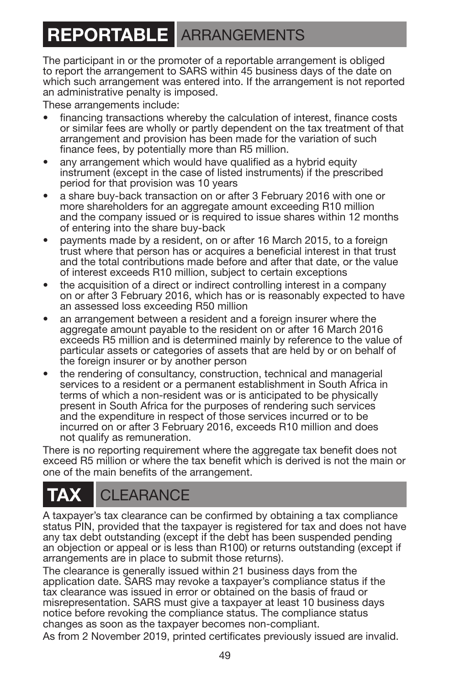### **REPORTABLE** ARRANGEMENTS

The participant in or the promoter of a reportable arrangement is obliged to report the arrangement to SARS within 45 business days of the date on which such arrangement was entered into. If the arrangement is not reported an administrative penalty is imposed.

These arrangements include:

- financing transactions whereby the calculation of interest, finance costs or similar fees are wholly or partly dependent on the tax treatment of that arrangement and provision has been made for the variation of such finance fees, by potentially more than R5 million.
- any arrangement which would have qualified as a hybrid equity instrument (except in the case of listed instruments) if the prescribed period for that provision was 10 years
- a share buy-back transaction on or after 3 February 2016 with one or more shareholders for an aggregate amount exceeding R10 million and the company issued or is required to issue shares within 12 months of entering into the share buy-back
- payments made by a resident, on or after 16 March 2015, to a foreign trust where that person has or acquires a beneficial interest in that trust and the total contributions made before and after that date, or the value of interest exceeds R10 million, subject to certain exceptions
- the acquisition of a direct or indirect controlling interest in a company on or after 3 February 2016, which has or is reasonably expected to have an assessed loss exceeding R50 million
- an arrangement between a resident and a foreign insurer where the aggregate amount payable to the resident on or after 16 March 2016 exceeds R5 million and is determined mainly by reference to the value of particular assets or categories of assets that are held by or on behalf of the foreign insurer or by another person
- the rendering of consultancy, construction, technical and managerial services to a resident or a permanent establishment in South Africa in terms of which a non-resident was or is anticipated to be physically present in South Africa for the purposes of rendering such services and the expenditure in respect of those services incurred or to be incurred on or after 3 February 2016, exceeds R10 million and does not qualify as remuneration.

There is no reporting requirement where the aggregate tax benefit does not exceed R5 million or where the tax benefit which is derived is not the main or one of the main benefits of the arrangement.

# **CLEARANCE**

A taxpayer's tax clearance can be confirmed by obtaining a tax compliance status PIN, provided that the taxpayer is registered for tax and does not have any tax debt outstanding (except if the debt has been suspended pending an objection or appeal or is less than R100) or returns outstanding (except if arrangements are in place to submit those returns).

The clearance is generally issued within 21 business days from the application date. SARS may revoke a taxpayer's compliance status if the tax clearance was issued in error or obtained on the basis of fraud or misrepresentation. SARS must give a taxpayer at least 10 business days notice before revoking the compliance status. The compliance status changes as soon as the taxpayer becomes non-compliant.

As from 2 November 2019, printed certificates previously issued are invalid.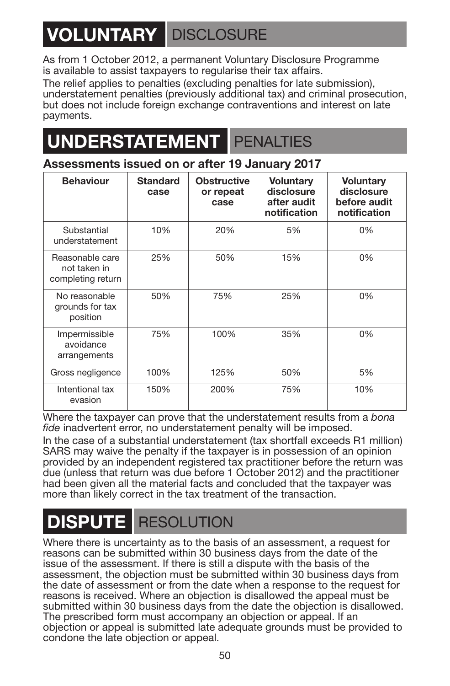# **VOLUNTARY** DISCLOSURE

As from 1 October 2012, a permanent Voluntary Disclosure Programme is available to assist taxpayers to regularise their tax affairs.

The relief applies to penalties (excluding penalties for late submission), understatement penalties (previously additional tax) and criminal prosecution, but does not include foreign exchange contraventions and interest on late payments.

### **DERSTATEMENT** PENALTIES

### **Assessments issued on or after 19 January 2017**

| <b>Behaviour</b>                                     | <b>Standard</b><br>case | <b>Obstructive</b><br>or repeat<br>case | Voluntary<br>disclosure<br>after audit<br>notification | Voluntary<br>disclosure<br>before audit<br>notification |
|------------------------------------------------------|-------------------------|-----------------------------------------|--------------------------------------------------------|---------------------------------------------------------|
| Substantial<br>understatement                        | 10%                     | 20%                                     | 5%                                                     | 0%                                                      |
| Reasonable care<br>not taken in<br>completing return | 25%                     | 50%                                     | 15%                                                    | 0%                                                      |
| No reasonable<br>grounds for tax<br>position         | 50%                     | 75%                                     | 25%                                                    | 0%                                                      |
| Impermissible<br>avoidance<br>arrangements           | 75%                     | 100%                                    | 35%                                                    | 0%                                                      |
| Gross negligence                                     | 100%                    | 125%                                    | 50%                                                    | 5%                                                      |
| Intentional tax<br>evasion                           | 150%                    | 200%                                    | 75%                                                    | 10%                                                     |

Where the taxpayer can prove that the understatement results from a *bona fide* inadvertent error, no understatement penalty will be imposed.

In the case of a substantial understatement (tax shortfall exceeds R1 million) SARS may waive the penalty if the taxpayer is in possession of an opinion provided by an independent registered tax practitioner before the return was due (unless that return was due before 1 October 2012) and the practitioner had been given all the material facts and concluded that the taxpayer was more than likely correct in the tax treatment of the transaction.

### **DISPUTE** RESOLUTION

Where there is uncertainty as to the basis of an assessment, a request for reasons can be submitted within 30 business days from the date of the issue of the assessment. If there is still a dispute with the basis of the assessment, the objection must be submitted within 30 business days from the date of assessment or from the date when a response to the request for reasons is received. Where an objection is disallowed the appeal must be submitted within 30 business days from the date the objection is disallowed. The prescribed form must accompany an objection or appeal. If an objection or appeal is submitted late adequate grounds must be provided to condone the late objection or appeal.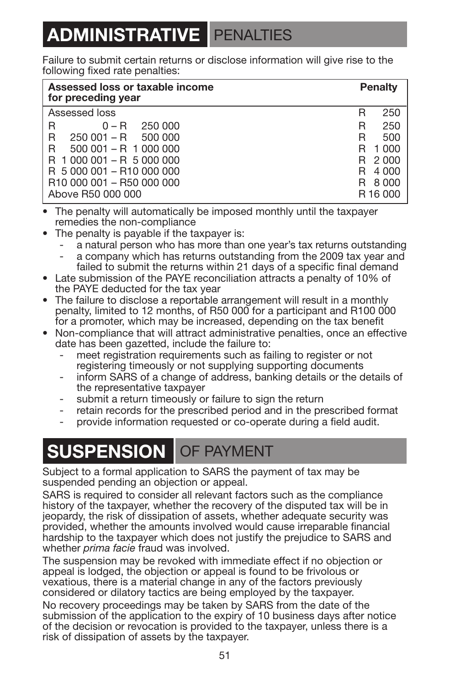### <span id="page-52-0"></span>**ADMINISTRATIVE** PENALTIES

Failure to submit certain returns or disclose information will give rise to the following fixed rate penalties:

| Assessed loss or taxable income<br>for preceding year | <b>Penalty</b> |
|-------------------------------------------------------|----------------|
| Assessed loss                                         | 250<br>R       |
| R<br>$0 - R$ 250 000                                  | 250<br>R       |
| R<br>$250001 - R$ 500 000                             | 500<br>R       |
| R<br>$500001 - R$ 1 000 000                           | 1 000<br>R     |
| R 1 000 001 - R 5 000 000                             | R 2000         |
| R 5 000 001 - R10 000 000                             | 4 000<br>R     |
| R10 000 001 - R50 000 000                             | 8 000<br>R.    |
| Above R50 000 000                                     | R16000         |

- The penalty will automatically be imposed monthly until the taxpayer remedies the non-compliance
- The penalty is payable if the taxpayer is:
	- a natural person who has more than one year's tax returns outstanding
	- a company which has returns outstanding from the 2009 tax year and failed to submit the returns within 21 days of a specific final demand
- **•** Late submission of the PAYE reconciliation attracts a penalty of 10% of the PAYE deducted for the tax year
- **•** The failure to disclose a reportable arrangement will result in a monthly penalty, limited to 12 months, of R50 000 for a participant and R100 000 for a promoter, which may be increased, depending on the tax benefit
- Non-compliance that will attract administrative penalties, once an effective date has been gazetted, include the failure to:
	- meet registration requirements such as failing to register or not registering timeously or not supplying supporting documents
	- inform SARS of a change of address, banking details or the details of the representative taxpayer
	- submit a return timeously or failure to sign the return
	- retain records for the prescribed period and in the prescribed format
	- provide information requested or co-operate during a field audit.

### **SUSPENSION** OF PAYMENT

Subject to a formal application to SARS the payment of tax may be suspended pending an objection or appeal.

SARS is required to consider all relevant factors such as the compliance history of the taxpayer, whether the recovery of the disputed tax will be in jeopardy, the risk of dissipation of assets, whether adequate security was provided, whether the amounts involved would cause irreparable financial hardship to the taxpayer which does not justify the prejudice to SARS and whether *prima facie* fraud was involved.

The suspension may be revoked with immediate effect if no objection or appeal is lodged, the objection or appeal is found to be frivolous or vexatious, there is a material change in any of the factors previously considered or dilatory tactics are being employed by the taxpayer.

No recovery proceedings may be taken by SARS from the date of the submission of the application to the expiry of 10 business days after notice of the decision or revocation is provided to the taxpayer, unless there is a risk of dissipation of assets by the taxpayer.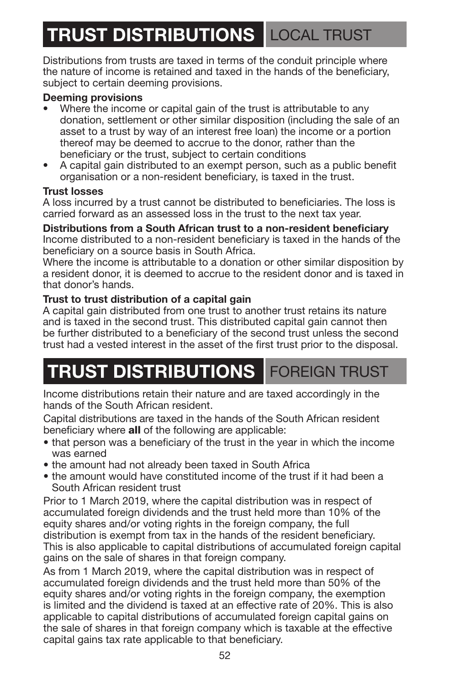# **TRUST DISTRIBUTIONS** LOCAL TRUST

Distributions from trusts are taxed in terms of the conduit principle where the nature of income is retained and taxed in the hands of the beneficiary, subject to certain deeming provisions.

#### **Deeming provisions**

- Where the income or capital gain of the trust is attributable to any donation, settlement or other similar disposition (including the sale of an asset to a trust by way of an interest free loan) the income or a portion thereof may be deemed to accrue to the donor, rather than the beneficiary or the trust, subject to certain conditions
- A capital gain distributed to an exempt person, such as a public benefit organisation or a non-resident beneficiary, is taxed in the trust.

#### **Trust losses**

A loss incurred by a trust cannot be distributed to beneficiaries. The loss is carried forward as an assessed loss in the trust to the next tax year.

#### **Distributions from a South African trust to a non-resident beneficiary** Income distributed to a non-resident beneficiary is taxed in the hands of the

beneficiary on a source basis in South Africa.

Where the income is attributable to a donation or other similar disposition by a resident donor, it is deemed to accrue to the resident donor and is taxed in that donor's hands.

#### **Trust to trust distribution of a capital gain**

A capital gain distributed from one trust to another trust retains its nature and is taxed in the second trust. This distributed capital gain cannot then be further distributed to a beneficiary of the second trust unless the second trust had a vested interest in the asset of the first trust prior to the disposal.

# **TRUST DISTRIBUTIONS** FOREIGN TRUST

Income distributions retain their nature and are taxed accordingly in the hands of the South African resident.

Capital distributions are taxed in the hands of the South African resident beneficiary where **all** of the following are applicable:

- that person was a beneficiary of the trust in the year in which the income was earned
- the amount had not already been taxed in South Africa
- the amount would have constituted income of the trust if it had been a South African resident trust

Prior to 1 March 2019, where the capital distribution was in respect of accumulated foreign dividends and the trust held more than 10% of the equity shares and/or voting rights in the foreign company, the full distribution is exempt from tax in the hands of the resident beneficiary. This is also applicable to capital distributions of accumulated foreign capital gains on the sale of shares in that foreign company.

As from 1 March 2019, where the capital distribution was in respect of accumulated foreign dividends and the trust held more than 50% of the equity shares and/or voting rights in the foreign company, the exemption is limited and the dividend is taxed at an effective rate of 20%. This is also applicable to capital distributions of accumulated foreign capital gains on the sale of shares in that foreign company which is taxable at the effective capital gains tax rate applicable to that beneficiary.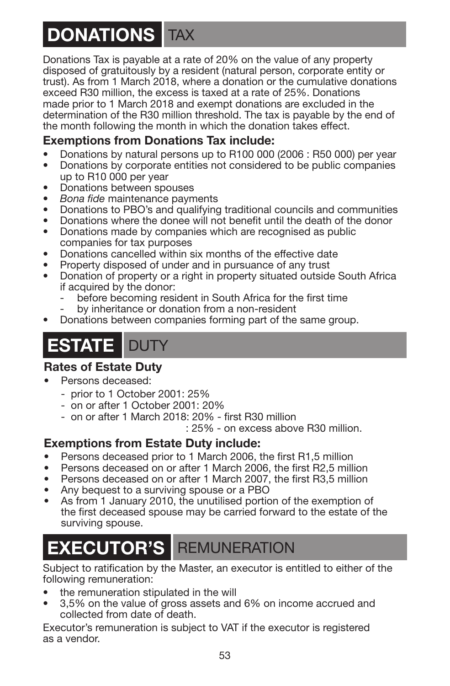# **DONATIONS** TAX

Donations Tax is payable at a rate of 20% on the value of any property disposed of gratuitously by a resident (natural person, corporate entity or trust). As from 1 March 2018, where a donation or the cumulative donations exceed R30 million, the excess is taxed at a rate of 25%. Donations made prior to 1 March 2018 and exempt donations are excluded in the determination of the R30 million threshold. The tax is payable by the end of the month following the month in which the donation takes effect.

### **Exemptions from Donations Tax include:**

- Donations by natural persons up to R100 000 (2006 : R50 000) per year
- Donations by corporate entities not considered to be public companies up to R10 000 per year
- Donations between spouses
- *Bona fide* maintenance payments
- Donations to PBO's and qualifying traditional councils and communities
- Donations where the donee will not benefit until the death of the donor
- Donations made by companies which are recognised as public companies for tax purposes
- Donations cancelled within six months of the effective date
- Property disposed of under and in pursuance of any trust
- Donation of property or a right in property situated outside South Africa if acquired by the donor:
	- before becoming resident in South Africa for the first time
	- by inheritance or donation from a non-resident
- Donations between companies forming part of the same group.



### **Rates of Estate Duty**

- Persons deceased:
	- prior to 1 October 2001: 25%
	- on or after 1 October 2001: 20%
	- on or after 1 March 2018: 20% first R30 million
		- : 25% on excess above R30 million.

### **Exemptions from Estate Duty include:**

- Persons deceased prior to 1 March 2006, the first R1,5 million
- Persons deceased on or after 1 March 2006, the first R2,5 million
- Persons deceased on or after 1 March 2007, the first R3,5 million
- Any bequest to a surviving spouse or a PBO
- As from 1 January 2010, the unutilised portion of the exemption of the first deceased spouse may be carried forward to the estate of the surviving spouse.

### **EXECUTOR'S** REMUNERATION

Subject to ratification by the Master, an executor is entitled to either of the following remuneration:

- the remuneration stipulated in the will
- 3,5% on the value of gross assets and 6% on income accrued and collected from date of death.

Executor's remuneration is subject to VAT if the executor is registered as a vendor.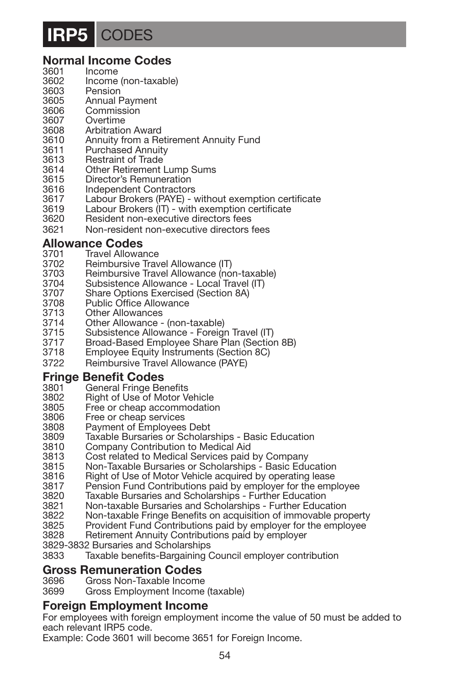### **IRP5** CODES

### **Normal Income Codes**<br>3601 **Income**

- 3601 Income<br>3602 Income
- 3602 Income (non-taxable)<br>3603 Pension
- 3603 Pension<br>3605 Annual I
- 3605 Annual Payment<br>3606 Commission
- 3606 Commission<br>3607 Overtime
- 3607 Overtime<br>3608 Arbitratio
- 3608 Arbitration Award<br>3610 Annuity from a Re
- 3610 Annuity from a Retirement Annuity Fund<br>3611 Purchased Annuity
- 3611 Purchased Annuity<br>3613 Restraint of Trade
- 3613 Restraint of Trade<br>3614 Other Retirement
- 3614 Other Retirement Lump Sums
- 3615 Director's Remuneration<br>3616 Independent Contractors
- 3616 Independent Contractors<br>3617 Labour Brokers (PAYE) \
- 3617 Labour Brokers (PAYE) without exemption certificate
- 3619 Labour Brokers (IT) with exemption certificate<br>3620 Besident non-executive directors fees
- 3620 Resident non-executive directors fees
- 3621 Non-resident non-executive directors fees

### **Allowance Codes**<br>3701 **Travel Allowa**

- 3701 Travel Allowance<br>3702 Reimbursive Tray
- 3702 Reimbursive Travel Allowance (IT)<br>3703 Beimbursive Travel Allowance (no
- 3703 Reimbursive Travel Allowance (non-taxable)<br>3704 Subsistence Allowance Local Travel (IT)
- 3704 Subsistence Allowance Local Travel (IT)<br>3707 Share Options Exercised (Section 8A)
- 3707 Share Options Exercised (Section 8A)<br>3708 Public Office Allowance
- 3708 Public Office Allowance<br>3713 Other Allowances
- 3713 Other Allowances<br>3714 Other Allowance -
- 3714 Other Allowance (non-taxable)
- 3715 Subsistence Allowance Foreign Travel (IT)
- Broad-Based Employee Share Plan (Section 8B)
- 3718 Employee Equity Instruments (Section 8C)
- 3722 Reimbursive Travel Allowance (PAYE)

### **Fringe Benefit Codes**<br>3801 General Fringe Be

- 3801 General Fringe Benefits<br>3802 Bight of Use of Motor V
- 3802 Right of Use of Motor Vehicle<br>3805 Free or cheap accommodation
- 3805 Free or cheap accommodation<br>3806 Free or cheap services
- Free or cheap services
- 3808 Payment of Employees Debt
- 3809 Taxable Bursaries or Scholarships Basic Education
- 3810 Company Contribution to Medical Aid
- 3813 Cost related to Medical Services paid by Company
- 3815 Non-Taxable Bursaries or Scholarships Basic Education
- Right of Use of Motor Vehicle acquired by operating lease
- 3817 Pension Fund Contributions paid by employer for the employee
- 3820 Taxable Bursaries and Scholarships Further Education
- 3821 Non-taxable Bursaries and Scholarships Further Education
- 3822 Non-taxable Fringe Benefits on acquisition of immovable property<br>3825 Provident Fund Contributions paid by employer for the employee
- 3825 Provident Fund Contributions paid by employer for the employee<br>3828 Betirement Annuity Contributions paid by employer
- Retirement Annuity Contributions paid by employer

3829-3832 Bursaries and Scholarships

3833 Taxable benefits-Bargaining Council employer contribution

### **Gross Remuneration Codes**<br>3696 **Gross Non-Taxable Income**

- Gross Non-Taxable Income
- 3699 Gross Employment Income (taxable)

#### **Foreign Employment Income**

For employees with foreign employment income the value of 50 must be added to each relevant IRP5 code.

Example: Code 3601 will become 3651 for Foreign Income.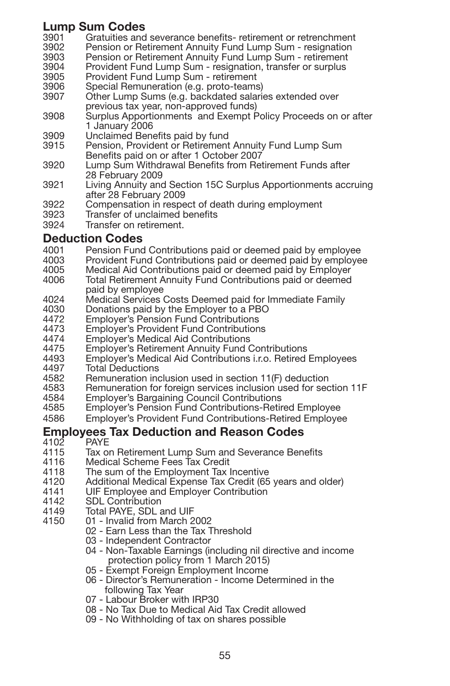### **Lump Sum Codes**<br>3901 **Gratuities** and

- 3901 Gratuities and severance benefits- retirement or retrenchment<br>3902 Pension or Retirement Annuity Fund Lump Sum resignation
- 3902 Pension or Retirement Annuity Fund Lump Sum resignation<br>3903 Pension or Betirement Annuity Fund Lump Sum retirement
- 3903 Pension or Retirement Annuity Fund Lump Sum retirement
- 3904 Provident Fund Lump Sum resignation, transfer or surplus<br>3905 Provident Fund Lump Sum retirement
- 3905 Provident Fund Lump Sum retirement
- 3906 Special Remuneration (e.g. proto-teams)<br>3907 Other Lump Sums (e.g. backdated salari Other Lump Sums (e.g. backdated salaries extended over previous tax year, non-approved funds)
- 3908 Surplus Apportionments and Exempt Policy Proceeds on or after 1 January 2006
- 3909 Unclaimed Benefits paid by fund<br>3915 Pension, Provident or Retirement
- Pension, Provident or Retirement Annuity Fund Lump Sum Benefits paid on or after 1 October 2007
- 3920 Lump Sum Withdrawal Benefits from Retirement Funds after 28 February 2009
- 3921 Living Annuity and Section 15C Surplus Apportionments accruing after 28 February 2009
- 3922 Compensation in respect of death during employment<br>3923 Transfer of unclaimed benefits
- 3923 Transfer of unclaimed benefits<br>3924 Transfer on retirement
- Transfer on retirement.

### **Deduction Codes**<br>4001 **Pension Fund**

- 4001 Pension Fund Contributions paid or deemed paid by employee<br>4003 Provident Fund Contributions paid or deemed paid by employe
- 4003 Provident Fund Contributions paid or deemed paid by employee
- 4005 Medical Aid Contributions paid or deemed paid by Employer
- Total Retirement Annuity Fund Contributions paid or deemed paid by employee
- 4024 Medical Services Costs Deemed paid for Immediate Family<br>4030 Donations paid by the Employer to a PBO
- 4030 Donations paid by the Employer to a PBO<br>4472 Employer's Pension Fund Contributions
- 4472 Employer's Pension Fund Contributions
- 4473 Employer's Provident Fund Contributions<br>4474 Employer's Medical Aid Contributions
- 4474 Employer's Medical Aid Contributions<br>4475 Employer's Retirement Annuity Fund (
- 4475 Employer's Retirement Annuity Fund Contributions
- 4493 Employer's Medical Aid Contributions i.r.o. Retired Employees<br>4497 Total Deductions 4497 Total Deductions<br>4582 Bemuneration in
- 4582 Remuneration inclusion used in section 11(F) deduction<br>4583 Remuneration for foreign services inclusion used for sec
- 4583 Remuneration for foreign services inclusion used for section 11F<br>4584 Fmplover's Bargaining Council Contributions
- 4584 Employer's Bargaining Council Contributions
- 4585 Employer's Pension Fund Contributions-Retired Employee
- Emplover's Provident Fund Contributions-Retired Employee

### **Employees Tax Deduction and Reason Codes**<br>4102 PAYE

- 4102 PAYE
- 4115 Tax on Retirement Lump Sum and Severance Benefits<br>4116 Medical Scheme Fees Tax Credit
- 4116 Medical Scheme Fees Tax Credit
- 4118 The sum of the Employment Tax Incentive<br>4120 Additional Medical Expense Tax Credit (65
- 4120 Additional Medical Expense Tax Credit (65 years and older)<br>4141 ULE Employee and Employer Contribution
- 4141 UIF Employee and Employer Contribution<br>4142 SDL Contribution
- 4142 SDL Contribution<br>4149 Total PAYE SDL
- 4149 Total PAYE, SDL and UIF
	- 4150 01 Invalid from March 2002
		- 02 Earn Less than the Tax Threshold
		- 03 Independent Contractor
		- 04 Non-Taxable Earnings (including nil directive and income protection policy from 1 March 2015)
		- 05 Exempt Foreign Employment Income
		- 06 Director's Remuneration Income Determined in the following Tax Year
		- 07 Labour Broker with IRP30
		- 08 No Tax Due to Medical Aid Tax Credit allowed
		- 09 No Withholding of tax on shares possible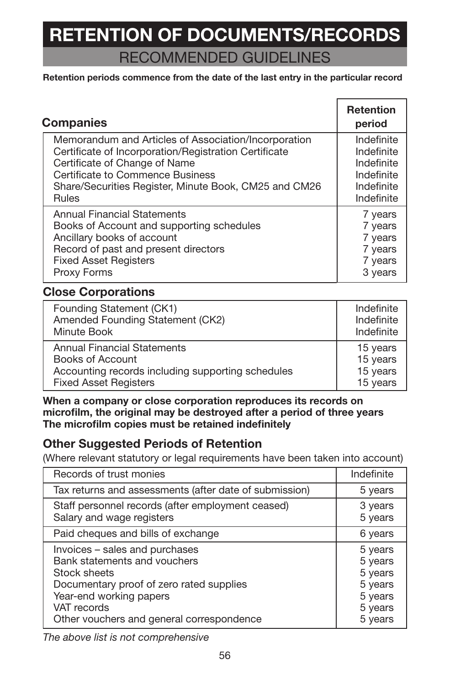# **RETENTION OF DOCUMENTS/RECORDS**

RECOMMENDED GUIDELINES

#### **Retention periods commence from the date of the last entry in the particular record**

| <b>Companies</b>                                      | <b>Retention</b><br>period |
|-------------------------------------------------------|----------------------------|
| Memorandum and Articles of Association/Incorporation  | Indefinite                 |
| Certificate of Incorporation/Registration Certificate | Indefinite                 |
| Certificate of Change of Name                         | Indefinite                 |
| Certificate to Commence Business                      | Indefinite                 |
| Share/Securities Register, Minute Book, CM25 and CM26 | Indefinite                 |
| Rules                                                 | Indefinite                 |
| <b>Annual Financial Statements</b>                    | 7 years                    |
| Books of Account and supporting schedules             | 7 years                    |
| Ancillary books of account                            | 7 years                    |
| Record of past and present directors                  | 7 years                    |
| <b>Fixed Asset Registers</b>                          | 7 years                    |
| Proxy Forms                                           | 3 years                    |

### **Close Corporations**

| Founding Statement (CK1)                          | Indefinite |
|---------------------------------------------------|------------|
| Amended Founding Statement (CK2)                  | Indefinite |
| Minute Book                                       | Indefinite |
| <b>Annual Financial Statements</b>                | 15 years   |
| Books of Account                                  | 15 years   |
| Accounting records including supporting schedules | 15 years   |
| <b>Fixed Asset Registers</b>                      | 15 years   |

**When a company or close corporation reproduces its records on microfilm, the original may be destroyed after a period of three years The microfilm copies must be retained indefinitely**

### **Other Suggested Periods of Retention**

(Where relevant statutory or legal requirements have been taken into account)

| Records of trust monies                                                                                                                                                                                           | Indefinite                                                                |
|-------------------------------------------------------------------------------------------------------------------------------------------------------------------------------------------------------------------|---------------------------------------------------------------------------|
| Tax returns and assessments (after date of submission)                                                                                                                                                            | 5 years                                                                   |
| Staff personnel records (after employment ceased)<br>Salary and wage registers                                                                                                                                    | 3 years<br>5 years                                                        |
| Paid cheques and bills of exchange                                                                                                                                                                                | 6 years                                                                   |
| Invoices - sales and purchases<br>Bank statements and vouchers<br>Stock sheets<br>Documentary proof of zero rated supplies<br>Year-end working papers<br>VAT records<br>Other vouchers and general correspondence | 5 years<br>5 years<br>5 years<br>5 years<br>5 years<br>5 years<br>5 years |

*The above list is not comprehensive*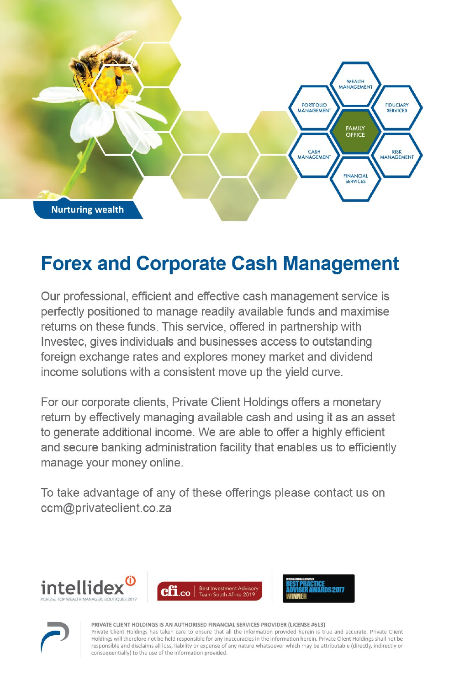

### **Forex and Corporate Cash Management**

Our professional, efficient and effective cash management service is perfectly positioned to manage readily available funds and maximise returns on these funds. This service, offered in partnership with Investec, gives individuals and businesses access to outstanding foreign exchange rates and explores money market and dividend income solutions with a consistent move up the yield curve.

For our corporate clients, Private Client Holdings offers a monetary return by effectively managing available cash and using it as an asset to generate additional income. We are able to offer a highly efficient and secure banking administration facility that enables us to efficiently manage your money online.

To take advantage of any of these offerings please contact us on ccm@privateclient.co.za









PRIVATE CLIENT HOLDINGS IS AN AUTHORISED FINANCIAL SERVICES PROVIDER (LICENSE #613)

Private Client Holdings has taken care to ensure that all the information provided herein is true and accurate. Private Client Holdings will therefore not be held responsible for any inaccuracies in the information herein. Private Client Holdings shall not be responsible and disclaims all loss, liability or expense of any nature whatsoever which may be attributable (directly, indirectly or consequentially) to the use of the information provided.